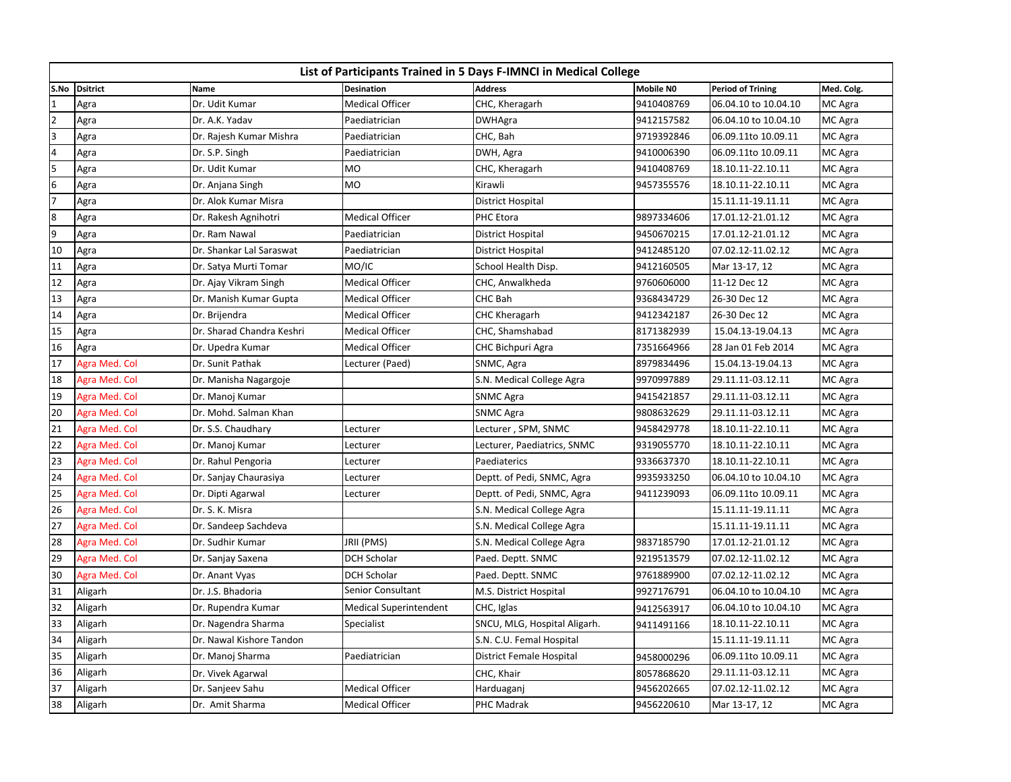|                | List of Participants Trained in 5 Days F-IMNCI in Medical College |                           |                               |                              |            |                          |            |  |  |  |  |
|----------------|-------------------------------------------------------------------|---------------------------|-------------------------------|------------------------------|------------|--------------------------|------------|--|--|--|--|
| S.No           | <b>Dsitrict</b>                                                   | <b>Name</b>               | <b>Desination</b>             | <b>Address</b>               | Mobile NO  | <b>Period of Trining</b> | Med. Colg. |  |  |  |  |
|                | Agra                                                              | Dr. Udit Kumar            | <b>Medical Officer</b>        | CHC, Kheragarh               | 9410408769 | 06.04.10 to 10.04.10     | MC Agra    |  |  |  |  |
| $\overline{2}$ | Agra                                                              | Dr. A.K. Yadav            | Paediatrician                 | DWHAgra                      | 9412157582 | 06.04.10 to 10.04.10     | MC Agra    |  |  |  |  |
| $\overline{3}$ | Agra                                                              | Dr. Rajesh Kumar Mishra   | Paediatrician                 | CHC, Bah                     | 9719392846 | 06.09.11to 10.09.11      | MC Agra    |  |  |  |  |
| $\overline{4}$ | Agra                                                              | Dr. S.P. Singh            | Paediatrician                 | DWH, Agra                    | 9410006390 | 06.09.11to 10.09.11      | MC Agra    |  |  |  |  |
| 5              | Agra                                                              | Dr. Udit Kumar            | <b>MO</b>                     | CHC, Kheragarh               | 9410408769 | 18.10.11-22.10.11        | MC Agra    |  |  |  |  |
| 6              | Agra                                                              | Dr. Anjana Singh          | MO                            | Kirawli                      | 9457355576 | 18.10.11-22.10.11        | MC Agra    |  |  |  |  |
| $\overline{7}$ | Agra                                                              | Dr. Alok Kumar Misra      |                               | <b>District Hospital</b>     |            | 15.11.11-19.11.11        | MC Agra    |  |  |  |  |
| 8              | Agra                                                              | Dr. Rakesh Agnihotri      | <b>Medical Officer</b>        | PHC Etora                    | 9897334606 | 17.01.12-21.01.12        | MC Agra    |  |  |  |  |
| 9              | Agra                                                              | Dr. Ram Nawal             | Paediatrician                 | <b>District Hospital</b>     | 9450670215 | 17.01.12-21.01.12        | MC Agra    |  |  |  |  |
| 10             | Agra                                                              | Dr. Shankar Lal Saraswat  | Paediatrician                 | <b>District Hospital</b>     | 9412485120 | 07.02.12-11.02.12        | MC Agra    |  |  |  |  |
| 11             | Agra                                                              | Dr. Satya Murti Tomar     | MO/IC                         | School Health Disp.          | 9412160505 | Mar 13-17, 12            | MC Agra    |  |  |  |  |
| 12             | Agra                                                              | Dr. Ajay Vikram Singh     | <b>Medical Officer</b>        | CHC, Anwalkheda              | 9760606000 | 11-12 Dec 12             | MC Agra    |  |  |  |  |
| 13             | Agra                                                              | Dr. Manish Kumar Gupta    | <b>Medical Officer</b>        | CHC Bah                      | 9368434729 | 26-30 Dec 12             | MC Agra    |  |  |  |  |
| 14             | Agra                                                              | Dr. Brijendra             | <b>Medical Officer</b>        | <b>CHC Kheragarh</b>         | 9412342187 | 26-30 Dec 12             | MC Agra    |  |  |  |  |
| 15             | Agra                                                              | Dr. Sharad Chandra Keshri | <b>Medical Officer</b>        | CHC, Shamshabad              | 8171382939 | 15.04.13-19.04.13        | MC Agra    |  |  |  |  |
| 16             | Agra                                                              | Dr. Upedra Kumar          | <b>Medical Officer</b>        | CHC Bichpuri Agra            | 7351664966 | 28 Jan 01 Feb 2014       | MC Agra    |  |  |  |  |
| 17             | Agra Med. Col                                                     | Dr. Sunit Pathak          | Lecturer (Paed)               | SNMC, Agra                   | 8979834496 | 15.04.13-19.04.13        | MC Agra    |  |  |  |  |
| 18             | Agra Med. Col                                                     | Dr. Manisha Nagargoje     |                               | S.N. Medical College Agra    | 9970997889 | 29.11.11-03.12.11        | MC Agra    |  |  |  |  |
| 19             | Agra Med. Col                                                     | Dr. Manoj Kumar           |                               | <b>SNMC Agra</b>             | 9415421857 | 29.11.11-03.12.11        | MC Agra    |  |  |  |  |
| 20             | Agra Med. Col                                                     | Dr. Mohd. Salman Khan     |                               | <b>SNMC Agra</b>             | 9808632629 | 29.11.11-03.12.11        | MC Agra    |  |  |  |  |
| 21             | Agra Med. Col                                                     | Dr. S.S. Chaudhary        | Lecturer                      | Lecturer, SPM, SNMC          | 9458429778 | 18.10.11-22.10.11        | MC Agra    |  |  |  |  |
| 22             | Agra Med. Col                                                     | Dr. Manoj Kumar           | Lecturer                      | Lecturer, Paediatrics, SNMC  | 9319055770 | 18.10.11-22.10.11        | MC Agra    |  |  |  |  |
| 23             | Agra Med. Col                                                     | Dr. Rahul Pengoria        | Lecturer                      | Paediaterics                 | 9336637370 | 18.10.11-22.10.11        | MC Agra    |  |  |  |  |
| 24             | Agra Med. Col                                                     | Dr. Sanjay Chaurasiya     | Lecturer                      | Deptt. of Pedi, SNMC, Agra   | 9935933250 | 06.04.10 to 10.04.10     | MC Agra    |  |  |  |  |
| 25             | Agra Med. Col                                                     | Dr. Dipti Agarwal         | Lecturer                      | Deptt. of Pedi, SNMC, Agra   | 9411239093 | 06.09.11to 10.09.11      | MC Agra    |  |  |  |  |
| 26             | Agra Med. Col                                                     | Dr. S. K. Misra           |                               | S.N. Medical College Agra    |            | 15.11.11-19.11.11        | MC Agra    |  |  |  |  |
| 27             | Agra Med. Col                                                     | Dr. Sandeep Sachdeva      |                               | S.N. Medical College Agra    |            | 15.11.11-19.11.11        | MC Agra    |  |  |  |  |
| 28             | Agra Med. Col                                                     | Dr. Sudhir Kumar          | JRII (PMS)                    | S.N. Medical College Agra    | 9837185790 | 17.01.12-21.01.12        | MC Agra    |  |  |  |  |
| 29             | Agra Med. Col                                                     | Dr. Sanjay Saxena         | <b>DCH Scholar</b>            | Paed. Deptt. SNMC            | 9219513579 | 07.02.12-11.02.12        | MC Agra    |  |  |  |  |
| 30             | Agra Med. Col                                                     | Dr. Anant Vyas            | <b>DCH Scholar</b>            | Paed. Deptt. SNMC            | 9761889900 | 07.02.12-11.02.12        | MC Agra    |  |  |  |  |
| 31             | Aligarh                                                           | Dr. J.S. Bhadoria         | Senior Consultant             | M.S. District Hospital       | 9927176791 | 06.04.10 to 10.04.10     | MC Agra    |  |  |  |  |
| 32             | Aligarh                                                           | Dr. Rupendra Kumar        | <b>Medical Superintendent</b> | CHC, Iglas                   | 9412563917 | 06.04.10 to 10.04.10     | MC Agra    |  |  |  |  |
| 33             | Aligarh                                                           | Dr. Nagendra Sharma       | Specialist                    | SNCU, MLG, Hospital Aligarh. | 9411491166 | 18.10.11-22.10.11        | MC Agra    |  |  |  |  |
| 34             | Aligarh                                                           | Dr. Nawal Kishore Tandon  |                               | S.N. C.U. Femal Hospital     |            | 15.11.11-19.11.11        | MC Agra    |  |  |  |  |
| 35             | Aligarh                                                           | Dr. Manoj Sharma          | Paediatrician                 | District Female Hospital     | 9458000296 | 06.09.11to 10.09.11      | MC Agra    |  |  |  |  |
| 36             | Aligarh                                                           | Dr. Vivek Agarwal         |                               | CHC, Khair                   | 8057868620 | 29.11.11-03.12.11        | MC Agra    |  |  |  |  |
| 37             | Aligarh                                                           | Dr. Sanjeev Sahu          | <b>Medical Officer</b>        | Harduaganj                   | 9456202665 | 07.02.12-11.02.12        | MC Agra    |  |  |  |  |
| 38             | Aligarh                                                           | Dr. Amit Sharma           | <b>Medical Officer</b>        | PHC Madrak                   | 9456220610 | Mar 13-17, 12            | MC Agra    |  |  |  |  |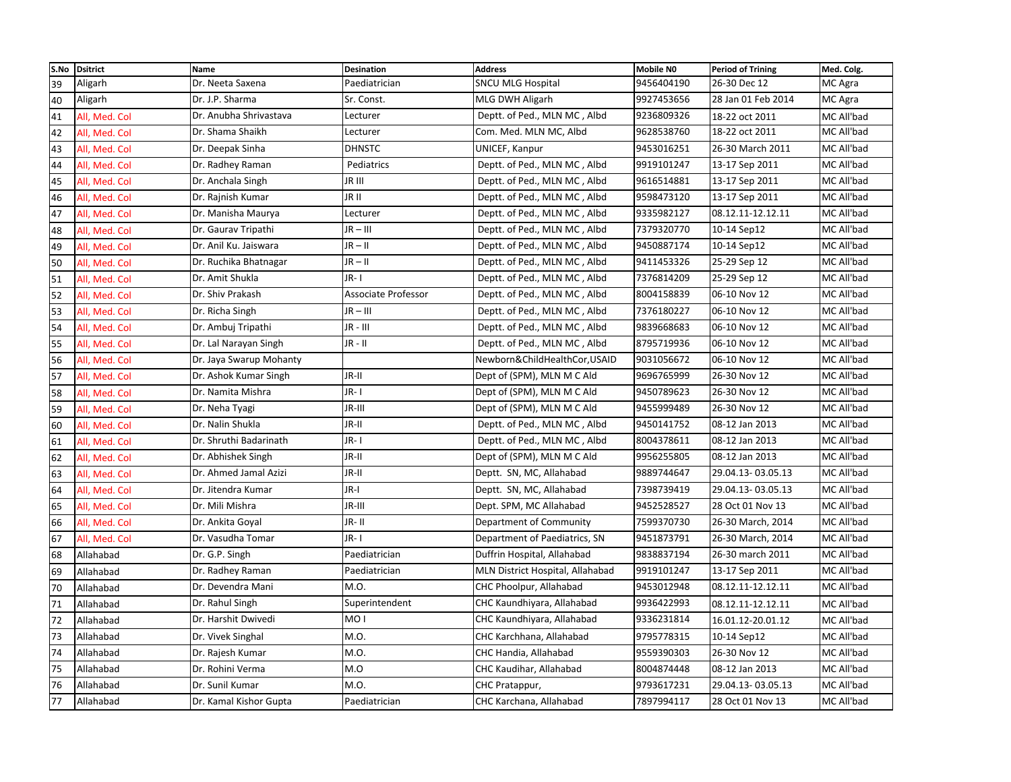| S.No | <b>Dsitrict</b> | Name                    | <b>Desination</b>   | <b>Address</b>                   | Mobile NO  | <b>Period of Trining</b> | Med. Colg. |
|------|-----------------|-------------------------|---------------------|----------------------------------|------------|--------------------------|------------|
| 39   | Aligarh         | Dr. Neeta Saxena        | Paediatrician       | <b>SNCU MLG Hospital</b>         | 9456404190 | 26-30 Dec 12             | MC Agra    |
| 40   | Aligarh         | Dr. J.P. Sharma         | Sr. Const.          | <b>MLG DWH Aligarh</b>           | 9927453656 | 28 Jan 01 Feb 2014       | MC Agra    |
| 41   | All, Med. Col   | Dr. Anubha Shrivastava  | Lecturer            | Deptt. of Ped., MLN MC, Albd     | 9236809326 | 18-22 oct 2011           | MC All'bad |
| 42   | All, Med. Col   | Dr. Shama Shaikh        | Lecturer            | Com. Med. MLN MC, Albd           | 9628538760 | 18-22 oct 2011           | MC All'bad |
| 43   | All, Med. Col   | Dr. Deepak Sinha        | <b>DHNSTC</b>       | UNICEF, Kanpur                   | 9453016251 | 26-30 March 2011         | MC All'bad |
| 44   | All, Med. Col   | Dr. Radhey Raman        | Pediatrics          | Deptt. of Ped., MLN MC, Albd     | 9919101247 | 13-17 Sep 2011           | MC All'bad |
| 45   | All, Med. Col   | Dr. Anchala Singh       | JR III              | Deptt. of Ped., MLN MC, Albd     | 9616514881 | 13-17 Sep 2011           | MC All'bad |
| 46   | All, Med. Col   | Dr. Rajnish Kumar       | JR II               | Deptt. of Ped., MLN MC, Albd     | 9598473120 | 13-17 Sep 2011           | MC All'bad |
| 47   | All, Med. Col   | Dr. Manisha Maurya      | Lecturer            | Deptt. of Ped., MLN MC, Albd     | 9335982127 | 08.12.11-12.12.11        | MC All'bad |
| 48   | All, Med. Col   | Dr. Gaurav Tripathi     | JR – III            | Deptt. of Ped., MLN MC, Albd     | 7379320770 | 10-14 Sep12              | MC All'bad |
| 49   | All, Med. Col   | Dr. Anil Ku. Jaiswara   | JR – II             | Deptt. of Ped., MLN MC, Albd     | 9450887174 | 10-14 Sep12              | MC All'bad |
| 50   | All, Med. Col   | Dr. Ruchika Bhatnagar   | JR – II             | Deptt. of Ped., MLN MC, Albd     | 9411453326 | 25-29 Sep 12             | MC All'bad |
| 51   | All, Med. Col   | Dr. Amit Shukla         | JR-I                | Deptt. of Ped., MLN MC, Albd     | 7376814209 | 25-29 Sep 12             | MC All'bad |
| 52   | All, Med. Col   | Dr. Shiv Prakash        | Associate Professor | Deptt. of Ped., MLN MC, Albd     | 8004158839 | 06-10 Nov 12             | MC All'bad |
| 53   | All, Med. Col   | Dr. Richa Singh         | JR – III            | Deptt. of Ped., MLN MC, Albd     | 7376180227 | 06-10 Nov 12             | MC All'bad |
| 54   | All, Med. Col   | Dr. Ambuj Tripathi      | JR - III            | Deptt. of Ped., MLN MC, Albd     | 9839668683 | 06-10 Nov 12             | MC All'bad |
| 55   | All, Med. Col   | Dr. Lal Narayan Singh   | JR - II             | Deptt. of Ped., MLN MC, Albd     | 8795719936 | 06-10 Nov 12             | MC All'bad |
| 56   | All, Med. Col   | Dr. Jaya Swarup Mohanty |                     | Newborn&ChildHealthCor, USAID    | 9031056672 | 06-10 Nov 12             | MC All'bad |
| 57   | All, Med. Col   | Dr. Ashok Kumar Singh   | JR-II               | Dept of (SPM), MLN M C Ald       | 9696765999 | 26-30 Nov 12             | MC All'bad |
| 58   | All, Med. Col   | Dr. Namita Mishra       | $JR - I$            | Dept of (SPM), MLN M C Ald       | 9450789623 | 26-30 Nov 12             | MC All'bad |
| 59   | All, Med. Col   | Dr. Neha Tyagi          | JR-III              | Dept of (SPM), MLN M C Ald       | 9455999489 | 26-30 Nov 12             | MC All'bad |
| 60   | All, Med. Col   | Dr. Nalin Shukla        | JR-II               | Deptt. of Ped., MLN MC, Albd     | 9450141752 | 08-12 Jan 2013           | MC All'bad |
| 61   | All, Med. Col   | Dr. Shruthi Badarinath  | JR-1                | Deptt. of Ped., MLN MC, Albd     | 8004378611 | 08-12 Jan 2013           | MC All'bad |
| 62   | All, Med. Col   | Dr. Abhishek Singh      | JR-II               | Dept of (SPM), MLN M C Ald       | 9956255805 | 08-12 Jan 2013           | MC All'bad |
| 63   | All, Med. Col   | Dr. Ahmed Jamal Azizi   | JR-II               | Deptt. SN, MC, Allahabad         | 9889744647 | 29.04.13-03.05.13        | MC All'bad |
| 64   | All, Med. Col   | Dr. Jitendra Kumar      | JR-I                | Deptt. SN, MC, Allahabad         | 7398739419 | 29.04.13-03.05.13        | MC All'bad |
| 65   | All, Med. Col   | Dr. Mili Mishra         | JR-III              | Dept. SPM, MC Allahabad          | 9452528527 | 28 Oct 01 Nov 13         | MC All'bad |
| 66   | All, Med. Col   | Dr. Ankita Goyal        | JR- II              | Department of Community          | 7599370730 | 26-30 March, 2014        | MC All'bad |
| 67   | All, Med. Col   | Dr. Vasudha Tomar       | JR- I               | Department of Paediatrics, SN    | 9451873791 | 26-30 March, 2014        | MC All'bad |
| 68   | Allahabad       | Dr. G.P. Singh          | Paediatrician       | Duffrin Hospital, Allahabad      | 9838837194 | 26-30 march 2011         | MC All'bad |
| 69   | Allahabad       | Dr. Radhey Raman        | Paediatrician       | MLN District Hospital, Allahabad | 9919101247 | 13-17 Sep 2011           | MC All'bad |
| 70   | Allahabad       | Dr. Devendra Mani       | M.O.                | CHC Phoolpur, Allahabad          | 9453012948 | 08.12.11-12.12.11        | MC All'bad |
| 71   | Allahabad       | Dr. Rahul Singh         | Superintendent      | CHC Kaundhiyara, Allahabad       | 9936422993 | 08.12.11-12.12.11        | MC All'bad |
| 72   | Allahabad       | Dr. Harshit Dwivedi     | MO <sub>I</sub>     | CHC Kaundhiyara, Allahabad       | 9336231814 | 16.01.12-20.01.12        | MC All'bad |
| 73   | Allahabad       | Dr. Vivek Singhal       | M.O.                | CHC Karchhana, Allahabad         | 9795778315 | 10-14 Sep12              | MC All'bad |
| 74   | Allahabad       | Dr. Rajesh Kumar        | M.O.                | CHC Handia, Allahabad            | 9559390303 | 26-30 Nov 12             | MC All'bad |
| 75   | Allahabad       | Dr. Rohini Verma        | M.O                 | CHC Kaudihar, Allahabad          | 8004874448 | 08-12 Jan 2013           | MC All'bad |
| 76   | Allahabad       | Dr. Sunil Kumar         | M.O.                | CHC Pratappur,                   | 9793617231 | 29.04.13-03.05.13        | MC All'bad |
| 77   | Allahabad       | Dr. Kamal Kishor Gupta  | Paediatrician       | CHC Karchana, Allahabad          | 7897994117 | 28 Oct 01 Nov 13         | MC All'bad |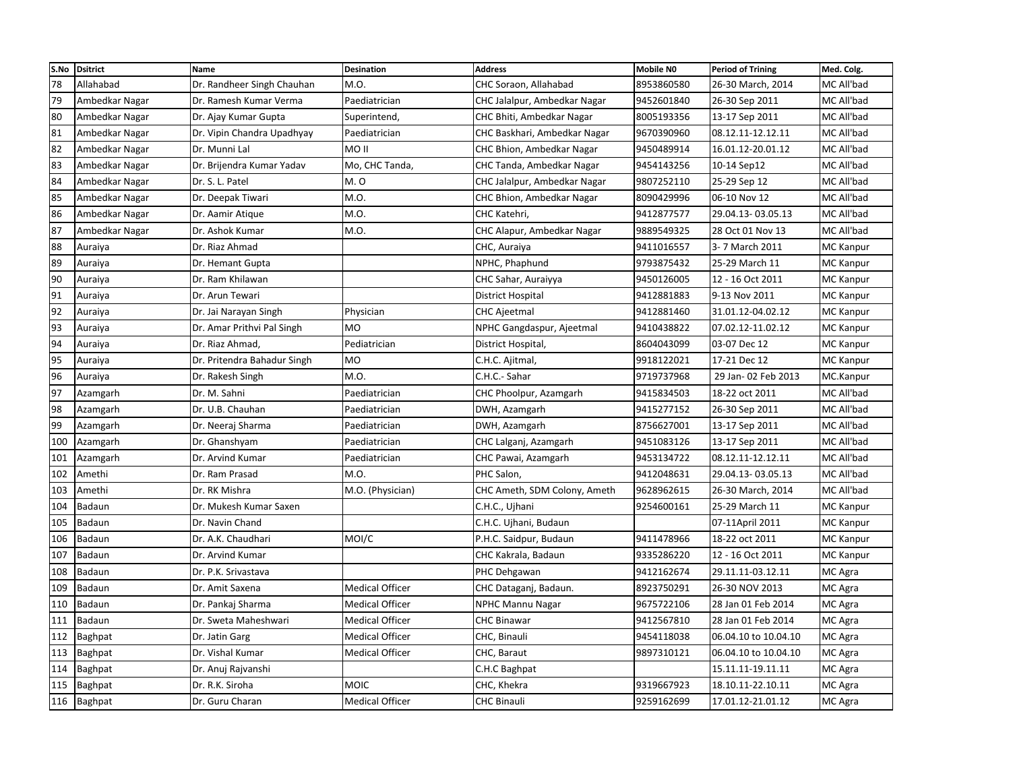| S.No | <b>Dsitrict</b> | <b>Name</b>                 | <b>Desination</b>      | <b>Address</b>               | <b>Mobile NO</b> | <b>Period of Trining</b> | Med. Colg.       |
|------|-----------------|-----------------------------|------------------------|------------------------------|------------------|--------------------------|------------------|
| 78   | Allahabad       | Dr. Randheer Singh Chauhan  | M.O.                   | CHC Soraon, Allahabad        | 8953860580       | 26-30 March, 2014        | MC All'bad       |
| 79   | Ambedkar Nagar  | Dr. Ramesh Kumar Verma      | Paediatrician          | CHC Jalalpur, Ambedkar Nagar | 9452601840       | 26-30 Sep 2011           | MC All'bad       |
| 80   | Ambedkar Nagar  | Dr. Ajay Kumar Gupta        | Superintend,           | CHC Bhiti, Ambedkar Nagar    | 8005193356       | 13-17 Sep 2011           | MC All'bad       |
| 81   | Ambedkar Nagar  | Dr. Vipin Chandra Upadhyay  | Paediatrician          | CHC Baskhari, Ambedkar Nagar | 9670390960       | 08.12.11-12.12.11        | MC All'bad       |
| 82   | Ambedkar Nagar  | Dr. Munni Lal               | MO II                  | CHC Bhion, Ambedkar Nagar    | 9450489914       | 16.01.12-20.01.12        | MC All'bad       |
| 83   | Ambedkar Nagar  | Dr. Brijendra Kumar Yadav   | Mo, CHC Tanda,         | CHC Tanda, Ambedkar Nagar    | 9454143256       | 10-14 Sep12              | MC All'bad       |
| 84   | Ambedkar Nagar  | Dr. S. L. Patel             | M. O                   | CHC Jalalpur, Ambedkar Nagar | 9807252110       | 25-29 Sep 12             | MC All'bad       |
| 85   | Ambedkar Nagar  | Dr. Deepak Tiwari           | M.O.                   | CHC Bhion, Ambedkar Nagar    | 8090429996       | 06-10 Nov 12             | MC All'bad       |
| 86   | Ambedkar Nagar  | Dr. Aamir Atique            | M.O.                   | CHC Katehri,                 | 9412877577       | 29.04.13-03.05.13        | MC All'bad       |
| 87   | Ambedkar Nagar  | Dr. Ashok Kumar             | M.O.                   | CHC Alapur, Ambedkar Nagar   | 9889549325       | 28 Oct 01 Nov 13         | MC All'bad       |
| 88   | Auraiya         | Dr. Riaz Ahmad              |                        | CHC, Auraiya                 | 9411016557       | 3- 7 March 2011          | MC Kanpur        |
| 89   | Auraiya         | Dr. Hemant Gupta            |                        | NPHC, Phaphund               | 9793875432       | 25-29 March 11           | MC Kanpur        |
| 90   | Auraiya         | Dr. Ram Khilawan            |                        | CHC Sahar, Auraiyya          | 9450126005       | 12 - 16 Oct 2011         | MC Kanpur        |
| 91   | Auraiya         | Dr. Arun Tewari             |                        | <b>District Hospital</b>     | 9412881883       | 9-13 Nov 2011            | MC Kanpur        |
| 92   | Auraiya         | Dr. Jai Narayan Singh       | Physician              | <b>CHC Ajeetmal</b>          | 9412881460       | 31.01.12-04.02.12        | <b>MC Kanpur</b> |
| 93   | Auraiya         | Dr. Amar Prithvi Pal Singh  | <b>MO</b>              | NPHC Gangdaspur, Ajeetmal    | 9410438822       | 07.02.12-11.02.12        | MC Kanpur        |
| 94   | Auraiya         | Dr. Riaz Ahmad,             | Pediatrician           | District Hospital,           | 8604043099       | 03-07 Dec 12             | MC Kanpur        |
| 95   | Auraiya         | Dr. Pritendra Bahadur Singh | <b>MO</b>              | C.H.C. Ajitmal,              | 9918122021       | 17-21 Dec 12             | MC Kanpur        |
| 96   | Auraiya         | Dr. Rakesh Singh            | M.O.                   | C.H.C.- Sahar                | 9719737968       | 29 Jan- 02 Feb 2013      | MC.Kanpur        |
| 97   | Azamgarh        | Dr. M. Sahni                | Paediatrician          | CHC Phoolpur, Azamgarh       | 9415834503       | 18-22 oct 2011           | MC All'bad       |
| 98   | Azamgarh        | Dr. U.B. Chauhan            | Paediatrician          | DWH, Azamgarh                | 9415277152       | 26-30 Sep 2011           | MC All'bad       |
| 99   | Azamgarh        | Dr. Neeraj Sharma           | Paediatrician          | DWH, Azamgarh                | 8756627001       | 13-17 Sep 2011           | MC All'bad       |
| 100  | Azamgarh        | Dr. Ghanshyam               | Paediatrician          | CHC Lalganj, Azamgarh        | 9451083126       | 13-17 Sep 2011           | MC All'bad       |
| 101  | Azamgarh        | Dr. Arvind Kumar            | Paediatrician          | CHC Pawai, Azamgarh          | 9453134722       | 08.12.11-12.12.11        | MC All'bad       |
| 102  | Amethi          | Dr. Ram Prasad              | M.O.                   | PHC Salon,                   | 9412048631       | 29.04.13-03.05.13        | MC All'bad       |
| 103  | Amethi          | Dr. RK Mishra               | M.O. (Physician)       | CHC Ameth, SDM Colony, Ameth | 9628962615       | 26-30 March, 2014        | MC All'bad       |
| 104  | Badaun          | Dr. Mukesh Kumar Saxen      |                        | C.H.C., Ujhani               | 9254600161       | 25-29 March 11           | MC Kanpur        |
| 105  | Badaun          | Dr. Navin Chand             |                        | C.H.C. Ujhani, Budaun        |                  | 07-11April 2011          | MC Kanpur        |
| 106  | Badaun          | Dr. A.K. Chaudhari          | MOI/C                  | P.H.C. Saidpur, Budaun       | 9411478966       | 18-22 oct 2011           | MC Kanpur        |
| 107  | Badaun          | Dr. Arvind Kumar            |                        | CHC Kakrala, Badaun          | 9335286220       | 12 - 16 Oct 2011         | MC Kanpur        |
| 108  | Badaun          | Dr. P.K. Srivastava         |                        | PHC Dehgawan                 | 9412162674       | 29.11.11-03.12.11        | MC Agra          |
| 109  | Badaun          | Dr. Amit Saxena             | <b>Medical Officer</b> | CHC Dataganj, Badaun.        | 8923750291       | 26-30 NOV 2013           | MC Agra          |
| 110  | Badaun          | Dr. Pankaj Sharma           | <b>Medical Officer</b> | <b>NPHC Mannu Nagar</b>      | 9675722106       | 28 Jan 01 Feb 2014       | MC Agra          |
| 111  | Badaun          | Dr. Sweta Maheshwari        | <b>Medical Officer</b> | <b>CHC Binawar</b>           | 9412567810       | 28 Jan 01 Feb 2014       | MC Agra          |
| 112  | Baghpat         | Dr. Jatin Garg              | <b>Medical Officer</b> | CHC, Binauli                 | 9454118038       | 06.04.10 to 10.04.10     | MC Agra          |
| 113  | Baghpat         | Dr. Vishal Kumar            | <b>Medical Officer</b> | CHC, Baraut                  | 9897310121       | 06.04.10 to 10.04.10     | MC Agra          |
| 114  | Baghpat         | Dr. Anuj Rajvanshi          |                        | C.H.C Baghpat                |                  | 15.11.11-19.11.11        | MC Agra          |
| 115  | <b>Baghpat</b>  | Dr. R.K. Siroha             | <b>MOIC</b>            | CHC, Khekra                  | 9319667923       | 18.10.11-22.10.11        | MC Agra          |
| 116  | Baghpat         | Dr. Guru Charan             | <b>Medical Officer</b> | <b>CHC Binauli</b>           | 9259162699       | 17.01.12-21.01.12        | MC Agra          |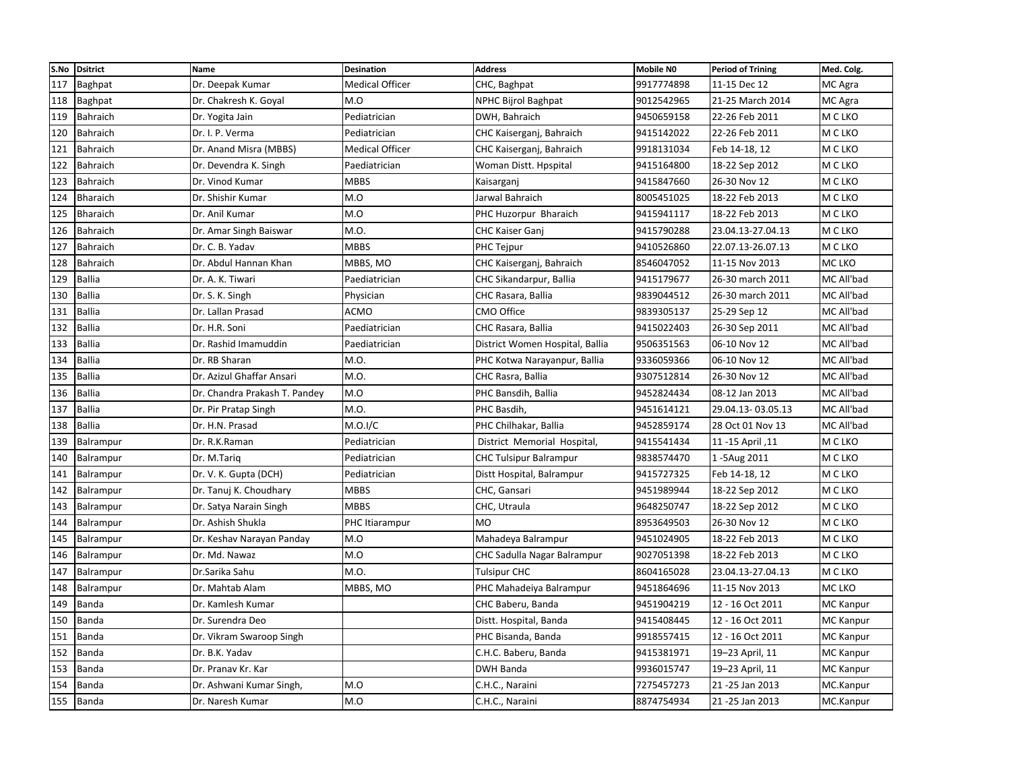| S.No | <b>Dsitrict</b>  | Name                          | <b>Desination</b>      | <b>Address</b>                  | <b>Mobile NO</b> | <b>Period of Trining</b> | Med. Colg. |
|------|------------------|-------------------------------|------------------------|---------------------------------|------------------|--------------------------|------------|
| 117  | Baghpat          | Dr. Deepak Kumar              | <b>Medical Officer</b> | CHC, Baghpat                    | 9917774898       | 11-15 Dec 12             | MC Agra    |
| 118  | <b>Baghpat</b>   | Dr. Chakresh K. Goyal         | M.O                    | <b>NPHC Bijrol Baghpat</b>      | 9012542965       | 21-25 March 2014         | MC Agra    |
| 119  | <b>Bahraich</b>  | Dr. Yogita Jain               | Pediatrician           | DWH, Bahraich                   | 9450659158       | 22-26 Feb 2011           | M C LKO    |
| 120  | <b>Bahraich</b>  | Dr. I. P. Verma               | Pediatrician           | CHC Kaiserganj, Bahraich        | 9415142022       | 22-26 Feb 2011           | M C LKO    |
| 121  | <b>Bahraich</b>  | Dr. Anand Misra (MBBS)        | <b>Medical Officer</b> | CHC Kaiserganj, Bahraich        | 9918131034       | Feb 14-18, 12            | M C LKO    |
| 122  | Bahraich         | Dr. Devendra K. Singh         | Paediatrician          | Woman Distt. Hpspital           | 9415164800       | 18-22 Sep 2012           | M C LKO    |
| 123  | <b>Bahraich</b>  | Dr. Vinod Kumar               | <b>MBBS</b>            | Kaisarganj                      | 9415847660       | 26-30 Nov 12             | M C LKO    |
| 124  | <b>Bharaich</b>  | Dr. Shishir Kumar             | M.O                    | Jarwal Bahraich                 | 8005451025       | 18-22 Feb 2013           | M C LKO    |
| 125  | <b>Bharaich</b>  | Dr. Anil Kumar                | M.O                    | PHC Huzorpur Bharaich           | 9415941117       | 18-22 Feb 2013           | M C LKO    |
| 126  | <b>Bahraich</b>  | Dr. Amar Singh Baiswar        | M.O.                   | CHC Kaiser Ganj                 | 9415790288       | 23.04.13-27.04.13        | M C LKO    |
| 127  | <b>Bahraich</b>  | Dr. C. B. Yadav               | <b>MBBS</b>            | PHC Tejpur                      | 9410526860       | 22.07.13-26.07.13        | M C LKO    |
| 128  | <b>Bahraich</b>  | Dr. Abdul Hannan Khan         | MBBS, MO               | CHC Kaiserganj, Bahraich        | 8546047052       | 11-15 Nov 2013           | MC LKO     |
| 129  | <b>Ballia</b>    | Dr. A. K. Tiwari              | Paediatrician          | CHC Sikandarpur, Ballia         | 9415179677       | 26-30 march 2011         | MC All'bad |
| 130  | <b>Ballia</b>    | Dr. S. K. Singh               | Physician              | CHC Rasara, Ballia              | 9839044512       | 26-30 march 2011         | MC All'bad |
| 131  | <b>Ballia</b>    | Dr. Lallan Prasad             | ACMO                   | CMO Office                      | 9839305137       | 25-29 Sep 12             | MC All'bad |
| 132  | <b>Ballia</b>    | Dr. H.R. Soni                 | Paediatrician          | CHC Rasara, Ballia              | 9415022403       | 26-30 Sep 2011           | MC All'bad |
| 133  | <b>Ballia</b>    | Dr. Rashid Imamuddin          | Paediatrician          | District Women Hospital, Ballia | 9506351563       | 06-10 Nov 12             | MC All'bad |
| 134  | <b>Ballia</b>    | Dr. RB Sharan                 | M.O.                   | PHC Kotwa Narayanpur, Ballia    | 9336059366       | 06-10 Nov 12             | MC All'bad |
| 135  | <b>Ballia</b>    | Dr. Azizul Ghaffar Ansari     | M.O.                   | CHC Rasra, Ballia               | 9307512814       | 26-30 Nov 12             | MC All'bad |
| 136  | <b>Ballia</b>    | Dr. Chandra Prakash T. Pandey | M.O                    | PHC Bansdih, Ballia             | 9452824434       | 08-12 Jan 2013           | MC All'bad |
| 137  | <b>Ballia</b>    | Dr. Pir Pratap Singh          | M.O.                   | PHC Basdih,                     | 9451614121       | 29.04.13-03.05.13        | MC All'bad |
| 138  | <b>Ballia</b>    | Dr. H.N. Prasad               | M.O.I/C                | PHC Chilhakar, Ballia           | 9452859174       | 28 Oct 01 Nov 13         | MC All'bad |
| 139  | Balrampur        | Dr. R.K.Raman                 | Pediatrician           | District Memorial Hospital,     | 9415541434       | 11, 15 April 11          | M C LKO    |
| 140  | Balrampur        | Dr. M.Tariq                   | Pediatrician           | <b>CHC Tulsipur Balrampur</b>   | 9838574470       | 1-5Aug 2011              | M C LKO    |
| 141  | Balrampur        | Dr. V. K. Gupta (DCH)         | Pediatrician           | Distt Hospital, Balrampur       | 9415727325       | Feb 14-18, 12            | M C LKO    |
| 142  | Balrampur        | Dr. Tanuj K. Choudhary        | <b>MBBS</b>            | CHC, Gansari                    | 9451989944       | 18-22 Sep 2012           | M C LKO    |
| 143  | Balrampur        | Dr. Satya Narain Singh        | <b>MBBS</b>            | CHC, Utraula                    | 9648250747       | 18-22 Sep 2012           | M C LKO    |
| 144  | Balrampur        | Dr. Ashish Shukla             | <b>PHC Itiarampur</b>  | <b>MO</b>                       | 8953649503       | 26-30 Nov 12             | M C LKO    |
| 145  | Balrampur        | Dr. Keshav Narayan Panday     | M.O                    | Mahadeya Balrampur              | 9451024905       | 18-22 Feb 2013           | M C LKO    |
| 146  | <b>Balrampur</b> | Dr. Md. Nawaz                 | M.O                    | CHC Sadulla Nagar Balrampur     | 9027051398       | 18-22 Feb 2013           | M C LKO    |
| 147  | Balrampur        | Dr.Sarika Sahu                | M.O.                   | <b>Tulsipur CHC</b>             | 8604165028       | 23.04.13-27.04.13        | M C LKO    |
| 148  | Balrampur        | Dr. Mahtab Alam               | MBBS, MO               | PHC Mahadeiya Balrampur         | 9451864696       | 11-15 Nov 2013           | MC LKO     |
| 149  | Banda            | Dr. Kamlesh Kumar             |                        | CHC Baberu, Banda               | 9451904219       | 12 - 16 Oct 2011         | MC Kanpur  |
| 150  | Banda            | Dr. Surendra Deo              |                        | Distt. Hospital, Banda          | 9415408445       | 12 - 16 Oct 2011         | MC Kanpur  |
| 151  | Banda            | Dr. Vikram Swaroop Singh      |                        | PHC Bisanda, Banda              | 9918557415       | 12 - 16 Oct 2011         | MC Kanpur  |
| 152  | Banda            | Dr. B.K. Yadav                |                        | C.H.C. Baberu, Banda            | 9415381971       | 19–23 April, 11          | MC Kanpur  |
| 153  | Banda            | Dr. Pranav Kr. Kar            |                        | DWH Banda                       | 9936015747       | 19–23 April, 11          | MC Kanpur  |
| 154  | Banda            | Dr. Ashwani Kumar Singh,      | M.O                    | C.H.C., Naraini                 | 7275457273       | 21 - 25 Jan 2013         | MC.Kanpur  |
| 155  | <b>Banda</b>     | Dr. Naresh Kumar              | M.O                    | C.H.C., Naraini                 | 8874754934       | 21 - 25 Jan 2013         | MC.Kanpur  |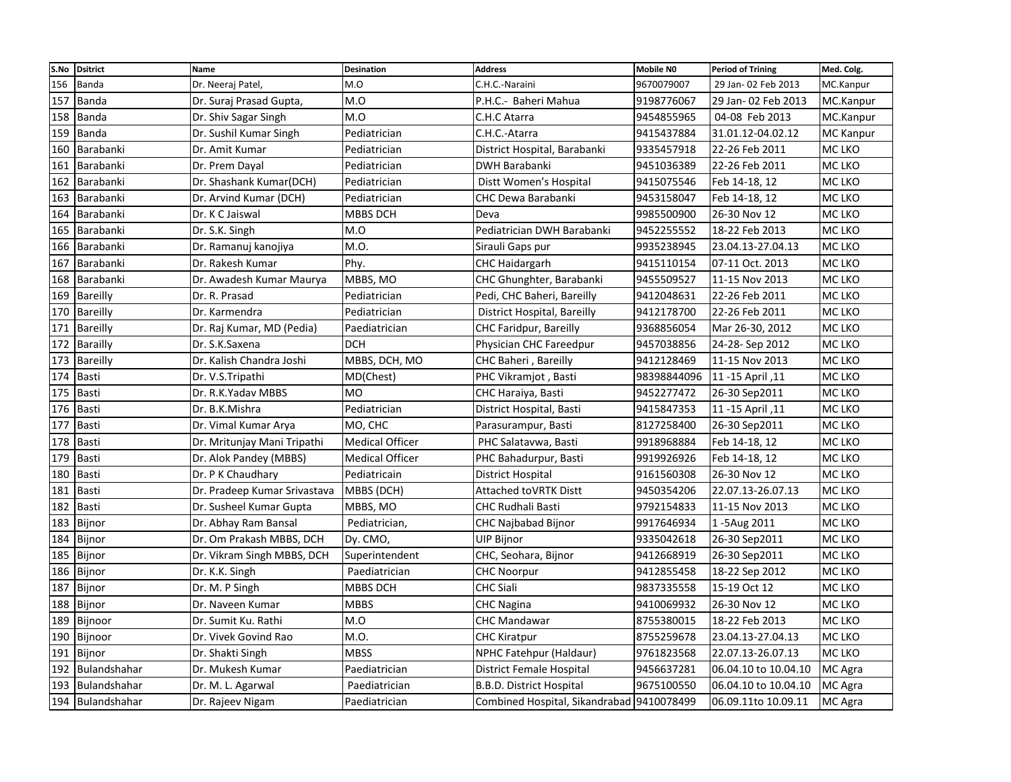| S.No | <b>Dsitrict</b>  | <b>Name</b>                  | <b>Desination</b>      | <b>Address</b>                            | <b>Mobile NO</b> | <b>Period of Trining</b> | Med. Colg.       |
|------|------------------|------------------------------|------------------------|-------------------------------------------|------------------|--------------------------|------------------|
| 156  | Banda            | Dr. Neeraj Patel,            | M.O                    | C.H.C.-Naraini                            | 9670079007       | 29 Jan- 02 Feb 2013      | MC.Kanpur        |
| 157  | Banda            | Dr. Suraj Prasad Gupta,      | M.O                    | P.H.C.- Baheri Mahua                      | 9198776067       | 29 Jan- 02 Feb 2013      | MC.Kanpur        |
| 158  | Banda            | Dr. Shiv Sagar Singh         | M.O                    | C.H.C Atarra                              | 9454855965       | 04-08 Feb 2013           | MC.Kanpur        |
| 159  | Banda            | Dr. Sushil Kumar Singh       | Pediatrician           | C.H.C.-Atarra                             | 9415437884       | 31.01.12-04.02.12        | <b>MC</b> Kanpur |
| 160  | Barabanki        | Dr. Amit Kumar               | Pediatrician           | District Hospital, Barabanki              | 9335457918       | 22-26 Feb 2011           | MC LKO           |
| 161  | Barabanki        | Dr. Prem Dayal               | Pediatrician           | DWH Barabanki                             | 9451036389       | 22-26 Feb 2011           | MC LKO           |
| 162  | Barabanki        | Dr. Shashank Kumar(DCH)      | Pediatrician           | Distt Women's Hospital                    | 9415075546       | Feb 14-18, 12            | MC LKO           |
| 163  | Barabanki        | Dr. Arvind Kumar (DCH)       | Pediatrician           | CHC Dewa Barabanki                        | 9453158047       | Feb 14-18, 12            | MC LKO           |
| 164  | Barabanki        | Dr. K C Jaiswal              | <b>MBBS DCH</b>        | Deva                                      | 9985500900       | 26-30 Nov 12             | MC LKO           |
| 165  | Barabanki        | Dr. S.K. Singh               | M.O                    | Pediatrician DWH Barabanki                | 9452255552       | 18-22 Feb 2013           | MC LKO           |
| 166  | Barabanki        | Dr. Ramanuj kanojiya         | M.O.                   | Sirauli Gaps pur                          | 9935238945       | 23.04.13-27.04.13        | MC LKO           |
| 167  | Barabanki        | Dr. Rakesh Kumar             | Phy.                   | <b>CHC Haidargarh</b>                     | 9415110154       | 07-11 Oct. 2013          | MC LKO           |
| 168  | Barabanki        | Dr. Awadesh Kumar Maurya     | MBBS, MO               | CHC Ghunghter, Barabanki                  | 9455509527       | 11-15 Nov 2013           | MC LKO           |
| 169  | Bareilly         | Dr. R. Prasad                | Pediatrician           | Pedi, CHC Baheri, Bareilly                | 9412048631       | 22-26 Feb 2011           | MC LKO           |
| 170  | <b>Bareilly</b>  | Dr. Karmendra                | Pediatrician           | District Hospital, Bareilly               | 9412178700       | 22-26 Feb 2011           | MC LKO           |
| 171  | Bareilly         | Dr. Raj Kumar, MD (Pedia)    | Paediatrician          | CHC Faridpur, Bareilly                    | 9368856054       | Mar 26-30, 2012          | MC LKO           |
| 172  | Barailly         | Dr. S.K.Saxena               | <b>DCH</b>             | Physician CHC Fareedpur                   | 9457038856       | 24-28- Sep 2012          | MC LKO           |
| 173  | Bareilly         | Dr. Kalish Chandra Joshi     | MBBS, DCH, MO          | CHC Baheri, Bareilly                      | 9412128469       | 11-15 Nov 2013           | MC LKO           |
| 174  | Basti            | Dr. V.S.Tripathi             | MD(Chest)              | PHC Vikramjot, Basti                      | 98398844096      | 11, 15 April 11          | MC LKO           |
| 175  | Basti            | Dr. R.K.Yadav MBBS           | <b>MO</b>              | CHC Haraiya, Basti                        | 9452277472       | 26-30 Sep2011            | MC LKO           |
| 176  | <b>Basti</b>     | Dr. B.K.Mishra               | Pediatrician           | District Hospital, Basti                  | 9415847353       | 11, 15 April 11          | MC LKO           |
| 177  | <b>Basti</b>     | Dr. Vimal Kumar Arya         | MO, CHC                | Parasurampur, Basti                       | 8127258400       | 26-30 Sep2011            | MC LKO           |
| 178  | <b>Basti</b>     | Dr. Mritunjay Mani Tripathi  | <b>Medical Officer</b> | PHC Salatavwa, Basti                      | 9918968884       | Feb 14-18, 12            | MC LKO           |
| 179  | Basti            | Dr. Alok Pandey (MBBS)       | <b>Medical Officer</b> | PHC Bahadurpur, Basti                     | 9919926926       | Feb 14-18, 12            | MC LKO           |
| 180  | <b>Basti</b>     | Dr. P K Chaudhary            | Pediatricain           | District Hospital                         | 9161560308       | 26-30 Nov 12             | MC LKO           |
| 181  | Basti            | Dr. Pradeep Kumar Srivastava | MBBS (DCH)             | Attached toVRTK Distt                     | 9450354206       | 22.07.13-26.07.13        | MC LKO           |
| 182  | Basti            | Dr. Susheel Kumar Gupta      | MBBS, MO               | <b>CHC Rudhali Basti</b>                  | 9792154833       | 11-15 Nov 2013           | MC LKO           |
| 183  | Bijnor           | Dr. Abhay Ram Bansal         | Pediatrician,          | CHC Najbabad Bijnor                       | 9917646934       | 1-5Aug 2011              | MC LKO           |
| 184  | Bijnor           | Dr. Om Prakash MBBS, DCH     | Dy. CMO,               | UIP Bijnor                                | 9335042618       | 26-30 Sep2011            | MC LKO           |
|      | 185 Bijnor       | Dr. Vikram Singh MBBS, DCH   | Superintendent         | CHC, Seohara, Bijnor                      | 9412668919       | 26-30 Sep2011            | MC LKO           |
|      | 186 Bijnor       | Dr. K.K. Singh               | Paediatrician          | <b>CHC Noorpur</b>                        | 9412855458       | 18-22 Sep 2012           | MC LKO           |
| 187  | <b>Bijnor</b>    | Dr. M. P Singh               | <b>MBBS DCH</b>        | <b>CHC Siali</b>                          | 9837335558       | 15-19 Oct 12             | <b>MC LKO</b>    |
| 188  | Bijnor           | Dr. Naveen Kumar             | <b>MBBS</b>            | <b>CHC Nagina</b>                         | 9410069932       | 26-30 Nov 12             | MC LKO           |
| 189  | Bijnoor          | Dr. Sumit Ku. Rathi          | M.O                    | <b>CHC Mandawar</b>                       | 8755380015       | 18-22 Feb 2013           | <b>MC LKO</b>    |
| 190  | Bijnoor          | Dr. Vivek Govind Rao         | M.O.                   | <b>CHC Kiratpur</b>                       | 8755259678       | 23.04.13-27.04.13        | MC LKO           |
| 191  | Bijnor           | Dr. Shakti Singh             | <b>MBSS</b>            | NPHC Fatehpur (Haldaur)                   | 9761823568       | 22.07.13-26.07.13        | <b>MC LKO</b>    |
| 192  | Bulandshahar     | Dr. Mukesh Kumar             | Paediatrician          | District Female Hospital                  | 9456637281       | 06.04.10 to 10.04.10     | MC Agra          |
|      | 193 Bulandshahar | Dr. M. L. Agarwal            | Paediatrician          | <b>B.B.D. District Hospital</b>           | 9675100550       | 06.04.10 to 10.04.10     | MC Agra          |
|      | 194 Bulandshahar | Dr. Rajeev Nigam             | Paediatrician          | Combined Hospital, Sikandrabad 9410078499 |                  | 06.09.11to 10.09.11      | MC Agra          |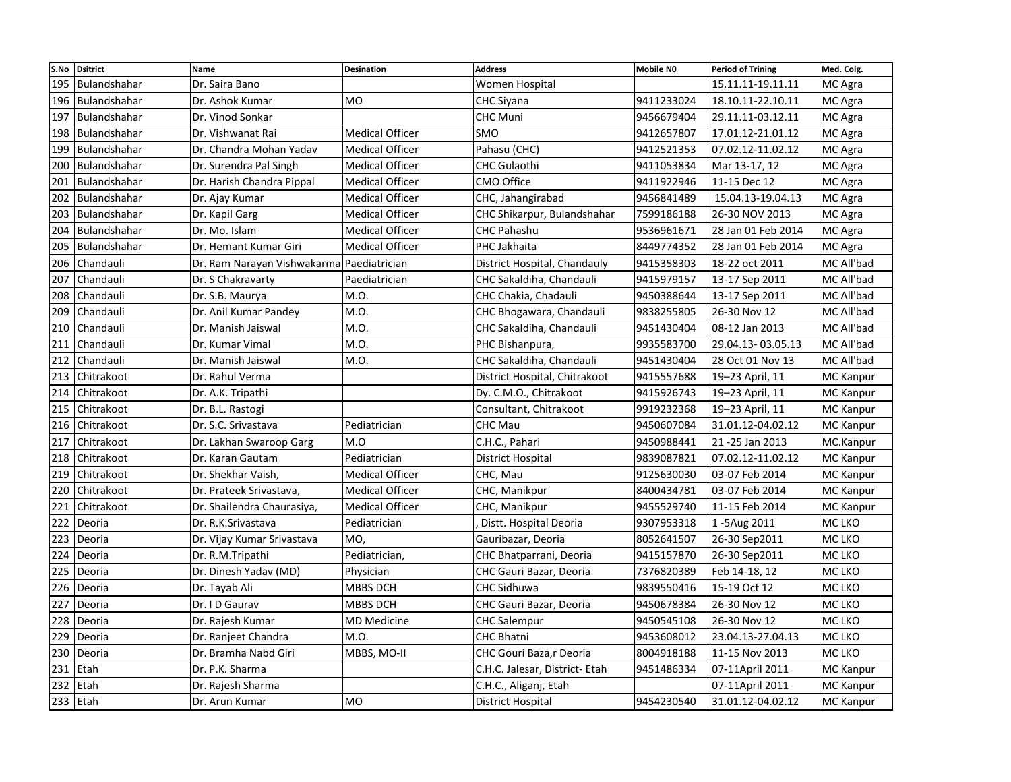| S.No | <b>Dsitrict</b>  | <b>Name</b>                               | <b>Desination</b>      | <b>Address</b>                 | <b>Mobile NO</b> | <b>Period of Trining</b> | Med. Colg.       |
|------|------------------|-------------------------------------------|------------------------|--------------------------------|------------------|--------------------------|------------------|
| 195  | Bulandshahar     | Dr. Saira Bano                            |                        | Women Hospital                 |                  | 15.11.11-19.11.11        | MC Agra          |
| 196  | Bulandshahar     | Dr. Ashok Kumar                           | <b>MO</b>              | <b>CHC Siyana</b>              | 9411233024       | 18.10.11-22.10.11        | MC Agra          |
| 197  | Bulandshahar     | Dr. Vinod Sonkar                          |                        | <b>CHC Muni</b>                | 9456679404       | 29.11.11-03.12.11        | MC Agra          |
| 198  | Bulandshahar     | Dr. Vishwanat Rai                         | <b>Medical Officer</b> | <b>SMO</b>                     | 9412657807       | 17.01.12-21.01.12        | MC Agra          |
| 199  | Bulandshahar     | Dr. Chandra Mohan Yadav                   | <b>Medical Officer</b> | Pahasu (CHC)                   | 9412521353       | 07.02.12-11.02.12        | MC Agra          |
|      | 200 Bulandshahar | Dr. Surendra Pal Singh                    | <b>Medical Officer</b> | <b>CHC Gulaothi</b>            | 9411053834       | Mar 13-17, 12            | MC Agra          |
| 201  | Bulandshahar     | Dr. Harish Chandra Pippal                 | <b>Medical Officer</b> | <b>CMO Office</b>              | 9411922946       | 11-15 Dec 12             | MC Agra          |
| 202  | Bulandshahar     | Dr. Ajay Kumar                            | <b>Medical Officer</b> | CHC, Jahangirabad              | 9456841489       | 15.04.13-19.04.13        | MC Agra          |
| 203  | Bulandshahar     | Dr. Kapil Garg                            | <b>Medical Officer</b> | CHC Shikarpur, Bulandshahar    | 7599186188       | 26-30 NOV 2013           | MC Agra          |
| 204  | Bulandshahar     | Dr. Mo. Islam                             | <b>Medical Officer</b> | CHC Pahashu                    | 9536961671       | 28 Jan 01 Feb 2014       | MC Agra          |
| 205  | Bulandshahar     | Dr. Hemant Kumar Giri                     | <b>Medical Officer</b> | PHC Jakhaita                   | 8449774352       | 28 Jan 01 Feb 2014       | MC Agra          |
| 206  | Chandauli        | Dr. Ram Narayan Vishwakarma Paediatrician |                        | District Hospital, Chandauly   | 9415358303       | 18-22 oct 2011           | MC All'bad       |
| 207  | Chandauli        | Dr. S Chakravarty                         | Paediatrician          | CHC Sakaldiha, Chandauli       | 9415979157       | 13-17 Sep 2011           | MC All'bad       |
| 208  | Chandauli        | Dr. S.B. Maurya                           | M.O.                   | CHC Chakia, Chadauli           | 9450388644       | 13-17 Sep 2011           | MC All'bad       |
| 209  | Chandauli        | Dr. Anil Kumar Pandey                     | M.O.                   | CHC Bhogawara, Chandauli       | 9838255805       | 26-30 Nov 12             | MC All'bad       |
| 210  | Chandauli        | Dr. Manish Jaiswal                        | M.O.                   | CHC Sakaldiha, Chandauli       | 9451430404       | 08-12 Jan 2013           | MC All'bad       |
| 211  | Chandauli        | Dr. Kumar Vimal                           | M.O.                   | PHC Bishanpura,                | 9935583700       | 29.04.13-03.05.13        | MC All'bad       |
| 212  | Chandauli        | Dr. Manish Jaiswal                        | M.O.                   | CHC Sakaldiha, Chandauli       | 9451430404       | 28 Oct 01 Nov 13         | MC All'bad       |
| 213  | Chitrakoot       | Dr. Rahul Verma                           |                        | District Hospital, Chitrakoot  | 9415557688       | 19-23 April, 11          | <b>MC</b> Kanpur |
| 214  | Chitrakoot       | Dr. A.K. Tripathi                         |                        | Dy. C.M.O., Chitrakoot         | 9415926743       | 19-23 April, 11          | <b>MC Kanpur</b> |
|      | 215 Chitrakoot   | Dr. B.L. Rastogi                          |                        | Consultant, Chitrakoot         | 9919232368       | 19-23 April, 11          | <b>MC Kanpur</b> |
|      | 216 Chitrakoot   | Dr. S.C. Srivastava                       | Pediatrician           | CHC Mau                        | 9450607084       | 31.01.12-04.02.12        | <b>MC Kanpur</b> |
| 217  | Chitrakoot       | Dr. Lakhan Swaroop Garg                   | M.O                    | C.H.C., Pahari                 | 9450988441       | 21 - 25 Jan 2013         | MC.Kanpur        |
| 218  | Chitrakoot       | Dr. Karan Gautam                          | Pediatrician           | <b>District Hospital</b>       | 9839087821       | 07.02.12-11.02.12        | <b>MC Kanpur</b> |
| 219  | Chitrakoot       | Dr. Shekhar Vaish,                        | <b>Medical Officer</b> | CHC, Mau                       | 9125630030       | 03-07 Feb 2014           | <b>MC Kanpur</b> |
| 220  | Chitrakoot       | Dr. Prateek Srivastava,                   | <b>Medical Officer</b> | CHC, Manikpur                  | 8400434781       | 03-07 Feb 2014           | <b>MC Kanpur</b> |
| 221  | Chitrakoot       | Dr. Shailendra Chaurasiya,                | <b>Medical Officer</b> | CHC, Manikpur                  | 9455529740       | 11-15 Feb 2014           | <b>MC Kanpur</b> |
| 222  | Deoria           | Dr. R.K.Srivastava                        | Pediatrician           | Distt. Hospital Deoria         | 9307953318       | 1-5Aug 2011              | MC LKO           |
|      | 223 Deoria       | Dr. Vijay Kumar Srivastava                | MO,                    | Gauribazar, Deoria             | 8052641507       | 26-30 Sep2011            | MC LKO           |
|      | 224 Deoria       | Dr. R.M.Tripathi                          | Pediatrician,          | CHC Bhatparrani, Deoria        | 9415157870       | 26-30 Sep2011            | MC LKO           |
|      | 225 Deoria       | Dr. Dinesh Yadav (MD)                     | Physician              | CHC Gauri Bazar, Deoria        | 7376820389       | Feb 14-18, 12            | MC LKO           |
|      | 226 Deoria       | Dr. Tayab Ali                             | <b>MBBS DCH</b>        | <b>CHC Sidhuwa</b>             | 9839550416       | 15-19 Oct 12             | MC LKO           |
| 227  | Deoria           | Dr. I D Gaurav                            | <b>MBBS DCH</b>        | CHC Gauri Bazar, Deoria        | 9450678384       | 26-30 Nov 12             | MC LKO           |
| 228  | Deoria           | Dr. Rajesh Kumar                          | <b>MD Medicine</b>     | <b>CHC Salempur</b>            | 9450545108       | 26-30 Nov 12             | MC LKO           |
| 229  | Deoria           | Dr. Ranjeet Chandra                       | M.O.                   | <b>CHC Bhatni</b>              | 9453608012       | 23.04.13-27.04.13        | MC LKO           |
| 230  | Deoria           | Dr. Bramha Nabd Giri                      | MBBS, MO-II            | CHC Gouri Baza,r Deoria        | 8004918188       | 11-15 Nov 2013           | MC LKO           |
| 231  | Etah             | Dr. P.K. Sharma                           |                        | C.H.C. Jalesar, District- Etah | 9451486334       | 07-11April 2011          | <b>MC Kanpur</b> |
| 232  | Etah             | Dr. Rajesh Sharma                         |                        | C.H.C., Aliganj, Etah          |                  | 07-11April 2011          | <b>MC Kanpur</b> |
|      | 233 Etah         | Dr. Arun Kumar                            | <b>MO</b>              | <b>District Hospital</b>       | 9454230540       | 31.01.12-04.02.12        | MC Kanpur        |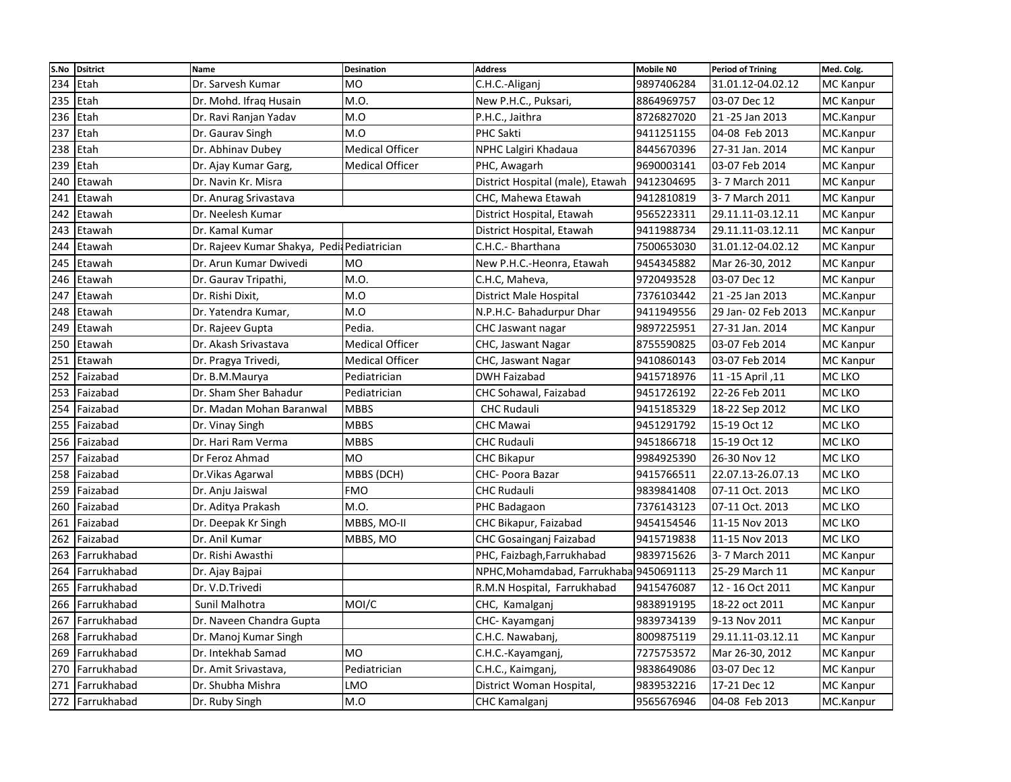|     | S.No Dsitrict        | <b>Name</b>                                | <b>Desination</b>      | <b>Address</b>                          | Mobile NO  | <b>Period of Trining</b> | Med. Colg.       |
|-----|----------------------|--------------------------------------------|------------------------|-----------------------------------------|------------|--------------------------|------------------|
| 234 | Etah                 | Dr. Sarvesh Kumar                          | <b>MO</b>              | C.H.C.-Aliganj                          | 9897406284 | 31.01.12-04.02.12        | <b>MC Kanpur</b> |
| 235 | Etah                 | Dr. Mohd. Ifrag Husain                     | M.O.                   | New P.H.C., Puksari,                    | 8864969757 | 03-07 Dec 12             | MC Kanpur        |
| 236 | Etah                 | Dr. Ravi Ranjan Yadav                      | M.O                    | P.H.C., Jaithra                         | 8726827020 | 21 - 25 Jan 2013         | MC.Kanpur        |
| 237 | Etah                 | Dr. Gaurav Singh                           | M.O                    | PHC Sakti                               | 9411251155 | 04-08 Feb 2013           | MC.Kanpur        |
| 238 | Etah                 | Dr. Abhinav Dubey                          | <b>Medical Officer</b> | NPHC Lalgiri Khadaua                    | 8445670396 | 27-31 Jan. 2014          | MC Kanpur        |
| 239 | Etah                 | Dr. Ajay Kumar Garg,                       | <b>Medical Officer</b> | PHC, Awagarh                            | 9690003141 | 03-07 Feb 2014           | <b>MC Kanpur</b> |
| 240 | Etawah               | Dr. Navin Kr. Misra                        |                        | District Hospital (male), Etawah        | 9412304695 | 3-7 March 2011           | MC Kanpur        |
| 241 | Etawah               | Dr. Anurag Srivastava                      |                        | CHC, Mahewa Etawah                      | 9412810819 | 3-7 March 2011           | MC Kanpur        |
| 242 | Etawah               | Dr. Neelesh Kumar                          |                        | District Hospital, Etawah               | 9565223311 | 29.11.11-03.12.11        | <b>MC Kanpur</b> |
| 243 | Etawah               | Dr. Kamal Kumar                            |                        | District Hospital, Etawah               | 9411988734 | 29.11.11-03.12.11        | MC Kanpur        |
| 244 | Etawah               | Dr. Rajeev Kumar Shakya, PediaPediatrician |                        | C.H.C.- Bharthana                       | 7500653030 | 31.01.12-04.02.12        | <b>MC Kanpur</b> |
| 245 | Etawah               | Dr. Arun Kumar Dwivedi                     | <b>MO</b>              | New P.H.C.-Heonra, Etawah               | 9454345882 | Mar 26-30, 2012          | <b>MC Kanpur</b> |
| 246 | Etawah               | Dr. Gaurav Tripathi,                       | M.O.                   | C.H.C, Maheva,                          | 9720493528 | 03-07 Dec 12             | MC Kanpur        |
| 247 | Etawah               | Dr. Rishi Dixit,                           | M.O                    | District Male Hospital                  | 7376103442 | 21-25 Jan 2013           | MC.Kanpur        |
|     | 248 Etawah           | Dr. Yatendra Kumar,                        | M.O                    | N.P.H.C- Bahadurpur Dhar                | 9411949556 | 29 Jan- 02 Feb 2013      | MC.Kanpur        |
|     | 249 Etawah           | Dr. Rajeev Gupta                           | Pedia.                 | <b>CHC Jaswant nagar</b>                | 9897225951 | 27-31 Jan. 2014          | MC Kanpur        |
| 250 | Etawah               | Dr. Akash Srivastava                       | <b>Medical Officer</b> | CHC, Jaswant Nagar                      | 8755590825 | 03-07 Feb 2014           | <b>MC Kanpur</b> |
| 251 | Etawah               | Dr. Pragya Trivedi,                        | <b>Medical Officer</b> | CHC, Jaswant Nagar                      | 9410860143 | 03-07 Feb 2014           | <b>MC Kanpur</b> |
| 252 | Faizabad             | Dr. B.M.Maurya                             | Pediatrician           | DWH Faizabad                            | 9415718976 | 11, 15 April 11          | MC LKO           |
| 253 | Faizabad             | Dr. Sham Sher Bahadur                      | Pediatrician           | CHC Sohawal, Faizabad                   | 9451726192 | 22-26 Feb 2011           | MC LKO           |
| 254 | Faizabad             | Dr. Madan Mohan Baranwal                   | <b>MBBS</b>            | <b>CHC Rudauli</b>                      | 9415185329 | 18-22 Sep 2012           | MC LKO           |
| 255 | Faizabad             | Dr. Vinay Singh                            | <b>MBBS</b>            | CHC Mawai                               | 9451291792 | 15-19 Oct 12             | MC LKO           |
| 256 | Faizabad             | Dr. Hari Ram Verma                         | <b>MBBS</b>            | CHC Rudauli                             | 9451866718 | 15-19 Oct 12             | MC LKO           |
| 257 | Faizabad             | Dr Feroz Ahmad                             | <b>MO</b>              | <b>CHC Bikapur</b>                      | 9984925390 | 26-30 Nov 12             | MC LKO           |
| 258 | Faizabad             | Dr. Vikas Agarwal                          | MBBS (DCH)             | <b>CHC-Poora Bazar</b>                  | 9415766511 | 22.07.13-26.07.13        | MC LKO           |
| 259 | Faizabad             | Dr. Anju Jaiswal                           | <b>FMO</b>             | <b>CHC Rudauli</b>                      | 9839841408 | 07-11 Oct. 2013          | MC LKO           |
| 260 | Faizabad             | Dr. Aditya Prakash                         | M.O.                   | PHC Badagaon                            | 7376143123 | 07-11 Oct. 2013          | MC LKO           |
| 261 | Faizabad             | Dr. Deepak Kr Singh                        | MBBS, MO-II            | CHC Bikapur, Faizabad                   | 9454154546 | 11-15 Nov 2013           | MC LKO           |
| 262 | Faizabad             | Dr. Anil Kumar                             | MBBS, MO               | CHC Gosainganj Faizabad                 | 9415719838 | 11-15 Nov 2013           | MC LKO           |
|     | 263 Farrukhabad      | Dr. Rishi Awasthi                          |                        | PHC, Faizbagh, Farrukhabad              | 9839715626 | 3-7 March 2011           | MC Kanpur        |
| 264 | <b>I</b> Farrukhabad | Dr. Ajay Bajpai                            |                        | NPHC, Mohamdabad, Farrukhaba 9450691113 |            | 25-29 March 11           | <b>MC Kanpur</b> |
|     | 265 Farrukhabad      | Dr. V.D.Trivedi                            |                        | R.M.N Hospital, Farrukhabad             | 9415476087 | 12 - 16 Oct 2011         | <b>MC Kanpur</b> |
|     | 266 Farrukhabad      | Sunil Malhotra                             | MOI/C                  | CHC, Kamalganj                          | 9838919195 | 18-22 oct 2011           | <b>MC Kanpur</b> |
| 267 | Farrukhabad          | Dr. Naveen Chandra Gupta                   |                        | CHC- Kayamganj                          | 9839734139 | 9-13 Nov 2011            | <b>MC Kanpur</b> |
| 268 | Farrukhabad          | Dr. Manoj Kumar Singh                      |                        | C.H.C. Nawabanj,                        | 8009875119 | 29.11.11-03.12.11        | MC Kanpur        |
| 269 | Farrukhabad          | Dr. Intekhab Samad                         | <b>MO</b>              | C.H.C.-Kayamganj,                       | 7275753572 | Mar 26-30, 2012          | MC Kanpur        |
| 270 | Farrukhabad          | Dr. Amit Srivastava,                       | Pediatrician           | C.H.C., Kaimganj,                       | 9838649086 | 03-07 Dec 12             | <b>MC Kanpur</b> |
| 271 | Farrukhabad          | Dr. Shubha Mishra                          | LMO                    | District Woman Hospital,                | 9839532216 | 17-21 Dec 12             | MC Kanpur        |
|     | 272 Farrukhabad      | Dr. Ruby Singh                             | M.O                    | <b>CHC Kamalganj</b>                    | 9565676946 | 04-08 Feb 2013           | MC.Kanpur        |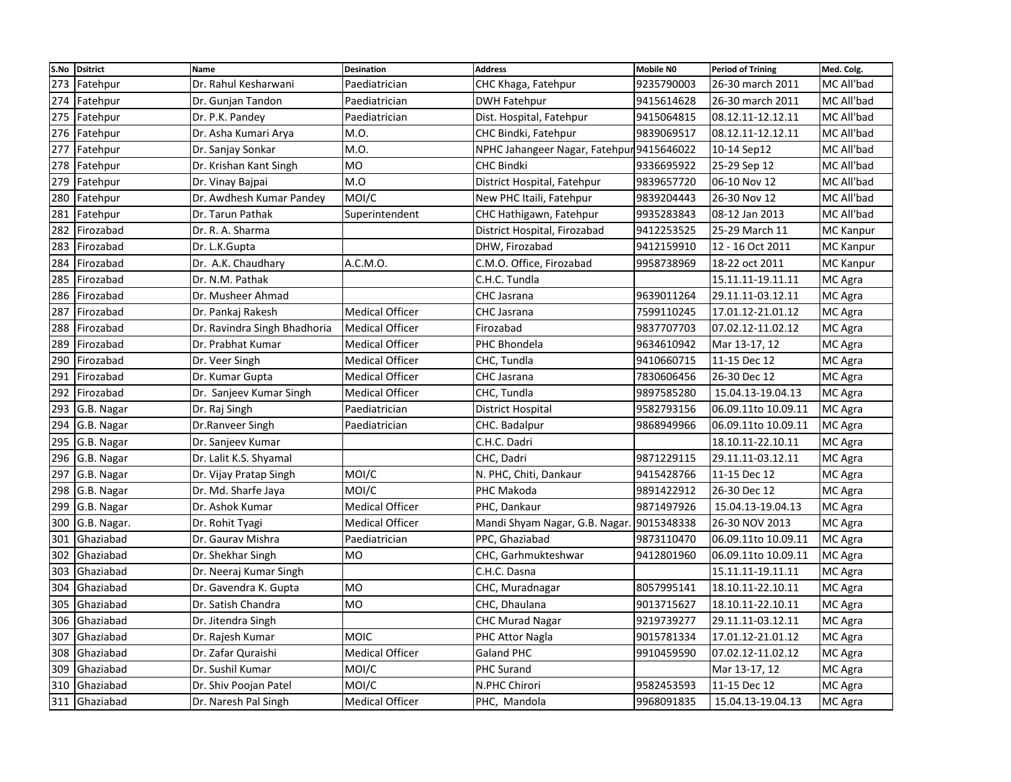|     | S.No Dsitrict  | <b>Name</b>                  | <b>Desination</b>      | <b>Address</b>                            | <b>Mobile NO</b> | <b>Period of Trining</b> | Med. Colg.       |
|-----|----------------|------------------------------|------------------------|-------------------------------------------|------------------|--------------------------|------------------|
| 273 | Fatehpur       | Dr. Rahul Kesharwani         | Paediatrician          | CHC Khaga, Fatehpur                       | 9235790003       | 26-30 march 2011         | MC All'bad       |
| 274 | Fatehpur       | Dr. Gunjan Tandon            | Paediatrician          | <b>DWH Fatehpur</b>                       | 9415614628       | 26-30 march 2011         | MC All'bad       |
| 275 | Fatehpur       | Dr. P.K. Pandey              | Paediatrician          | Dist. Hospital, Fatehpur                  | 9415064815       | 08.12.11-12.12.11        | MC All'bad       |
| 276 | Fatehpur       | Dr. Asha Kumari Arya         | M.O.                   | CHC Bindki, Fatehpur                      | 9839069517       | 08.12.11-12.12.11        | MC All'bad       |
| 277 | Fatehpur       | Dr. Sanjay Sonkar            | M.O.                   | NPHC Jahangeer Nagar, Fatehpur 9415646022 |                  | 10-14 Sep12              | MC All'bad       |
| 278 | Fatehpur       | Dr. Krishan Kant Singh       | <b>MO</b>              | <b>CHC Bindki</b>                         | 9336695922       | 25-29 Sep 12             | MC All'bad       |
| 279 | Fatehpur       | Dr. Vinay Bajpai             | M.O                    | District Hospital, Fatehpur               | 9839657720       | 06-10 Nov 12             | MC All'bad       |
| 280 | Fatehpur       | Dr. Awdhesh Kumar Pandey     | MOI/C                  | New PHC Itaili, Fatehpur                  | 9839204443       | 26-30 Nov 12             | MC All'bad       |
| 281 | Fatehpur       | Dr. Tarun Pathak             | Superintendent         | CHC Hathigawn, Fatehpur                   | 9935283843       | 08-12 Jan 2013           | MC All'bad       |
| 282 | Firozabad      | Dr. R. A. Sharma             |                        | District Hospital, Firozabad              | 9412253525       | 25-29 March 11           | <b>MC</b> Kanpur |
| 283 | Firozabad      | Dr. L.K.Gupta                |                        | DHW, Firozabad                            | 9412159910       | 12 - 16 Oct 2011         | <b>MC Kanpur</b> |
| 284 | Firozabad      | Dr. A.K. Chaudhary           | A.C.M.O.               | C.M.O. Office, Firozabad                  | 9958738969       | 18-22 oct 2011           | MC Kanpur        |
| 285 | Firozabad      | Dr. N.M. Pathak              |                        | C.H.C. Tundla                             |                  | 15.11.11-19.11.11        | MC Agra          |
|     | 286 Firozabad  | Dr. Musheer Ahmad            |                        | CHC Jasrana                               | 9639011264       | 29.11.11-03.12.11        | MC Agra          |
| 287 | Firozabad      | Dr. Pankaj Rakesh            | <b>Medical Officer</b> | CHC Jasrana                               | 7599110245       | 17.01.12-21.01.12        | MC Agra          |
|     | 288 Firozabad  | Dr. Ravindra Singh Bhadhoria | <b>Medical Officer</b> | Firozabad                                 | 9837707703       | 07.02.12-11.02.12        | MC Agra          |
| 289 | Firozabad      | Dr. Prabhat Kumar            | <b>Medical Officer</b> | PHC Bhondela                              | 9634610942       | Mar 13-17, 12            | MC Agra          |
| 290 | Firozabad      | Dr. Veer Singh               | <b>Medical Officer</b> | CHC, Tundla                               | 9410660715       | 11-15 Dec 12             | MC Agra          |
| 291 | Firozabad      | Dr. Kumar Gupta              | <b>Medical Officer</b> | <b>CHC Jasrana</b>                        | 7830606456       | 26-30 Dec 12             | MC Agra          |
| 292 | Firozabad      | Dr. Sanjeev Kumar Singh      | <b>Medical Officer</b> | CHC, Tundla                               | 9897585280       | 15.04.13-19.04.13        | MC Agra          |
|     | 293 G.B. Nagar | Dr. Raj Singh                | Paediatrician          | District Hospital                         | 9582793156       | 06.09.11to 10.09.11      | MC Agra          |
|     | 294 G.B. Nagar | Dr.Ranveer Singh             | Paediatrician          | CHC. Badalpur                             | 9868949966       | 06.09.11to 10.09.11      | MC Agra          |
|     | 295 G.B. Nagar | Dr. Sanjeev Kumar            |                        | C.H.C. Dadri                              |                  | 18.10.11-22.10.11        | MC Agra          |
|     | 296 G.B. Nagar | Dr. Lalit K.S. Shyamal       |                        | CHC, Dadri                                | 9871229115       | 29.11.11-03.12.11        | MC Agra          |
| 297 | G.B. Nagar     | Dr. Vijay Pratap Singh       | MOI/C                  | N. PHC, Chiti, Dankaur                    | 9415428766       | 11-15 Dec 12             | MC Agra          |
| 298 | G.B. Nagar     | Dr. Md. Sharfe Jaya          | MOI/C                  | PHC Makoda                                | 9891422912       | 26-30 Dec 12             | MC Agra          |
| 299 | G.B. Nagar     | Dr. Ashok Kumar              | <b>Medical Officer</b> | PHC, Dankaur                              | 9871497926       | 15.04.13-19.04.13        | MC Agra          |
| 300 | G.B. Nagar.    | Dr. Rohit Tyagi              | <b>Medical Officer</b> | Mandi Shyam Nagar, G.B. Nagar.            | 9015348338       | 26-30 NOV 2013           | MC Agra          |
| 301 | Ghaziabad      | Dr. Gaurav Mishra            | Paediatrician          | PPC, Ghaziabad                            | 9873110470       | 06.09.11to 10.09.11      | MC Agra          |
|     | 302 Ghaziabad  | Dr. Shekhar Singh            | <b>MO</b>              | CHC, Garhmukteshwar                       | 9412801960       | 06.09.11to 10.09.11      | MC Agra          |
|     | 303 Ghaziabad  | Dr. Neeraj Kumar Singh       |                        | C.H.C. Dasna                              |                  | 15.11.11-19.11.11        | MC Agra          |
| 304 | Ghaziabad      | Dr. Gavendra K. Gupta        | <b>MO</b>              | CHC, Muradnagar                           | 8057995141       | 18.10.11-22.10.11        | MC Agra          |
| 305 | Ghaziabad      | Dr. Satish Chandra           | <b>MO</b>              | CHC, Dhaulana                             | 9013715627       | 18.10.11-22.10.11        | MC Agra          |
| 306 | Ghaziabad      | Dr. Jitendra Singh           |                        | <b>CHC Murad Nagar</b>                    | 9219739277       | 29.11.11-03.12.11        | MC Agra          |
| 307 | Ghaziabad      | Dr. Rajesh Kumar             | <b>MOIC</b>            | PHC Attor Nagla                           | 9015781334       | 17.01.12-21.01.12        | MC Agra          |
| 308 | Ghaziabad      | Dr. Zafar Quraishi           | <b>Medical Officer</b> | <b>Galand PHC</b>                         | 9910459590       | 07.02.12-11.02.12        | MC Agra          |
| 309 | Ghaziabad      | Dr. Sushil Kumar             | MOI/C                  | PHC Surand                                |                  | Mar 13-17, 12            | MC Agra          |
|     | 310 Ghaziabad  | Dr. Shiv Poojan Patel        | MOI/C                  | N.PHC Chirori                             | 9582453593       | 11-15 Dec 12             | MC Agra          |
|     | 311 Ghaziabad  | Dr. Naresh Pal Singh         | <b>Medical Officer</b> | PHC, Mandola                              | 9968091835       | 15.04.13-19.04.13        | MC Agra          |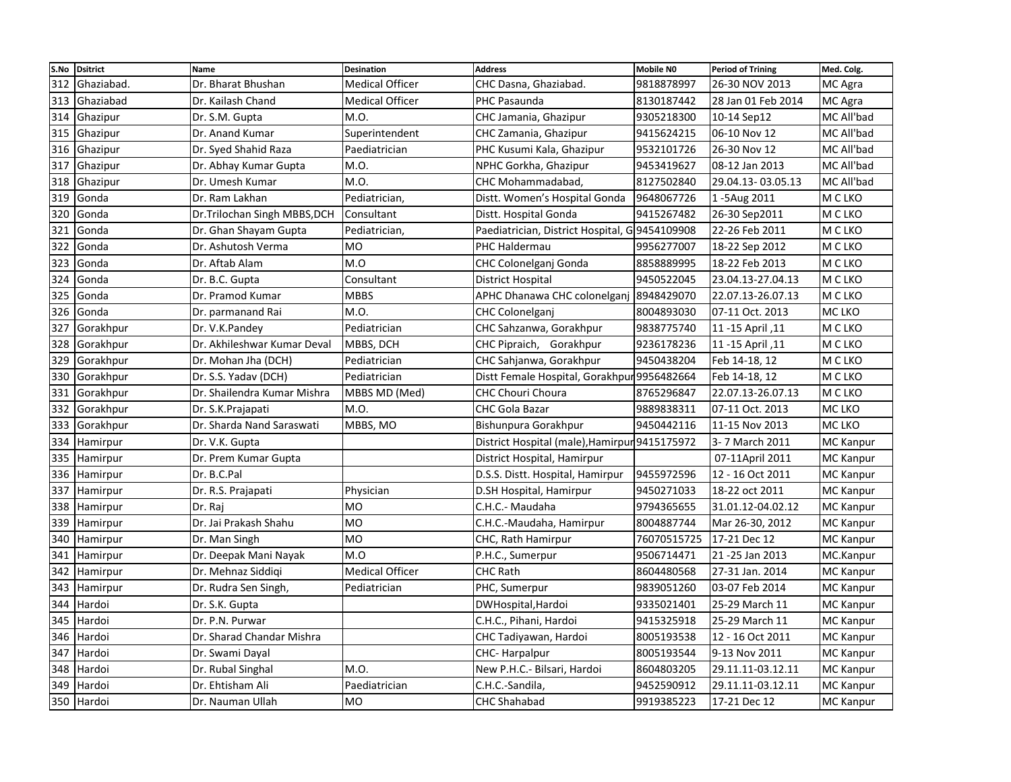|     | S.No Dsitrict | <b>Name</b>                  | <b>Desination</b>      | <b>Address</b>                                 | <b>Mobile NO</b> | <b>Period of Trining</b> | Med. Colg.       |
|-----|---------------|------------------------------|------------------------|------------------------------------------------|------------------|--------------------------|------------------|
| 312 | Ghaziabad.    | Dr. Bharat Bhushan           | <b>Medical Officer</b> | CHC Dasna, Ghaziabad.                          | 9818878997       | 26-30 NOV 2013           | MC Agra          |
| 313 | Ghaziabad     | Dr. Kailash Chand            | <b>Medical Officer</b> | PHC Pasaunda                                   | 8130187442       | 28 Jan 01 Feb 2014       | MC Agra          |
| 314 | Ghazipur      | Dr. S.M. Gupta               | M.O.                   | CHC Jamania, Ghazipur                          | 9305218300       | 10-14 Sep12              | MC All'bad       |
| 315 | Ghazipur      | Dr. Anand Kumar              | Superintendent         | CHC Zamania, Ghazipur                          | 9415624215       | 06-10 Nov 12             | MC All'bad       |
|     | 316 Ghazipur  | Dr. Syed Shahid Raza         | Paediatrician          | PHC Kusumi Kala, Ghazipur                      | 9532101726       | 26-30 Nov 12             | MC All'bad       |
| 317 | Ghazipur      | Dr. Abhay Kumar Gupta        | M.O.                   | NPHC Gorkha, Ghazipur                          | 9453419627       | 08-12 Jan 2013           | MC All'bad       |
|     | 318 Ghazipur  | Dr. Umesh Kumar              | M.O.                   | CHC Mohammadabad,                              | 8127502840       | 29.04.13-03.05.13        | MC All'bad       |
| 319 | Gonda         | Dr. Ram Lakhan               | Pediatrician,          | Distt. Women's Hospital Gonda                  | 9648067726       | 1-5Aug 2011              | M C LKO          |
| 320 | Gonda         | Dr.Trilochan Singh MBBS, DCH | Consultant             | Distt. Hospital Gonda                          | 9415267482       | 26-30 Sep2011            | M C LKO          |
| 321 | Gonda         | Dr. Ghan Shayam Gupta        | Pediatrician,          | Paediatrician, District Hospital, G 9454109908 |                  | 22-26 Feb 2011           | M C LKO          |
| 322 | Gonda         | Dr. Ashutosh Verma           | MO                     | PHC Haldermau                                  | 9956277007       | 18-22 Sep 2012           | M C LKO          |
| 323 | Gonda         | Dr. Aftab Alam               | M.O                    | CHC Colonelganj Gonda                          | 8858889995       | 18-22 Feb 2013           | M C LKO          |
|     | 324 Gonda     | Dr. B.C. Gupta               | Consultant             | District Hospital                              | 9450522045       | 23.04.13-27.04.13        | M C LKO          |
|     | 325 Gonda     | Dr. Pramod Kumar             | <b>MBBS</b>            | APHC Dhanawa CHC colonelganj 8948429070        |                  | 22.07.13-26.07.13        | M C LKO          |
|     | 326 Gonda     | Dr. parmanand Rai            | M.O.                   | CHC Colonelganj                                | 8004893030       | 07-11 Oct. 2013          | MC LKO           |
| 327 | Gorakhpur     | Dr. V.K.Pandey               | Pediatrician           | CHC Sahzanwa, Gorakhpur                        | 9838775740       | 11, 15 April 11          | M C LKO          |
| 328 | Gorakhpur     | Dr. Akhileshwar Kumar Deval  | MBBS, DCH              | CHC Pipraich, Gorakhpur                        | 9236178236       | 11, 15 April 11          | M C LKO          |
| 329 | Gorakhpur     | Dr. Mohan Jha (DCH)          | Pediatrician           | CHC Sahjanwa, Gorakhpur                        | 9450438204       | Feb 14-18, 12            | M C LKO          |
| 330 | Gorakhpur     | Dr. S.S. Yadav (DCH)         | Pediatrician           | Distt Female Hospital, Gorakhpur 9956482664    |                  | Feb 14-18, 12            | M C LKO          |
| 331 | Gorakhpur     | Dr. Shailendra Kumar Mishra  | MBBS MD (Med)          | <b>CHC Chouri Choura</b>                       | 8765296847       | 22.07.13-26.07.13        | M C LKO          |
| 332 | Gorakhpur     | Dr. S.K.Prajapati            | M.O.                   | <b>CHC Gola Bazar</b>                          | 9889838311       | 07-11 Oct. 2013          | MC LKO           |
|     | 333 Gorakhpur | Dr. Sharda Nand Saraswati    | MBBS, MO               | Bishunpura Gorakhpur                           | 9450442116       | 11-15 Nov 2013           | MC LKO           |
|     | 334 Hamirpur  | Dr. V.K. Gupta               |                        | District Hospital (male), Hamirpur 9415175972  |                  | 3-7 March 2011           | <b>MC Kanpur</b> |
|     | 335 Hamirpur  | Dr. Prem Kumar Gupta         |                        | District Hospital, Hamirpur                    |                  | 07-11April 2011          | <b>MC Kanpur</b> |
| 336 | Hamirpur      | Dr. B.C.Pal                  |                        | D.S.S. Distt. Hospital, Hamirpur               | 9455972596       | 12 - 16 Oct 2011         | <b>MC Kanpur</b> |
| 337 | Hamirpur      | Dr. R.S. Prajapati           | Physician              | D.SH Hospital, Hamirpur                        | 9450271033       | 18-22 oct 2011           | MC Kanpur        |
| 338 | Hamirpur      | Dr. Raj                      | <b>MO</b>              | C.H.C.- Maudaha                                | 9794365655       | 31.01.12-04.02.12        | <b>MC Kanpur</b> |
| 339 | Hamirpur      | Dr. Jai Prakash Shahu        | <b>MO</b>              | C.H.C.-Maudaha, Hamirpur                       | 8004887744       | Mar 26-30, 2012          | <b>MC Kanpur</b> |
| 340 | Hamirpur      | Dr. Man Singh                | <b>MO</b>              | CHC, Rath Hamirpur                             | 76070515725      | 17-21 Dec 12             | <b>MC Kanpur</b> |
|     | 341 Hamirpur  | Dr. Deepak Mani Nayak        | M.O                    | P.H.C., Sumerpur                               | 9506714471       | 21 - 25 Jan 2013         | MC.Kanpur        |
| 342 | Hamirpur      | Dr. Mehnaz Siddigi           | <b>Medical Officer</b> | <b>CHC Rath</b>                                | 8604480568       | 27-31 Jan. 2014          | <b>MC Kanpur</b> |
|     | 343 Hamirpur  | Dr. Rudra Sen Singh,         | Pediatrician           | PHC, Sumerpur                                  | 9839051260       | 03-07 Feb 2014           | MC Kanpur        |
| 344 | Hardoi        | Dr. S.K. Gupta               |                        | DWHospital, Hardoi                             | 9335021401       | 25-29 March 11           | <b>MC</b> Kanpur |
| 345 | Hardoi        | Dr. P.N. Purwar              |                        | C.H.C., Pihani, Hardoi                         | 9415325918       | 25-29 March 11           | <b>MC Kanpur</b> |
| 346 | Hardoi        | Dr. Sharad Chandar Mishra    |                        | CHC Tadiyawan, Hardoi                          | 8005193538       | 12 - 16 Oct 2011         | <b>MC Kanpur</b> |
| 347 | Hardoi        | Dr. Swami Dayal              |                        | CHC-Harpalpur                                  | 8005193544       | 9-13 Nov 2011            | <b>MC Kanpur</b> |
| 348 | Hardoi        | Dr. Rubal Singhal            | M.O.                   | New P.H.C.- Bilsari, Hardoi                    | 8604803205       | 29.11.11-03.12.11        | MC Kanpur        |
| 349 | Hardoi        | Dr. Ehtisham Ali             | Paediatrician          | C.H.C.-Sandila,                                | 9452590912       | 29.11.11-03.12.11        | MC Kanpur        |
|     | 350 Hardoi    | Dr. Nauman Ullah             | MO                     | <b>CHC Shahabad</b>                            | 9919385223       | 17-21 Dec 12             | <b>MC</b> Kanpur |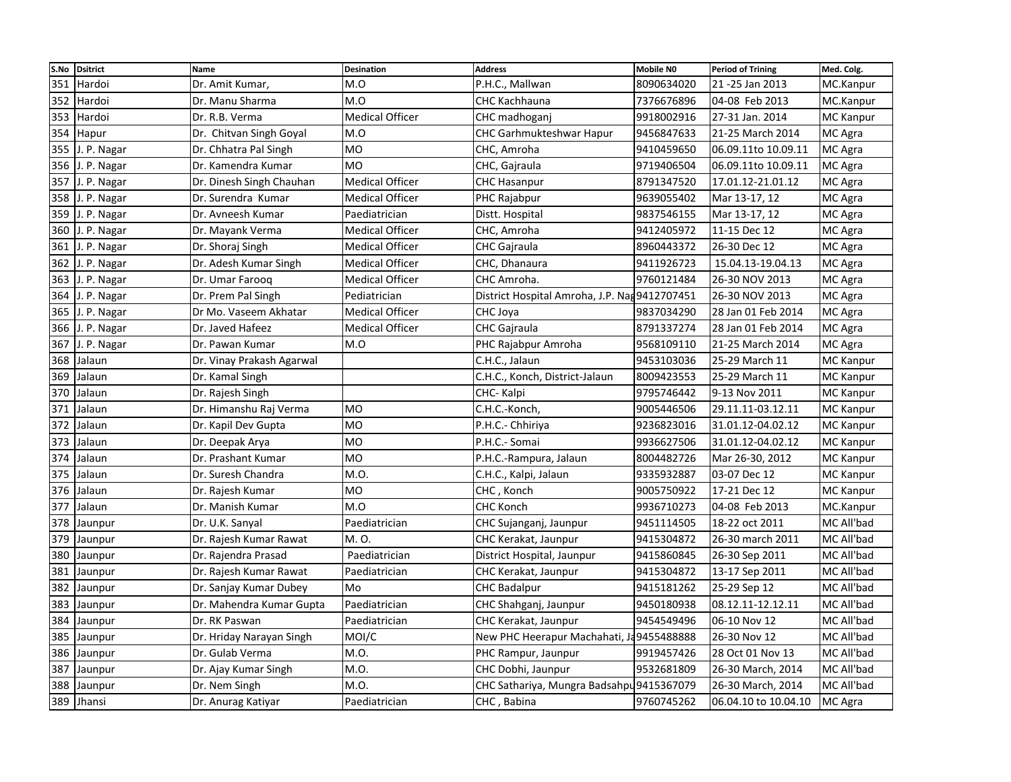|     | S.No Dsitrict   | <b>Name</b>               | <b>Desination</b>      | <b>Address</b>                                | <b>Mobile NO</b> | <b>Period of Trining</b> | Med. Colg.       |
|-----|-----------------|---------------------------|------------------------|-----------------------------------------------|------------------|--------------------------|------------------|
| 351 | Hardoi          | Dr. Amit Kumar,           | M.O                    | P.H.C., Mallwan                               | 8090634020       | 21-25 Jan 2013           | MC.Kanpur        |
| 352 | Hardoi          | Dr. Manu Sharma           | M.O                    | CHC Kachhauna                                 | 7376676896       | 04-08 Feb 2013           | MC.Kanpur        |
|     | 353 Hardoi      | Dr. R.B. Verma            | <b>Medical Officer</b> | CHC madhoganj                                 | 9918002916       | 27-31 Jan. 2014          | <b>MC Kanpur</b> |
|     | 354 Hapur       | Dr. Chitvan Singh Goyal   | M.O                    | <b>CHC Garhmukteshwar Hapur</b>               | 9456847633       | 21-25 March 2014         | MC Agra          |
|     | 355 J. P. Nagar | Dr. Chhatra Pal Singh     | <b>MO</b>              | CHC, Amroha                                   | 9410459650       | 06.09.11to 10.09.11      | MC Agra          |
|     | 356 J. P. Nagar | Dr. Kamendra Kumar        | <b>MO</b>              | CHC, Gajraula                                 | 9719406504       | 06.09.11to 10.09.11      | MC Agra          |
|     | 357 J. P. Nagar | Dr. Dinesh Singh Chauhan  | <b>Medical Officer</b> | CHC Hasanpur                                  | 8791347520       | 17.01.12-21.01.12        | MC Agra          |
|     | 358 J. P. Nagar | Dr. Surendra Kumar        | <b>Medical Officer</b> | PHC Rajabpur                                  | 9639055402       | Mar 13-17, 12            | MC Agra          |
|     | 359 J. P. Nagar | Dr. Avneesh Kumar         | Paediatrician          | Distt. Hospital                               | 9837546155       | Mar 13-17, 12            | MC Agra          |
|     | 360 J. P. Nagar | Dr. Mayank Verma          | <b>Medical Officer</b> | CHC, Amroha                                   | 9412405972       | 11-15 Dec 12             | MC Agra          |
| 361 | J. P. Nagar     | Dr. Shoraj Singh          | <b>Medical Officer</b> | CHC Gajraula                                  | 8960443372       | 26-30 Dec 12             | MC Agra          |
|     | 362 J. P. Nagar | Dr. Adesh Kumar Singh     | <b>Medical Officer</b> | CHC, Dhanaura                                 | 9411926723       | 15.04.13-19.04.13        | MC Agra          |
|     | 363 J. P. Nagar | Dr. Umar Faroog           | <b>Medical Officer</b> | CHC Amroha.                                   | 9760121484       | 26-30 NOV 2013           | MC Agra          |
|     | 364 J. P. Nagar | Dr. Prem Pal Singh        | Pediatrician           | District Hospital Amroha, J.P. Nag 9412707451 |                  | 26-30 NOV 2013           | MC Agra          |
|     | 365 J. P. Nagar | Dr Mo. Vaseem Akhatar     | <b>Medical Officer</b> | CHC Joya                                      | 9837034290       | 28 Jan 01 Feb 2014       | MC Agra          |
|     | 366 J. P. Nagar | Dr. Javed Hafeez          | <b>Medical Officer</b> | <b>CHC</b> Gajraula                           | 8791337274       | 28 Jan 01 Feb 2014       | MC Agra          |
|     | 367 J. P. Nagar | Dr. Pawan Kumar           | M.O                    | PHC Rajabpur Amroha                           | 9568109110       | 21-25 March 2014         | MC Agra          |
| 368 | Jalaun          | Dr. Vinay Prakash Agarwal |                        | C.H.C., Jalaun                                | 9453103036       | 25-29 March 11           | <b>MC Kanpur</b> |
| 369 | Jalaun          | Dr. Kamal Singh           |                        | C.H.C., Konch, District-Jalaun                | 8009423553       | 25-29 March 11           | MC Kanpur        |
| 370 | Jalaun          | Dr. Rajesh Singh          |                        | CHC-Kalpi                                     | 9795746442       | 9-13 Nov 2011            | <b>MC Kanpur</b> |
| 371 | Jalaun          | Dr. Himanshu Raj Verma    | <b>MO</b>              | C.H.C.-Konch,                                 | 9005446506       | 29.11.11-03.12.11        | <b>MC Kanpur</b> |
| 372 | Jalaun          | Dr. Kapil Dev Gupta       | <b>MO</b>              | P.H.C.- Chhiriya                              | 9236823016       | 31.01.12-04.02.12        | <b>MC Kanpur</b> |
| 373 | Jalaun          | Dr. Deepak Arya           | MO                     | P.H.C.- Somai                                 | 9936627506       | 31.01.12-04.02.12        | <b>MC Kanpur</b> |
|     | 374 Jalaun      | Dr. Prashant Kumar        | <b>MO</b>              | P.H.C.-Rampura, Jalaun                        | 8004482726       | Mar 26-30, 2012          | MC Kanpur        |
| 375 | Jalaun          | Dr. Suresh Chandra        | M.O.                   | C.H.C., Kalpi, Jalaun                         | 9335932887       | 03-07 Dec 12             | <b>MC Kanpur</b> |
| 376 | Jalaun          | Dr. Rajesh Kumar          | <b>MO</b>              | CHC, Konch                                    | 9005750922       | 17-21 Dec 12             | MC Kanpur        |
| 377 | Jalaun          | Dr. Manish Kumar          | M.O                    | <b>CHC Konch</b>                              | 9936710273       | 04-08 Feb 2013           | MC.Kanpur        |
| 378 | Jaunpur         | Dr. U.K. Sanyal           | Paediatrician          | CHC Sujanganj, Jaunpur                        | 9451114505       | 18-22 oct 2011           | MC All'bad       |
| 379 | Jaunpur         | Dr. Rajesh Kumar Rawat    | M. O.                  | CHC Kerakat, Jaunpur                          | 9415304872       | 26-30 march 2011         | MC All'bad       |
| 380 | Jaunpur         | Dr. Rajendra Prasad       | Paediatrician          | District Hospital, Jaunpur                    | 9415860845       | 26-30 Sep 2011           | MC All'bad       |
|     | 381 Jaunpur     | Dr. Rajesh Kumar Rawat    | Paediatrician          | CHC Kerakat, Jaunpur                          | 9415304872       | 13-17 Sep 2011           | MC All'bad       |
|     | 382 Jaunpur     | Dr. Sanjay Kumar Dubey    | Mo                     | <b>CHC Badalpur</b>                           | 9415181262       | 25-29 Sep 12             | MC All'bad       |
| 383 | Jaunpur         | Dr. Mahendra Kumar Gupta  | Paediatrician          | CHC Shahganj, Jaunpur                         | 9450180938       | 08.12.11-12.12.11        | MC All'bad       |
| 384 | Jaunpur         | Dr. RK Paswan             | Paediatrician          | CHC Kerakat, Jaunpur                          | 9454549496       | 06-10 Nov 12             | MC All'bad       |
| 385 | Jaunpur         | Dr. Hriday Narayan Singh  | MOI/C                  | New PHC Heerapur Machahati, Ja9455488888      |                  | 26-30 Nov 12             | MC All'bad       |
| 386 | Jaunpur         | Dr. Gulab Verma           | M.O.                   | PHC Rampur, Jaunpur                           | 9919457426       | 28 Oct 01 Nov 13         | MC All'bad       |
| 387 | Jaunpur         | Dr. Ajay Kumar Singh      | M.O.                   | CHC Dobhi, Jaunpur                            | 9532681809       | 26-30 March, 2014        | MC All'bad       |
| 388 | Jaunpur         | Dr. Nem Singh             | M.O.                   | CHC Sathariya, Mungra Badsahpu 9415367079     |                  | 26-30 March, 2014        | MC All'bad       |
|     | 389 Jhansi      | Dr. Anurag Katiyar        | Paediatrician          | CHC, Babina                                   | 9760745262       | 06.04.10 to 10.04.10     | MC Agra          |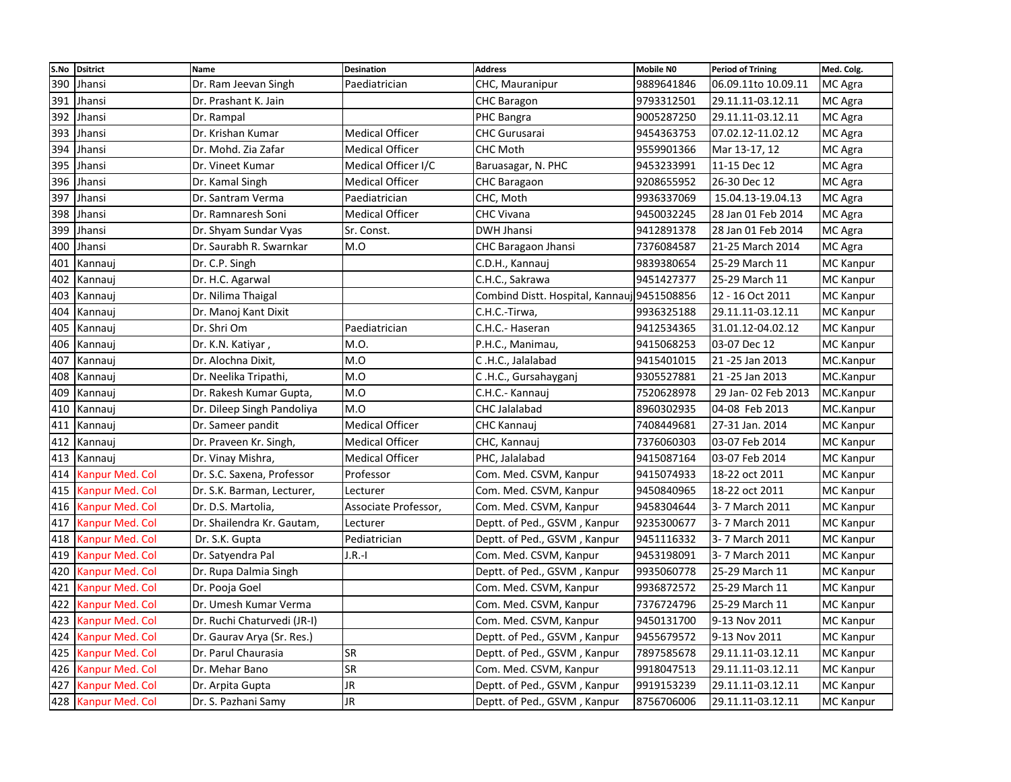| S.No | <b>Dsitrict</b>     | <b>Name</b>                 | <b>Desination</b>      | <b>Address</b>                              | <b>Mobile NO</b> | <b>Period of Trining</b> | Med. Colg.       |
|------|---------------------|-----------------------------|------------------------|---------------------------------------------|------------------|--------------------------|------------------|
| 390  | Jhansi              | Dr. Ram Jeevan Singh        | Paediatrician          | CHC, Mauranipur                             | 9889641846       | 06.09.11to 10.09.11      | MC Agra          |
| 391  | Jhansi              | Dr. Prashant K. Jain        |                        | <b>CHC Baragon</b>                          | 9793312501       | 29.11.11-03.12.11        | MC Agra          |
| 392  | Jhansi              | Dr. Rampal                  |                        | <b>PHC Bangra</b>                           | 9005287250       | 29.11.11-03.12.11        | MC Agra          |
| 393  | Jhansi              | Dr. Krishan Kumar           | <b>Medical Officer</b> | CHC Gurusarai                               | 9454363753       | 07.02.12-11.02.12        | MC Agra          |
| 394  | Jhansi              | Dr. Mohd. Zia Zafar         | <b>Medical Officer</b> | CHC Moth                                    | 9559901366       | Mar 13-17, 12            | MC Agra          |
| 395  | Jhansi              | Dr. Vineet Kumar            | Medical Officer I/C    | Baruasagar, N. PHC                          | 9453233991       | 11-15 Dec 12             | MC Agra          |
| 396  | Jhansi              | Dr. Kamal Singh             | <b>Medical Officer</b> | CHC Baragaon                                | 9208655952       | 26-30 Dec 12             | MC Agra          |
| 397  | Jhansi              | Dr. Santram Verma           | Paediatrician          | CHC, Moth                                   | 9936337069       | 15.04.13-19.04.13        | MC Agra          |
| 398  | Jhansi              | Dr. Ramnaresh Soni          | <b>Medical Officer</b> | <b>CHC Vivana</b>                           | 9450032245       | 28 Jan 01 Feb 2014       | MC Agra          |
| 399  | Jhansi              | Dr. Shyam Sundar Vyas       | Sr. Const.             | DWH Jhansi                                  | 9412891378       | 28 Jan 01 Feb 2014       | MC Agra          |
| 400  | Jhansi              | Dr. Saurabh R. Swarnkar     | M.O                    | CHC Baragaon Jhansi                         | 7376084587       | 21-25 March 2014         | MC Agra          |
| 401  | Kannauj             | Dr. C.P. Singh              |                        | C.D.H., Kannauj                             | 9839380654       | 25-29 March 11           | <b>MC Kanpur</b> |
| 402  | Kannauj             | Dr. H.C. Agarwal            |                        | C.H.C., Sakrawa                             | 9451427377       | 25-29 March 11           | <b>MC Kanpur</b> |
| 403  | Kannaui             | Dr. Nilima Thaigal          |                        | Combind Distt. Hospital, Kannauj 9451508856 |                  | 12 - 16 Oct 2011         | MC Kanpur        |
| 404  | Kannaui             | Dr. Manoj Kant Dixit        |                        | C.H.C.-Tirwa,                               | 9936325188       | 29.11.11-03.12.11        | <b>MC Kanpur</b> |
| 405  | Kannauj             | Dr. Shri Om                 | Paediatrician          | C.H.C.- Haseran                             | 9412534365       | 31.01.12-04.02.12        | <b>MC Kanpur</b> |
| 406  | Kannauj             | Dr. K.N. Katiyar,           | M.O.                   | P.H.C., Manimau,                            | 9415068253       | 03-07 Dec 12             | <b>MC Kanpur</b> |
| 407  | Kannauj             | Dr. Alochna Dixit,          | M.O                    | C.H.C., Jalalabad                           | 9415401015       | 21-25 Jan 2013           | MC.Kanpur        |
| 408  | Kannaui             | Dr. Neelika Tripathi,       | M.O                    | C.H.C., Gursahaygani                        | 9305527881       | 21 - 25 Jan 2013         | MC.Kanpur        |
| 409  | Kannauj             | Dr. Rakesh Kumar Gupta,     | M.O                    | C.H.C.- Kannauj                             | 7520628978       | 29 Jan- 02 Feb 2013      | MC.Kanpur        |
| 410  | Kannauj             | Dr. Dileep Singh Pandoliya  | M.O                    | CHC Jalalabad                               | 8960302935       | 04-08 Feb 2013           | MC.Kanpur        |
| 411  | Kannauj             | Dr. Sameer pandit           | <b>Medical Officer</b> | CHC Kannauj                                 | 7408449681       | 27-31 Jan. 2014          | <b>MC Kanpur</b> |
| 412  | Kannauj             | Dr. Praveen Kr. Singh,      | <b>Medical Officer</b> | CHC, Kannauj                                | 7376060303       | 03-07 Feb 2014           | MC Kanpur        |
| 413  | Kannaui             | Dr. Vinay Mishra,           | <b>Medical Officer</b> | PHC, Jalalabad                              | 9415087164       | 03-07 Feb 2014           | <b>MC Kanpur</b> |
| 414  | Kanpur Med. Col     | Dr. S.C. Saxena, Professor  | Professor              | Com. Med. CSVM, Kanpur                      | 9415074933       | 18-22 oct 2011           | <b>MC Kanpur</b> |
| 415  | Kanpur Med. Col     | Dr. S.K. Barman, Lecturer,  | Lecturer               | Com. Med. CSVM, Kanpur                      | 9450840965       | 18-22 oct 2011           | <b>MC Kanpur</b> |
| 416  | Kanpur Med. Col     | Dr. D.S. Martolia,          | Associate Professor,   | Com. Med. CSVM, Kanpur                      | 9458304644       | 3-7 March 2011           | <b>MC Kanpur</b> |
| 417  | Kanpur Med. Col     | Dr. Shailendra Kr. Gautam,  | Lecturer               | Deptt. of Ped., GSVM, Kanpur                | 9235300677       | 3-7 March 2011           | <b>MC Kanpur</b> |
| 418  | Kanpur Med. Col     | Dr. S.K. Gupta              | Pediatrician           | Deptt. of Ped., GSVM, Kanpur                | 9451116332       | 3-7 March 2011           | MC Kanpur        |
| 419  | Kanpur Med. Col     | Dr. Satyendra Pal           | J.R.-I                 | Com. Med. CSVM, Kanpur                      | 9453198091       | 3-7 March 2011           | <b>MC Kanpur</b> |
| 420  | Kanpur Med. Col     | Dr. Rupa Dalmia Singh       |                        | Deptt. of Ped., GSVM, Kanpur                | 9935060778       | 25-29 March 11           | MC Kanpur        |
| 421  | Kanpur Med. Col     | Dr. Pooja Goel              |                        | Com. Med. CSVM, Kanpur                      | 9936872572       | 25-29 March 11           | <b>MC Kanpur</b> |
| 422  | Kanpur Med. Col     | Dr. Umesh Kumar Verma       |                        | Com. Med. CSVM, Kanpur                      | 7376724796       | 25-29 March 11           | <b>MC Kanpur</b> |
| 423  | Kanpur Med. Col     | Dr. Ruchi Chaturvedi (JR-I) |                        | Com. Med. CSVM, Kanpur                      | 9450131700       | 9-13 Nov 2011            | <b>MC Kanpur</b> |
| 424  | Kanpur Med. Col     | Dr. Gaurav Arya (Sr. Res.)  |                        | Deptt. of Ped., GSVM, Kanpur                | 9455679572       | 9-13 Nov 2011            | <b>MC Kanpur</b> |
| 425  | Kanpur Med. Col     | Dr. Parul Chaurasia         | <b>SR</b>              | Deptt. of Ped., GSVM, Kanpur                | 7897585678       | 29.11.11-03.12.11        | <b>MC Kanpur</b> |
| 426  | Kanpur Med. Col     | Dr. Mehar Bano              | <b>SR</b>              | Com. Med. CSVM, Kanpur                      | 9918047513       | 29.11.11-03.12.11        | MC Kanpur        |
| 427  | Kanpur Med. Col     | Dr. Arpita Gupta            | JR                     | Deptt. of Ped., GSVM, Kanpur                | 9919153239       | 29.11.11-03.12.11        | <b>MC Kanpur</b> |
|      | 428 Kanpur Med. Col | Dr. S. Pazhani Samy         | JR                     | Deptt. of Ped., GSVM, Kanpur                | 8756706006       | 29.11.11-03.12.11        | <b>MC Kanpur</b> |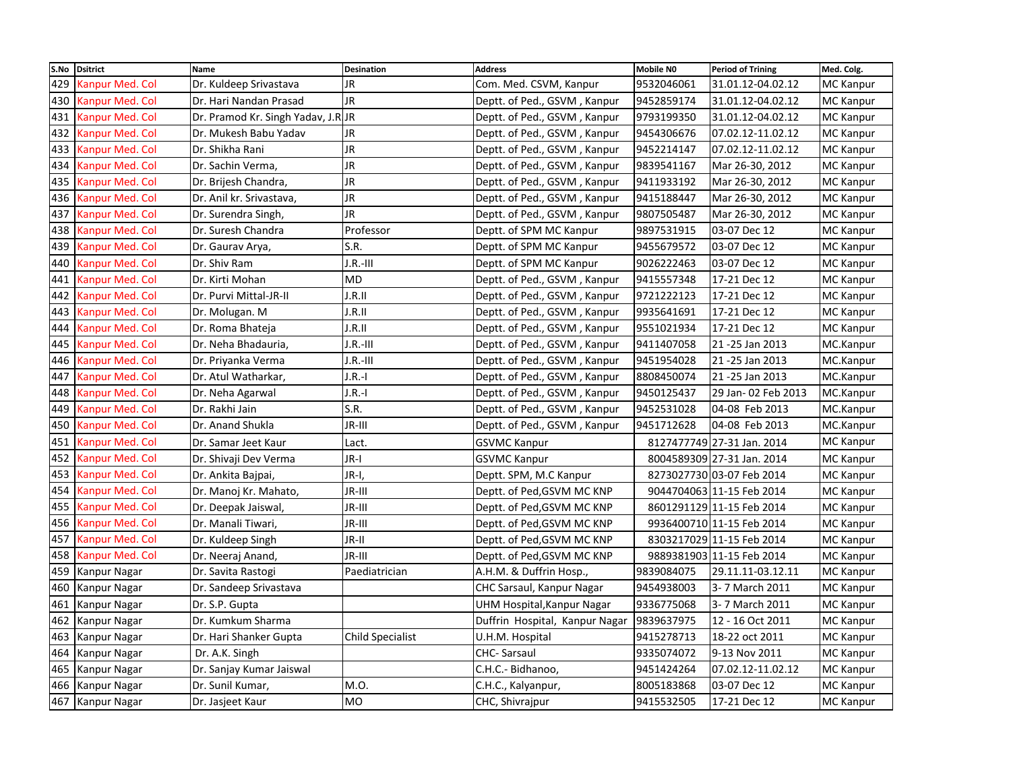|     | S.No Dsitrict          | Name                               | <b>Desination</b> | <b>Address</b>                 | <b>Mobile NO</b> | <b>Period of Trining</b>   | Med. Colg.       |
|-----|------------------------|------------------------------------|-------------------|--------------------------------|------------------|----------------------------|------------------|
| 429 | Kanpur Med. Col        | Dr. Kuldeep Srivastava             | JR.               | Com. Med. CSVM, Kanpur         | 9532046061       | 31.01.12-04.02.12          | <b>MC</b> Kanpur |
| 430 | Kanpur Med. Col        | Dr. Hari Nandan Prasad             | <b>JR</b>         | Deptt. of Ped., GSVM, Kanpur   | 9452859174       | 31.01.12-04.02.12          | <b>MC Kanpur</b> |
| 431 | Kanpur Med. Col        | Dr. Pramod Kr. Singh Yadav, J.R.JR |                   | Deptt. of Ped., GSVM, Kanpur   | 9793199350       | 31.01.12-04.02.12          | <b>MC Kanpur</b> |
| 432 | Kanpur Med. Col        | Dr. Mukesh Babu Yadav              | <b>JR</b>         | Deptt. of Ped., GSVM, Kanpur   | 9454306676       | 07.02.12-11.02.12          | MC Kanpur        |
| 433 | Kanpur Med. Col        | Dr. Shikha Rani                    | <b>JR</b>         | Deptt. of Ped., GSVM, Kanpur   | 9452214147       | 07.02.12-11.02.12          | <b>MC Kanpur</b> |
| 434 | Kanpur Med. Col        | Dr. Sachin Verma,                  | <b>JR</b>         | Deptt. of Ped., GSVM, Kanpur   | 9839541167       | Mar 26-30, 2012            | MC Kanpur        |
| 435 | <b>Kanpur Med. Col</b> | Dr. Brijesh Chandra,               | <b>JR</b>         | Deptt. of Ped., GSVM, Kanpur   | 9411933192       | Mar 26-30, 2012            | MC Kanpur        |
| 436 | Kanpur Med. Col        | Dr. Anil kr. Srivastava,           | <b>JR</b>         | Deptt. of Ped., GSVM, Kanpur   | 9415188447       | Mar 26-30, 2012            | <b>MC Kanpur</b> |
| 437 | Kanpur Med. Col        | Dr. Surendra Singh,                | JR                | Deptt. of Ped., GSVM, Kanpur   | 9807505487       | Mar 26-30, 2012            | <b>MC Kanpur</b> |
| 438 | Kanpur Med. Col        | Dr. Suresh Chandra                 | Professor         | Deptt. of SPM MC Kanpur        | 9897531915       | 03-07 Dec 12               | <b>MC Kanpur</b> |
| 439 | Kanpur Med. Col        | Dr. Gaurav Arya,                   | S.R.              | Deptt. of SPM MC Kanpur        | 9455679572       | 03-07 Dec 12               | <b>MC Kanpur</b> |
| 440 | Kanpur Med. Col        | Dr. Shiv Ram                       | $J.R.-III$        | Deptt. of SPM MC Kanpur        | 9026222463       | 03-07 Dec 12               | <b>MC Kanpur</b> |
| 441 | Kanpur Med. Col        | Dr. Kirti Mohan                    | <b>MD</b>         | Deptt. of Ped., GSVM, Kanpur   | 9415557348       | 17-21 Dec 12               | <b>MC Kanpur</b> |
| 442 | Kanpur Med. Col        | Dr. Purvi Mittal-JR-II             | J.R.II            | Deptt. of Ped., GSVM, Kanpur   | 9721222123       | 17-21 Dec 12               | MC Kanpur        |
| 443 | Kanpur Med. Col        | Dr. Molugan. M                     | J.R.II            | Deptt. of Ped., GSVM, Kanpur   | 9935641691       | 17-21 Dec 12               | <b>MC Kanpur</b> |
| 444 | Kanpur Med. Col        | Dr. Roma Bhateja                   | J.R.II            | Deptt. of Ped., GSVM, Kanpur   | 9551021934       | 17-21 Dec 12               | <b>MC Kanpur</b> |
| 445 | Kanpur Med. Col        | Dr. Neha Bhadauria,                | J.R.-III          | Deptt. of Ped., GSVM, Kanpur   | 9411407058       | 21 - 25 Jan 2013           | MC.Kanpur        |
| 446 | Kanpur Med. Col        | Dr. Priyanka Verma                 | J.R.-III          | Deptt. of Ped., GSVM, Kanpur   | 9451954028       | 21-25 Jan 2013             | MC.Kanpur        |
| 447 | Kanpur Med. Col        | Dr. Atul Watharkar,                | J.R.-I            | Deptt. of Ped., GSVM, Kanpur   | 8808450074       | 21 - 25 Jan 2013           | MC.Kanpur        |
| 448 | Kanpur Med. Col        | Dr. Neha Agarwal                   | J.R.-I            | Deptt. of Ped., GSVM, Kanpur   | 9450125437       | 29 Jan- 02 Feb 2013        | MC.Kanpur        |
| 449 | Kanpur Med. Col        | Dr. Rakhi Jain                     | S.R.              | Deptt. of Ped., GSVM, Kanpur   | 9452531028       | 04-08 Feb 2013             | MC.Kanpur        |
| 450 | Kanpur Med. Col        | Dr. Anand Shukla                   | JR-III            | Deptt. of Ped., GSVM, Kanpur   | 9451712628       | 04-08 Feb 2013             | MC.Kanpur        |
| 451 | Kanpur Med. Col        | Dr. Samar Jeet Kaur                | Lact.             | <b>GSVMC Kanpur</b>            |                  | 8127477749 27-31 Jan. 2014 | <b>MC Kanpur</b> |
| 452 | Kanpur Med. Col        | Dr. Shivaji Dev Verma              | JR-I              | <b>GSVMC Kanpur</b>            |                  | 8004589309 27-31 Jan. 2014 | <b>MC Kanpur</b> |
| 453 | Kanpur Med. Col        | Dr. Ankita Bajpai,                 | JR-I,             | Deptt. SPM, M.C Kanpur         |                  | 8273027730 03-07 Feb 2014  | <b>MC Kanpur</b> |
| 454 | Kanpur Med. Col        | Dr. Manoj Kr. Mahato,              | JR-III            | Deptt. of Ped, GSVM MC KNP     |                  | 9044704063 11-15 Feb 2014  | <b>MC Kanpur</b> |
| 455 | Kanpur Med. Col        | Dr. Deepak Jaiswal,                | JR-III            | Deptt. of Ped, GSVM MC KNP     |                  | 8601291129 11-15 Feb 2014  | <b>MC Kanpur</b> |
| 456 | Kanpur Med. Col        | Dr. Manali Tiwari,                 | JR-III            | Deptt. of Ped, GSVM MC KNP     |                  | 9936400710 11-15 Feb 2014  | MC Kanpur        |
| 457 | Kanpur Med. Col        | Dr. Kuldeep Singh                  | JR-II             | Deptt. of Ped, GSVM MC KNP     |                  | 8303217029 11-15 Feb 2014  | MC Kanpur        |
|     | 458 Kanpur Med. Col    | Dr. Neeraj Anand,                  | JR-III            | Deptt. of Ped, GSVM MC KNP     |                  | 9889381903 11-15 Feb 2014  | <b>MC Kanpur</b> |
|     | 459 Kanpur Nagar       | Dr. Savita Rastogi                 | Paediatrician     | A.H.M. & Duffrin Hosp.,        | 9839084075       | 29.11.11-03.12.11          | <b>MC Kanpur</b> |
|     | 460 Kanpur Nagar       | Dr. Sandeep Srivastava             |                   | CHC Sarsaul, Kanpur Nagar      | 9454938003       | 3-7 March 2011             | <b>MC Kanpur</b> |
| 461 | Kanpur Nagar           | Dr. S.P. Gupta                     |                   | UHM Hospital, Kanpur Nagar     | 9336775068       | 3-7 March 2011             | <b>MC</b> Kanpur |
| 462 | Kanpur Nagar           | Dr. Kumkum Sharma                  |                   | Duffrin Hospital, Kanpur Nagar | 9839637975       | 12 - 16 Oct 2011           | <b>MC Kanpur</b> |
| 463 | Kanpur Nagar           | Dr. Hari Shanker Gupta             | Child Specialist  | U.H.M. Hospital                | 9415278713       | 18-22 oct 2011             | <b>MC Kanpur</b> |
| 464 | Kanpur Nagar           | Dr. A.K. Singh                     |                   | <b>CHC-Sarsaul</b>             | 9335074072       | 9-13 Nov 2011              | <b>MC Kanpur</b> |
| 465 | Kanpur Nagar           | Dr. Sanjay Kumar Jaiswal           |                   | C.H.C.- Bidhanoo,              | 9451424264       | 07.02.12-11.02.12          | MC Kanpur        |
|     | 466 Kanpur Nagar       | Dr. Sunil Kumar,                   | M.O.              | C.H.C., Kalyanpur,             | 8005183868       | 03-07 Dec 12               | <b>MC Kanpur</b> |
|     | 467 Kanpur Nagar       | Dr. Jasjeet Kaur                   | <b>MO</b>         | CHC, Shivrajpur                | 9415532505       | 17-21 Dec 12               | <b>MC Kanpur</b> |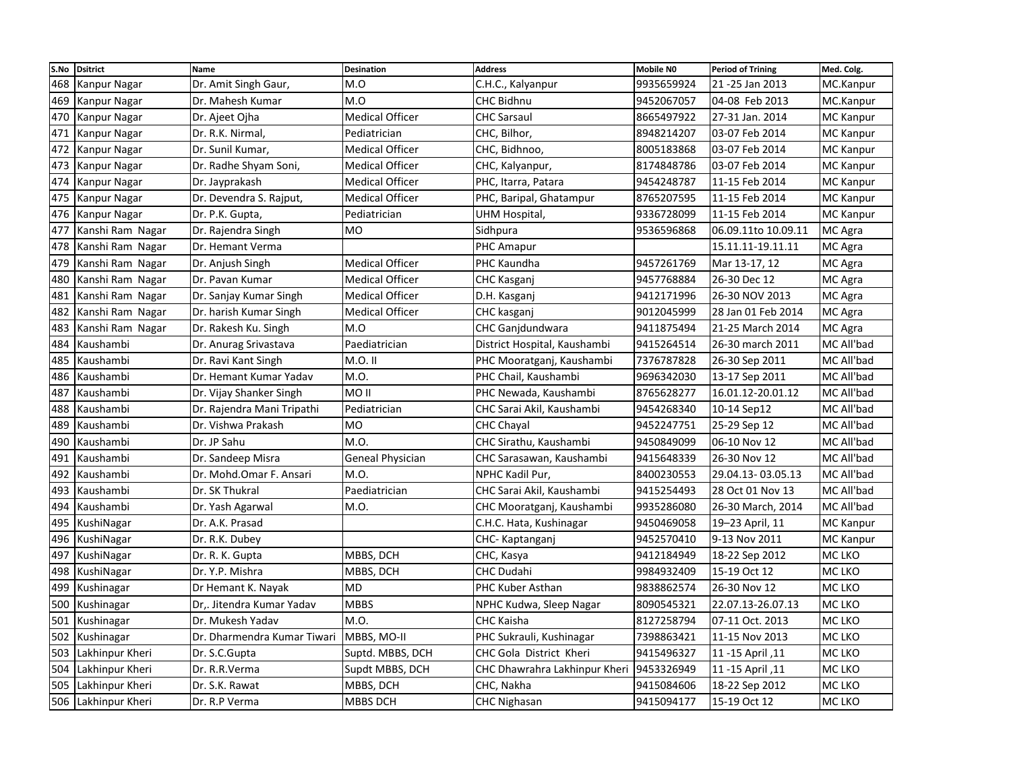| S.No | <b>Dsitrict</b>     | Name                        | <b>Desination</b>       | <b>Address</b>                | <b>Mobile NO</b> | <b>Period of Trining</b> | Med. Colg.       |
|------|---------------------|-----------------------------|-------------------------|-------------------------------|------------------|--------------------------|------------------|
| 468  | <b>Kanpur Nagar</b> | Dr. Amit Singh Gaur,        | M.O                     | C.H.C., Kalyanpur             | 9935659924       | 21-25 Jan 2013           | MC.Kanpur        |
| 469  | <b>Kanpur Nagar</b> | Dr. Mahesh Kumar            | M.O                     | <b>CHC Bidhnu</b>             | 9452067057       | 04-08 Feb 2013           | MC.Kanpur        |
| 470  | Kanpur Nagar        | Dr. Ajeet Ojha              | <b>Medical Officer</b>  | <b>CHC Sarsaul</b>            | 8665497922       | 27-31 Jan. 2014          | <b>MC Kanpur</b> |
| 471  | Kanpur Nagar        | Dr. R.K. Nirmal,            | Pediatrician            | CHC, Bilhor,                  | 8948214207       | 03-07 Feb 2014           | <b>MC Kanpur</b> |
| 472  | Kanpur Nagar        | Dr. Sunil Kumar,            | <b>Medical Officer</b>  | CHC, Bidhnoo,                 | 8005183868       | 03-07 Feb 2014           | <b>MC Kanpur</b> |
| 473  | Kanpur Nagar        | Dr. Radhe Shyam Soni,       | <b>Medical Officer</b>  | CHC, Kalyanpur,               | 8174848786       | 03-07 Feb 2014           | <b>MC Kanpur</b> |
| 474  | Kanpur Nagar        | Dr. Jayprakash              | <b>Medical Officer</b>  | PHC, Itarra, Patara           | 9454248787       | 11-15 Feb 2014           | <b>MC Kanpur</b> |
| 475  | Kanpur Nagar        | Dr. Devendra S. Rajput,     | <b>Medical Officer</b>  | PHC, Baripal, Ghatampur       | 8765207595       | 11-15 Feb 2014           | <b>MC</b> Kanpur |
| 476  | Kanpur Nagar        | Dr. P.K. Gupta,             | Pediatrician            | UHM Hospital,                 | 9336728099       | 11-15 Feb 2014           | <b>MC Kanpur</b> |
| 477  | Kanshi Ram Nagar    | Dr. Rajendra Singh          | <b>MO</b>               | Sidhpura                      | 9536596868       | 06.09.11to 10.09.11      | MC Agra          |
| 478  | Kanshi Ram Nagar    | Dr. Hemant Verma            |                         | PHC Amapur                    |                  | 15.11.11-19.11.11        | MC Agra          |
| 479  | Kanshi Ram Nagar    | Dr. Anjush Singh            | <b>Medical Officer</b>  | PHC Kaundha                   | 9457261769       | Mar 13-17, 12            | MC Agra          |
| 480  | Kanshi Ram Nagar    | Dr. Pavan Kumar             | <b>Medical Officer</b>  | CHC Kasganj                   | 9457768884       | 26-30 Dec 12             | MC Agra          |
| 481  | Kanshi Ram Nagar    | Dr. Sanjay Kumar Singh      | <b>Medical Officer</b>  | D.H. Kasganj                  | 9412171996       | 26-30 NOV 2013           | MC Agra          |
| 482  | Kanshi Ram Nagar    | Dr. harish Kumar Singh      | Medical Officer         | CHC kasganj                   | 9012045999       | 28 Jan 01 Feb 2014       | MC Agra          |
| 483  | Kanshi Ram Nagar    | Dr. Rakesh Ku. Singh        | M.O                     | <b>CHC Ganjdundwara</b>       | 9411875494       | 21-25 March 2014         | MC Agra          |
| 484  | Kaushambi           | Dr. Anurag Srivastava       | Paediatrician           | District Hospital, Kaushambi  | 9415264514       | 26-30 march 2011         | MC All'bad       |
| 485  | Kaushambi           | Dr. Ravi Kant Singh         | M.O. II                 | PHC Mooratganj, Kaushambi     | 7376787828       | 26-30 Sep 2011           | MC All'bad       |
| 486  | Kaushambi           | Dr. Hemant Kumar Yadav      | M.O.                    | PHC Chail, Kaushambi          | 9696342030       | 13-17 Sep 2011           | MC All'bad       |
| 487  | Kaushambi           | Dr. Vijay Shanker Singh     | MO II                   | PHC Newada, Kaushambi         | 8765628277       | 16.01.12-20.01.12        | MC All'bad       |
| 488  | Kaushambi           | Dr. Rajendra Mani Tripathi  | Pediatrician            | CHC Sarai Akil, Kaushambi     | 9454268340       | 10-14 Sep12              | MC All'bad       |
| 489  | Kaushambi           | Dr. Vishwa Prakash          | MO                      | <b>CHC Chayal</b>             | 9452247751       | 25-29 Sep 12             | MC All'bad       |
| 490  | Kaushambi           | Dr. JP Sahu                 | M.O.                    | CHC Sirathu, Kaushambi        | 9450849099       | 06-10 Nov 12             | MC All'bad       |
| 491  | Kaushambi           | Dr. Sandeep Misra           | <b>Geneal Physician</b> | CHC Sarasawan, Kaushambi      | 9415648339       | 26-30 Nov 12             | MC All'bad       |
| 492  | Kaushambi           | Dr. Mohd.Omar F. Ansari     | M.O.                    | NPHC Kadil Pur,               | 8400230553       | 29.04.13-03.05.13        | MC All'bad       |
| 493  | Kaushambi           | Dr. SK Thukral              | Paediatrician           | CHC Sarai Akil, Kaushambi     | 9415254493       | 28 Oct 01 Nov 13         | MC All'bad       |
| 494  | Kaushambi           | Dr. Yash Agarwal            | M.O.                    | CHC Mooratganj, Kaushambi     | 9935286080       | 26-30 March, 2014        | MC All'bad       |
| 495  | KushiNagar          | Dr. A.K. Prasad             |                         | C.H.C. Hata, Kushinagar       | 9450469058       | 19-23 April, 11          | <b>MC Kanpur</b> |
| 496  | KushiNagar          | Dr. R.K. Dubey              |                         | CHC-Kaptanganj                | 9452570410       | 9-13 Nov 2011            | <b>MC Kanpur</b> |
| 497  | KushiNagar          | Dr. R. K. Gupta             | MBBS, DCH               | CHC, Kasya                    | 9412184949       | 18-22 Sep 2012           | MC LKO           |
| 498  | KushiNagar          | Dr. Y.P. Mishra             | MBBS, DCH               | <b>CHC Dudahi</b>             | 9984932409       | 15-19 Oct 12             | MC LKO           |
| 499  | Kushinagar          | Dr Hemant K. Nayak          | <b>MD</b>               | PHC Kuber Asthan              | 9838862574       | 26-30 Nov 12             | MC LKO           |
| 500  | Kushinagar          | Dr,. Jitendra Kumar Yadav   | <b>MBBS</b>             | NPHC Kudwa, Sleep Nagar       | 8090545321       | 22.07.13-26.07.13        | <b>MC LKO</b>    |
| 501  | Kushinagar          | Dr. Mukesh Yadav            | M.O.                    | CHC Kaisha                    | 8127258794       | 07-11 Oct. 2013          | MC LKO           |
| 502  | Kushinagar          | Dr. Dharmendra Kumar Tiwari | MBBS, MO-II             | PHC Sukrauli, Kushinagar      | 7398863421       | 11-15 Nov 2013           | MC LKO           |
| 503  | Lakhinpur Kheri     | Dr. S.C.Gupta               | Suptd. MBBS, DCH        | CHC Gola District Kheri       | 9415496327       | 11, 15 April 11          | MC LKO           |
| 504  | Lakhinpur Kheri     | Dr. R.R.Verma               | Supdt MBBS, DCH         | CHC Dhawrahra Lakhinpur Kheri | 9453326949       | 11, 15 April 11          | MC LKO           |
| 505  | Lakhinpur Kheri     | Dr. S.K. Rawat              | MBBS, DCH               | CHC, Nakha                    | 9415084606       | 18-22 Sep 2012           | MC LKO           |
|      | 506 Lakhinpur Kheri | Dr. R.P Verma               | MBBS DCH                | <b>CHC Nighasan</b>           | 9415094177       | 15-19 Oct 12             | <b>MC LKO</b>    |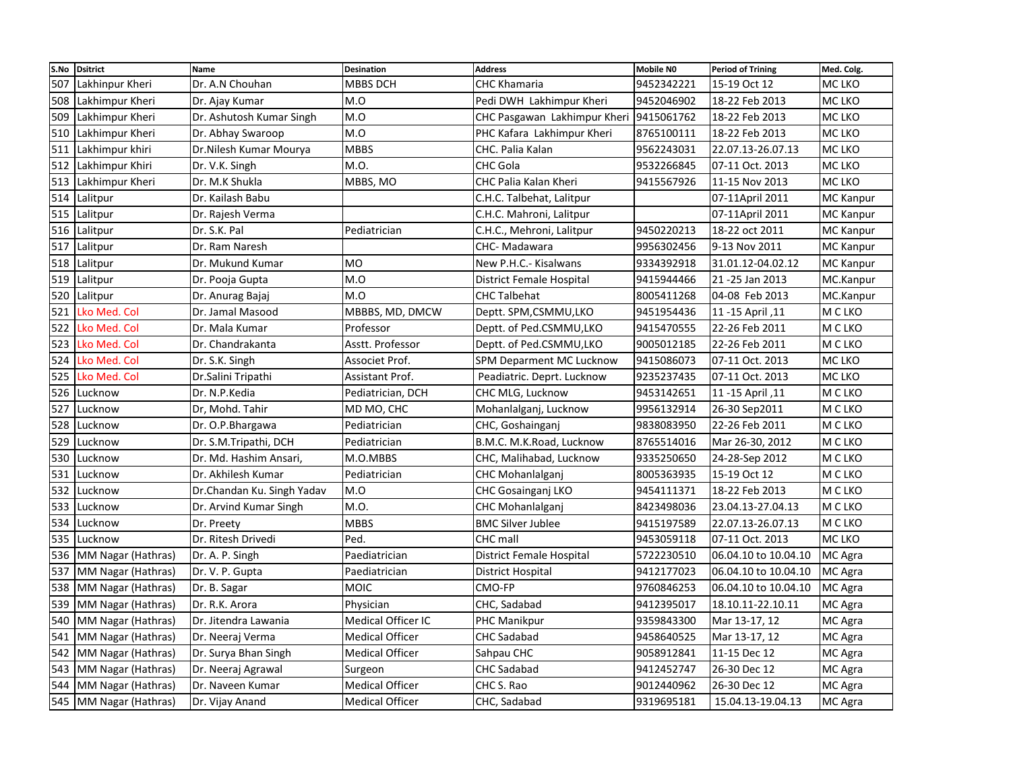|     | S.No Dsitrict          | Name                       | <b>Desination</b>      | <b>Address</b>                          | <b>Mobile NO</b> | <b>Period of Trining</b> | Med. Colg.       |
|-----|------------------------|----------------------------|------------------------|-----------------------------------------|------------------|--------------------------|------------------|
| 507 | Lakhinpur Kheri        | Dr. A.N Chouhan            | <b>MBBS DCH</b>        | <b>CHC Khamaria</b>                     | 9452342221       | 15-19 Oct 12             | MC LKO           |
| 508 | Lakhimpur Kheri        | Dr. Ajay Kumar             | M.O                    | Pedi DWH Lakhimpur Kheri                | 9452046902       | 18-22 Feb 2013           | MC LKO           |
| 509 | Lakhimpur Kheri        | Dr. Ashutosh Kumar Singh   | M.O                    | CHC Pasgawan Lakhimpur Kheri 9415061762 |                  | 18-22 Feb 2013           | MC LKO           |
| 510 | Lakhimpur Kheri        | Dr. Abhay Swaroop          | M.O                    | PHC Kafara Lakhimpur Kheri              | 8765100111       | 18-22 Feb 2013           | MC LKO           |
| 511 | Lakhimpur khiri        | Dr.Nilesh Kumar Mourya     | <b>MBBS</b>            | CHC. Palia Kalan                        | 9562243031       | 22.07.13-26.07.13        | MC LKO           |
| 512 | Lakhimpur Khiri        | Dr. V.K. Singh             | M.O.                   | CHC Gola                                | 9532266845       | 07-11 Oct. 2013          | MC LKO           |
| 513 | Lakhimpur Kheri        | Dr. M.K Shukla             | MBBS, MO               | CHC Palia Kalan Kheri                   | 9415567926       | 11-15 Nov 2013           | MC LKO           |
| 514 | Lalitpur               | Dr. Kailash Babu           |                        | C.H.C. Talbehat, Lalitpur               |                  | 07-11April 2011          | <b>MC Kanpur</b> |
| 515 | Lalitpur               | Dr. Rajesh Verma           |                        | C.H.C. Mahroni, Lalitpur                |                  | 07-11April 2011          | <b>MC Kanpur</b> |
| 516 | Lalitpur               | Dr. S.K. Pal               | Pediatrician           | C.H.C., Mehroni, Lalitpur               | 9450220213       | 18-22 oct 2011           | <b>MC Kanpur</b> |
| 517 | Lalitpur               | Dr. Ram Naresh             |                        | CHC-Madawara                            | 9956302456       | 9-13 Nov 2011            | <b>MC Kanpur</b> |
| 518 | Lalitpur               | Dr. Mukund Kumar           | <b>MO</b>              | New P.H.C.- Kisalwans                   | 9334392918       | 31.01.12-04.02.12        | MC Kanpur        |
| 519 | Lalitpur               | Dr. Pooja Gupta            | M.O                    | District Female Hospital                | 9415944466       | 21 - 25 Jan 2013         | MC.Kanpur        |
| 520 | Lalitpur               | Dr. Anurag Bajaj           | M.O                    | <b>CHC Talbehat</b>                     | 8005411268       | 04-08 Feb 2013           | MC.Kanpur        |
| 521 | Lko Med. Col           | Dr. Jamal Masood           | MBBBS, MD, DMCW        | Deptt. SPM,CSMMU,LKO                    | 9451954436       | 11, 15 April 11          | M C LKO          |
| 522 | Lko Med. Col           | Dr. Mala Kumar             | Professor              | Deptt. of Ped.CSMMU,LKO                 | 9415470555       | 22-26 Feb 2011           | M C LKO          |
| 523 | Lko Med. Col           | Dr. Chandrakanta           | Asstt. Professor       | Deptt. of Ped.CSMMU,LKO                 | 9005012185       | 22-26 Feb 2011           | M C LKO          |
| 524 | Lko Med. Col           | Dr. S.K. Singh             | Associet Prof.         | <b>SPM Deparment MC Lucknow</b>         | 9415086073       | 07-11 Oct. 2013          | <b>MC LKO</b>    |
| 525 | Lko Med. Col           | Dr. Salini Tripathi        | Assistant Prof.        | Peadiatric. Deprt. Lucknow              | 9235237435       | 07-11 Oct. 2013          | MC LKO           |
| 526 | Lucknow                | Dr. N.P.Kedia              | Pediatrician, DCH      | CHC MLG, Lucknow                        | 9453142651       | 11, 15 April 11          | M C LKO          |
| 527 | Lucknow                | Dr, Mohd. Tahir            | MD MO, CHC             | Mohanlalganj, Lucknow                   | 9956132914       | 26-30 Sep2011            | M C LKO          |
| 528 | Lucknow                | Dr. O.P.Bhargawa           | Pediatrician           | CHC, Goshainganj                        | 9838083950       | 22-26 Feb 2011           | M C LKO          |
| 529 | Lucknow                | Dr. S.M.Tripathi, DCH      | Pediatrician           | B.M.C. M.K.Road, Lucknow                | 8765514016       | Mar 26-30, 2012          | M C LKO          |
| 530 | Lucknow                | Dr. Md. Hashim Ansari.     | M.O.MBBS               | CHC, Malihabad, Lucknow                 | 9335250650       | 24-28-Sep 2012           | M C LKO          |
| 531 | Lucknow                | Dr. Akhilesh Kumar         | Pediatrician           | <b>CHC Mohanlalganj</b>                 | 8005363935       | 15-19 Oct 12             | M C LKO          |
| 532 | Lucknow                | Dr.Chandan Ku. Singh Yadav | M.O                    | <b>CHC Gosainganj LKO</b>               | 9454111371       | 18-22 Feb 2013           | M C LKO          |
| 533 | Lucknow                | Dr. Arvind Kumar Singh     | M.O.                   | <b>CHC Mohanlalganj</b>                 | 8423498036       | 23.04.13-27.04.13        | M C LKO          |
| 534 | Lucknow                | Dr. Preety                 | <b>MBBS</b>            | <b>BMC Silver Jublee</b>                | 9415197589       | 22.07.13-26.07.13        | M C LKO          |
| 535 | Lucknow                | Dr. Ritesh Drivedi         | Ped.                   | CHC mall                                | 9453059118       | 07-11 Oct. 2013          | MC LKO           |
| 536 | MM Nagar (Hathras)     | Dr. A. P. Singh            | Paediatrician          | <b>District Female Hospital</b>         | 5722230510       | 06.04.10 to 10.04.10     | MC Agra          |
| 537 | MM Nagar (Hathras)     | Dr. V. P. Gupta            | Paediatrician          | District Hospital                       | 9412177023       | 06.04.10 to 10.04.10     | MC Agra          |
|     | 538 MM Nagar (Hathras) | Dr. B. Sagar               | <b>MOIC</b>            | CMO-FP                                  | 9760846253       | 06.04.10 to 10.04.10     | MC Agra          |
| 539 | MM Nagar (Hathras)     | Dr. R.K. Arora             | Physician              | CHC, Sadabad                            | 9412395017       | 18.10.11-22.10.11        | MC Agra          |
| 540 | MM Nagar (Hathras)     | Dr. Jitendra Lawania       | Medical Officer IC     | <b>PHC Manikpur</b>                     | 9359843300       | Mar 13-17, 12            | MC Agra          |
| 541 | MM Nagar (Hathras)     | Dr. Neeraj Verma           | <b>Medical Officer</b> | <b>CHC Sadabad</b>                      | 9458640525       | Mar 13-17, 12            | MC Agra          |
| 542 | MM Nagar (Hathras)     | Dr. Surya Bhan Singh       | <b>Medical Officer</b> | Sahpau CHC                              | 9058912841       | 11-15 Dec 12             | MC Agra          |
| 543 | MM Nagar (Hathras)     | Dr. Neeraj Agrawal         | Surgeon                | CHC Sadabad                             | 9412452747       | 26-30 Dec 12             | MC Agra          |
| 544 | MM Nagar (Hathras)     | Dr. Naveen Kumar           | <b>Medical Officer</b> | CHC S. Rao                              | 9012440962       | 26-30 Dec 12             | MC Agra          |
|     | 545 MM Nagar (Hathras) | Dr. Vijay Anand            | <b>Medical Officer</b> | CHC, Sadabad                            | 9319695181       | 15.04.13-19.04.13        | MC Agra          |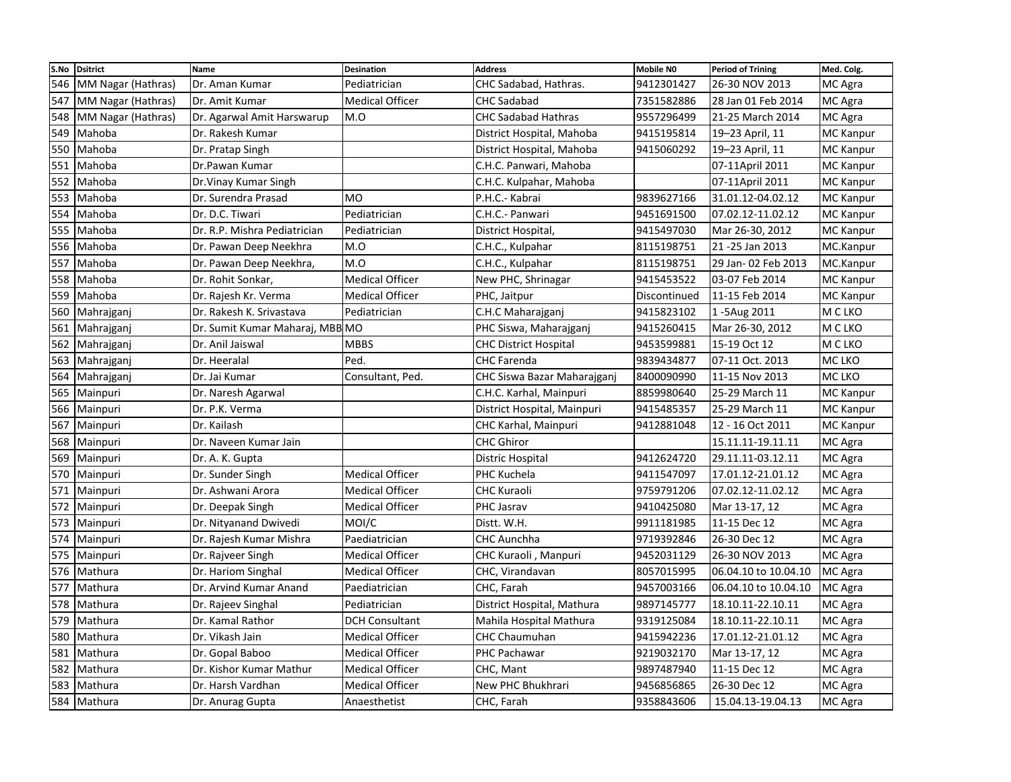|     | S.No Dsitrict      | Name                            | <b>Desination</b>      | <b>Address</b>               | <b>Mobile NO</b> | <b>Period of Trining</b> | Med. Colg.       |
|-----|--------------------|---------------------------------|------------------------|------------------------------|------------------|--------------------------|------------------|
| 546 | MM Nagar (Hathras) | Dr. Aman Kumar                  | Pediatrician           | CHC Sadabad, Hathras.        | 9412301427       | 26-30 NOV 2013           | MC Agra          |
| 547 | MM Nagar (Hathras) | Dr. Amit Kumar                  | <b>Medical Officer</b> | <b>CHC Sadabad</b>           | 7351582886       | 28 Jan 01 Feb 2014       | MC Agra          |
| 548 | MM Nagar (Hathras) | Dr. Agarwal Amit Harswarup      | M.O                    | CHC Sadabad Hathras          | 9557296499       | 21-25 March 2014         | MC Agra          |
| 549 | Mahoba             | Dr. Rakesh Kumar                |                        | District Hospital, Mahoba    | 9415195814       | 19-23 April, 11          | <b>MC Kanpur</b> |
| 550 | Mahoba             | Dr. Pratap Singh                |                        | District Hospital, Mahoba    | 9415060292       | 19-23 April, 11          | <b>MC Kanpur</b> |
| 551 | Mahoba             | Dr.Pawan Kumar                  |                        | C.H.C. Panwari, Mahoba       |                  | 07-11April 2011          | <b>MC Kanpur</b> |
| 552 | Mahoba             | Dr. Vinay Kumar Singh           |                        | C.H.C. Kulpahar, Mahoba      |                  | 07-11April 2011          | MC Kanpur        |
| 553 | Mahoba             | Dr. Surendra Prasad             | <b>MO</b>              | P.H.C.- Kabrai               | 9839627166       | 31.01.12-04.02.12        | <b>MC Kanpur</b> |
| 554 | Mahoba             | Dr. D.C. Tiwari                 | Pediatrician           | C.H.C.- Panwari              | 9451691500       | 07.02.12-11.02.12        | <b>MC Kanpur</b> |
| 555 | Mahoba             | Dr. R.P. Mishra Pediatrician    | Pediatrician           | District Hospital,           | 9415497030       | Mar 26-30, 2012          | <b>MC Kanpur</b> |
| 556 | Mahoba             | Dr. Pawan Deep Neekhra          | M.O                    | C.H.C., Kulpahar             | 8115198751       | 21 - 25 Jan 2013         | MC.Kanpur        |
| 557 | Mahoba             | Dr. Pawan Deep Neekhra,         | M.O                    | C.H.C., Kulpahar             | 8115198751       | 29 Jan- 02 Feb 2013      | MC.Kanpur        |
|     | 558 Mahoba         | Dr. Rohit Sonkar,               | <b>Medical Officer</b> | New PHC, Shrinagar           | 9415453522       | 03-07 Feb 2014           | <b>MC Kanpur</b> |
| 559 | Mahoba             | Dr. Rajesh Kr. Verma            | <b>Medical Officer</b> | PHC, Jaitpur                 | Discontinued     | 11-15 Feb 2014           | <b>MC Kanpur</b> |
| 560 | Mahrajganj         | Dr. Rakesh K. Srivastava        | Pediatrician           | C.H.C Maharajganj            | 9415823102       | 1-5Aug 2011              | M C LKO          |
| 561 | Mahrajganj         | Dr. Sumit Kumar Maharaj, MBB MO |                        | PHC Siswa, Maharajganj       | 9415260415       | Mar 26-30, 2012          | M C LKO          |
| 562 | Mahrajganj         | Dr. Anil Jaiswal                | <b>MBBS</b>            | <b>CHC District Hospital</b> | 9453599881       | 15-19 Oct 12             | M C LKO          |
| 563 | Mahrajganj         | Dr. Heeralal                    | Ped.                   | <b>CHC Farenda</b>           | 9839434877       | 07-11 Oct. 2013          | MC LKO           |
| 564 | Mahrajganj         | Dr. Jai Kumar                   | Consultant, Ped.       | CHC Siswa Bazar Maharajganj  | 8400090990       | 11-15 Nov 2013           | MC LKO           |
| 565 | Mainpuri           | Dr. Naresh Agarwal              |                        | C.H.C. Karhal, Mainpuri      | 8859980640       | 25-29 March 11           | <b>MC Kanpur</b> |
| 566 | Mainpuri           | Dr. P.K. Verma                  |                        | District Hospital, Mainpuri  | 9415485357       | 25-29 March 11           | <b>MC Kanpur</b> |
| 567 | Mainpuri           | Dr. Kailash                     |                        | CHC Karhal, Mainpuri         | 9412881048       | 12 - 16 Oct 2011         | <b>MC Kanpur</b> |
|     | 568 Mainpuri       | Dr. Naveen Kumar Jain           |                        | <b>CHC Ghiror</b>            |                  | 15.11.11-19.11.11        | MC Agra          |
| 569 | Mainpuri           | Dr. A. K. Gupta                 |                        | <b>Distric Hospital</b>      | 9412624720       | 29.11.11-03.12.11        | MC Agra          |
| 570 | Mainpuri           | Dr. Sunder Singh                | <b>Medical Officer</b> | PHC Kuchela                  | 9411547097       | 17.01.12-21.01.12        | MC Agra          |
| 571 | Mainpuri           | Dr. Ashwani Arora               | <b>Medical Officer</b> | <b>CHC Kuraoli</b>           | 9759791206       | 07.02.12-11.02.12        | MC Agra          |
| 572 | Mainpuri           | Dr. Deepak Singh                | <b>Medical Officer</b> | PHC Jasrav                   | 9410425080       | Mar 13-17, 12            | MC Agra          |
| 573 | Mainpuri           | Dr. Nityanand Dwivedi           | MOI/C                  | Distt. W.H.                  | 9911181985       | 11-15 Dec 12             | MC Agra          |
|     | 574 Mainpuri       | Dr. Rajesh Kumar Mishra         | Paediatrician          | CHC Aunchha                  | 9719392846       | 26-30 Dec 12             | MC Agra          |
|     | 575 Mainpuri       | Dr. Rajveer Singh               | <b>Medical Officer</b> | CHC Kuraoli, Manpuri         | 9452031129       | 26-30 NOV 2013           | MC Agra          |
|     | 576 Mathura        | Dr. Hariom Singhal              | <b>Medical Officer</b> | CHC, Virandavan              | 8057015995       | 06.04.10 to 10.04.10     | MC Agra          |
| 577 | Mathura            | Dr. Arvind Kumar Anand          | Paediatrician          | CHC, Farah                   | 9457003166       | 06.04.10 to 10.04.10     | MC Agra          |
| 578 | Mathura            | Dr. Rajeev Singhal              | Pediatrician           | District Hospital, Mathura   | 9897145777       | 18.10.11-22.10.11        | MC Agra          |
| 579 | Mathura            | Dr. Kamal Rathor                | <b>DCH Consultant</b>  | Mahila Hospital Mathura      | 9319125084       | 18.10.11-22.10.11        | MC Agra          |
| 580 | Mathura            | Dr. Vikash Jain                 | <b>Medical Officer</b> | CHC Chaumuhan                | 9415942236       | 17.01.12-21.01.12        | MC Agra          |
| 581 | Mathura            | Dr. Gopal Baboo                 | <b>Medical Officer</b> | PHC Pachawar                 | 9219032170       | Mar 13-17, 12            | MC Agra          |
| 582 | Mathura            | Dr. Kishor Kumar Mathur         | <b>Medical Officer</b> | CHC, Mant                    | 9897487940       | 11-15 Dec 12             | MC Agra          |
| 583 | Mathura            | Dr. Harsh Vardhan               | <b>Medical Officer</b> | New PHC Bhukhrari            | 9456856865       | 26-30 Dec 12             | MC Agra          |
|     | 584 Mathura        | Dr. Anurag Gupta                | Anaesthetist           | CHC, Farah                   | 9358843606       | 15.04.13-19.04.13        | MC Agra          |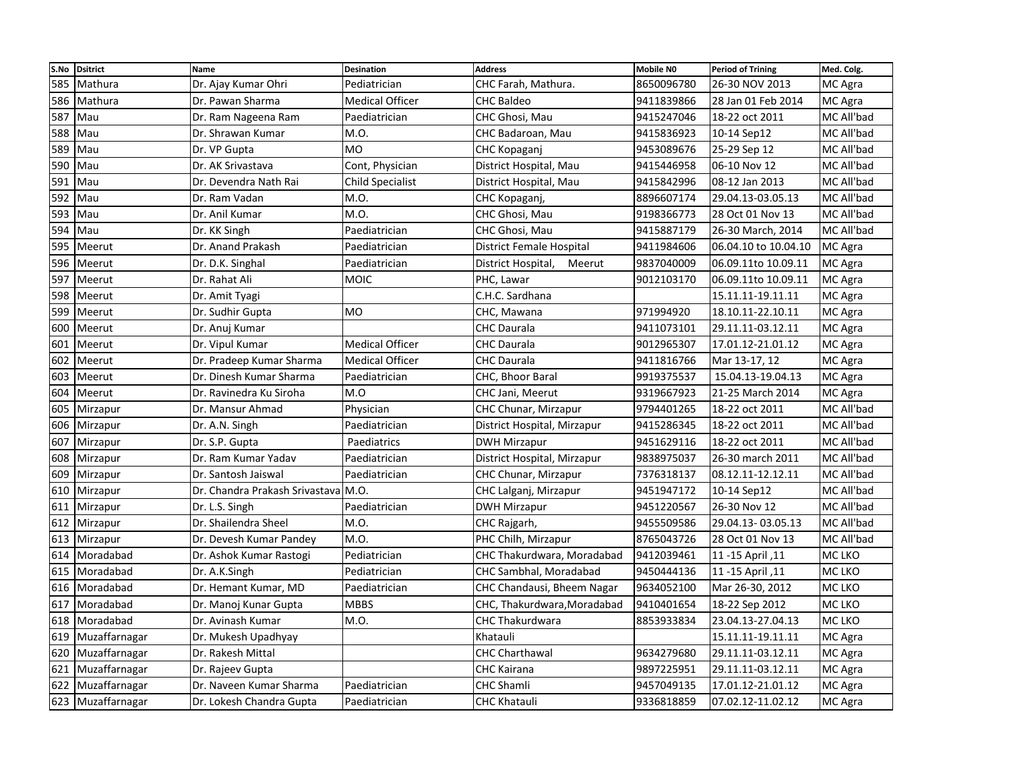| S.No | <b>Dsitrict</b>   | <b>Name</b>                    | <b>Desination</b>       | <b>Address</b>                  | Mobile NO  | <b>Period of Trining</b> | Med. Colg. |
|------|-------------------|--------------------------------|-------------------------|---------------------------------|------------|--------------------------|------------|
| 585  | Mathura           | Dr. Ajay Kumar Ohri            | Pediatrician            | CHC Farah, Mathura.             | 8650096780 | 26-30 NOV 2013           | MC Agra    |
| 586  | Mathura           | Dr. Pawan Sharma               | <b>Medical Officer</b>  | <b>CHC Baldeo</b>               | 9411839866 | 28 Jan 01 Feb 2014       | MC Agra    |
| 587  | Mau               | Dr. Ram Nageena Ram            | Paediatrician           | CHC Ghosi, Mau                  | 9415247046 | 18-22 oct 2011           | MC All'bad |
| 588  | Mau               | Dr. Shrawan Kumar              | M.O.                    | CHC Badaroan, Mau               | 9415836923 | 10-14 Sep12              | MC All'bad |
| 589  | Mau               | Dr. VP Gupta                   | MO                      | CHC Kopaganj                    | 9453089676 | 25-29 Sep 12             | MC All'bad |
| 590  | Mau               | Dr. AK Srivastava              | Cont, Physician         | District Hospital, Mau          | 9415446958 | 06-10 Nov 12             | MC All'bad |
| 591  | Mau               | Dr. Devendra Nath Rai          | <b>Child Specialist</b> | District Hospital, Mau          | 9415842996 | 08-12 Jan 2013           | MC All'bad |
| 592  | Mau               | Dr. Ram Vadan                  | M.O.                    | CHC Kopaganj,                   | 8896607174 | 29.04.13-03.05.13        | MC All'bad |
| 593  | Mau               | Dr. Anil Kumar                 | M.O.                    | CHC Ghosi, Mau                  | 9198366773 | 28 Oct 01 Nov 13         | MC All'bad |
| 594  | Mau               | Dr. KK Singh                   | Paediatrician           | CHC Ghosi, Mau                  | 9415887179 | 26-30 March, 2014        | MC All'bad |
| 595  | Meerut            | Dr. Anand Prakash              | Paediatrician           | <b>District Female Hospital</b> | 9411984606 | 06.04.10 to 10.04.10     | MC Agra    |
| 596  | Meerut            | Dr. D.K. Singhal               | Paediatrician           | District Hospital,<br>Meerut    | 9837040009 | 06.09.11to 10.09.11      | MC Agra    |
| 597  | Meerut            | Dr. Rahat Ali                  | <b>MOIC</b>             | PHC, Lawar                      | 9012103170 | 06.09.11to 10.09.11      | MC Agra    |
| 598  | Meerut            | Dr. Amit Tyagi                 |                         | C.H.C. Sardhana                 |            | 15.11.11-19.11.11        | MC Agra    |
| 599  | Meerut            | Dr. Sudhir Gupta               | <b>MO</b>               | CHC, Mawana                     | 971994920  | 18.10.11-22.10.11        | MC Agra    |
| 600  | Meerut            | Dr. Anuj Kumar                 |                         | <b>CHC Daurala</b>              | 9411073101 | 29.11.11-03.12.11        | MC Agra    |
| 601  | Meerut            | Dr. Vipul Kumar                | <b>Medical Officer</b>  | <b>CHC Daurala</b>              | 9012965307 | 17.01.12-21.01.12        | MC Agra    |
| 602  | Meerut            | Dr. Pradeep Kumar Sharma       | <b>Medical Officer</b>  | <b>CHC Daurala</b>              | 9411816766 | Mar 13-17, 12            | MC Agra    |
| 603  | Meerut            | Dr. Dinesh Kumar Sharma        | Paediatrician           | CHC, Bhoor Baral                | 9919375537 | 15.04.13-19.04.13        | MC Agra    |
| 604  | Meerut            | Dr. Ravinedra Ku Siroha        | M.O                     | CHC Jani, Meerut                | 9319667923 | 21-25 March 2014         | MC Agra    |
| 605  | Mirzapur          | Dr. Mansur Ahmad               | Physician               | CHC Chunar, Mirzapur            | 9794401265 | 18-22 oct 2011           | MC All'bad |
| 606  | Mirzapur          | Dr. A.N. Singh                 | Paediatrician           | District Hospital, Mirzapur     | 9415286345 | 18-22 oct 2011           | MC All'bad |
| 607  | Mirzapur          | Dr. S.P. Gupta                 | Paediatrics             | <b>DWH Mirzapur</b>             | 9451629116 | 18-22 oct 2011           | MC All'bad |
| 608  | Mirzapur          | Dr. Ram Kumar Yadav            | Paediatrician           | District Hospital, Mirzapur     | 9838975037 | 26-30 march 2011         | MC All'bad |
| 609  | Mirzapur          | Dr. Santosh Jaiswal            | Paediatrician           | CHC Chunar, Mirzapur            | 7376318137 | 08.12.11-12.12.11        | MC All'bad |
| 610  | Mirzapur          | Dr. Chandra Prakash Srivastava | M.O.                    | CHC Lalganj, Mirzapur           | 9451947172 | 10-14 Sep12              | MC All'bad |
| 611  | Mirzapur          | Dr. L.S. Singh                 | Paediatrician           | <b>DWH Mirzapur</b>             | 9451220567 | 26-30 Nov 12             | MC All'bad |
| 612  | Mirzapur          | Dr. Shailendra Sheel           | M.O.                    | CHC Rajgarh,                    | 9455509586 | 29.04.13-03.05.13        | MC All'bad |
| 613  | Mirzapur          | Dr. Devesh Kumar Pandey        | M.O.                    | PHC Chilh, Mirzapur             | 8765043726 | 28 Oct 01 Nov 13         | MC All'bad |
| 614  | Moradabad         | Dr. Ashok Kumar Rastogi        | Pediatrician            | CHC Thakurdwara, Moradabad      | 9412039461 | 11, 15 April 11          | MC LKO     |
| 615  | Moradabad         | Dr. A.K.Singh                  | Pediatrician            | CHC Sambhal, Moradabad          | 9450444136 | 11, 15 April 11          | MC LKO     |
|      | 616 Moradabad     | Dr. Hemant Kumar, MD           | Paediatrician           | CHC Chandausi, Bheem Nagar      | 9634052100 | Mar 26-30, 2012          | MC LKO     |
| 617  | Moradabad         | Dr. Manoj Kunar Gupta          | <b>MBBS</b>             | CHC, Thakurdwara, Moradabad     | 9410401654 | 18-22 Sep 2012           | MC LKO     |
| 618  | Moradabad         | Dr. Avinash Kumar              | M.O.                    | <b>CHC Thakurdwara</b>          | 8853933834 | 23.04.13-27.04.13        | MC LKO     |
| 619  | Muzaffarnagar     | Dr. Mukesh Upadhyay            |                         | Khatauli                        |            | 15.11.11-19.11.11        | MC Agra    |
| 620  | Muzaffarnagar     | Dr. Rakesh Mittal              |                         | <b>CHC Charthawal</b>           | 9634279680 | 29.11.11-03.12.11        | MC Agra    |
| 621  | Muzaffarnagar     | Dr. Rajeev Gupta               |                         | <b>CHC Kairana</b>              | 9897225951 | 29.11.11-03.12.11        | MC Agra    |
|      | 622 Muzaffarnagar | Dr. Naveen Kumar Sharma        | Paediatrician           | CHC Shamli                      | 9457049135 | 17.01.12-21.01.12        | MC Agra    |
|      | 623 Muzaffarnagar | Dr. Lokesh Chandra Gupta       | Paediatrician           | <b>CHC Khatauli</b>             | 9336818859 | 07.02.12-11.02.12        | MC Agra    |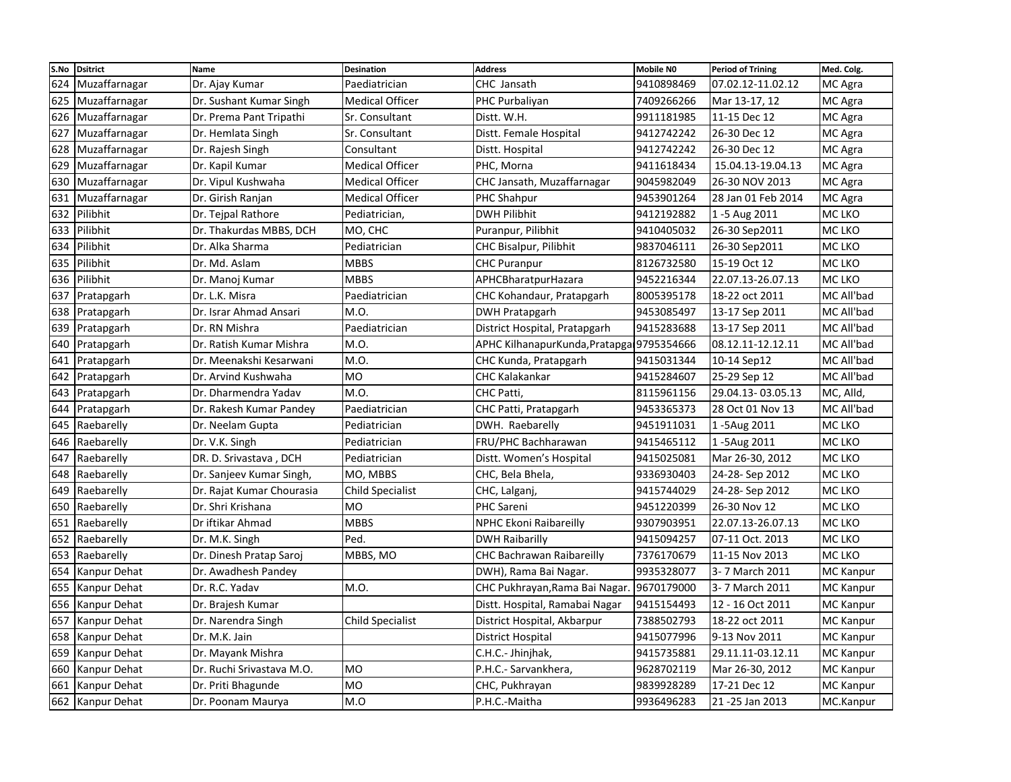|     | S.No Dsitrict     | <b>Name</b>               | <b>Desination</b>       | <b>Address</b>                             | Mobile NO  | <b>Period of Trining</b> | Med. Colg.       |
|-----|-------------------|---------------------------|-------------------------|--------------------------------------------|------------|--------------------------|------------------|
|     | 624 Muzaffarnagar | Dr. Ajay Kumar            | Paediatrician           | CHC Jansath                                | 9410898469 | 07.02.12-11.02.12        | MC Agra          |
| 625 | Muzaffarnagar     | Dr. Sushant Kumar Singh   | <b>Medical Officer</b>  | PHC Purbaliyan                             | 7409266266 | Mar 13-17, 12            | MC Agra          |
| 626 | Muzaffarnagar     | Dr. Prema Pant Tripathi   | Sr. Consultant          | Distt. W.H.                                | 9911181985 | 11-15 Dec 12             | MC Agra          |
| 627 | Muzaffarnagar     | Dr. Hemlata Singh         | Sr. Consultant          | Distt. Female Hospital                     | 9412742242 | 26-30 Dec 12             | MC Agra          |
| 628 | Muzaffarnagar     | Dr. Rajesh Singh          | Consultant              | Distt. Hospital                            | 9412742242 | 26-30 Dec 12             | MC Agra          |
| 629 | Muzaffarnagar     | Dr. Kapil Kumar           | <b>Medical Officer</b>  | PHC, Morna                                 | 9411618434 | 15.04.13-19.04.13        | MC Agra          |
|     | 630 Muzaffarnagar | Dr. Vipul Kushwaha        | <b>Medical Officer</b>  | CHC Jansath, Muzaffarnagar                 | 9045982049 | 26-30 NOV 2013           | MC Agra          |
| 631 | Muzaffarnagar     | Dr. Girish Ranjan         | <b>Medical Officer</b>  | PHC Shahpur                                | 9453901264 | 28 Jan 01 Feb 2014       | MC Agra          |
| 632 | Pilibhit          | Dr. Tejpal Rathore        | Pediatrician,           | <b>DWH Pilibhit</b>                        | 9412192882 | 1 -5 Aug 2011            | MC LKO           |
| 633 | Pilibhit          | Dr. Thakurdas MBBS, DCH   | MO, CHC                 | Puranpur, Pilibhit                         | 9410405032 | 26-30 Sep2011            | MC LKO           |
| 634 | Pilibhit          | Dr. Alka Sharma           | Pediatrician            | <b>CHC Bisalpur, Pilibhit</b>              | 9837046111 | 26-30 Sep2011            | MC LKO           |
| 635 | Pilibhit          | Dr. Md. Aslam             | <b>MBBS</b>             | <b>CHC Puranpur</b>                        | 8126732580 | 15-19 Oct 12             | MC LKO           |
| 636 | Pilibhit          | Dr. Manoj Kumar           | <b>MBBS</b>             | <b>APHCBharatpurHazara</b>                 | 9452216344 | 22.07.13-26.07.13        | MC LKO           |
| 637 | Pratapgarh        | Dr. L.K. Misra            | Paediatrician           | CHC Kohandaur, Pratapgarh                  | 8005395178 | 18-22 oct 2011           | MC All'bad       |
|     | 638 Pratapgarh    | Dr. Israr Ahmad Ansari    | M.O.                    | <b>DWH Pratapgarh</b>                      | 9453085497 | 13-17 Sep 2011           | MC All'bad       |
|     | 639 Pratapgarh    | Dr. RN Mishra             | Paediatrician           | District Hospital, Pratapgarh              | 9415283688 | 13-17 Sep 2011           | MC All'bad       |
| 640 | Pratapgarh        | Dr. Ratish Kumar Mishra   | M.O.                    | APHC KilhanapurKunda, Pratapga 19795354666 |            | 08.12.11-12.12.11        | MC All'bad       |
| 641 | Pratapgarh        | Dr. Meenakshi Kesarwani   | M.O.                    | CHC Kunda, Pratapgarh                      | 9415031344 | 10-14 Sep12              | MC All'bad       |
| 642 | Pratapgarh        | Dr. Arvind Kushwaha       | <b>MO</b>               | CHC Kalakankar                             | 9415284607 | 25-29 Sep 12             | MC All'bad       |
| 643 | Pratapgarh        | Dr. Dharmendra Yadav      | M.O.                    | CHC Patti.                                 | 8115961156 | 29.04.13 - 03.05.13      | MC, Alld,        |
| 644 | Pratapgarh        | Dr. Rakesh Kumar Pandey   | Paediatrician           | CHC Patti, Pratapgarh                      | 9453365373 | 28 Oct 01 Nov 13         | MC All'bad       |
|     | 645 Raebarelly    | Dr. Neelam Gupta          | Pediatrician            | DWH. Raebarelly                            | 9451911031 | 1-5Aug 2011              | MC LKO           |
|     | 646 Raebarelly    | Dr. V.K. Singh            | Pediatrician            | FRU/PHC Bachharawan                        | 9415465112 | 1-5Aug 2011              | MC LKO           |
| 647 | Raebarelly        | DR. D. Srivastava, DCH    | Pediatrician            | Distt. Women's Hospital                    | 9415025081 | Mar 26-30, 2012          | MC LKO           |
| 648 | Raebarelly        | Dr. Sanjeev Kumar Singh,  | MO, MBBS                | CHC, Bela Bhela,                           | 9336930403 | 24-28-Sep 2012           | MC LKO           |
| 649 | Raebarelly        | Dr. Rajat Kumar Chourasia | <b>Child Specialist</b> | CHC, Lalganj,                              | 9415744029 | 24-28-Sep 2012           | MC LKO           |
| 650 | Raebarelly        | Dr. Shri Krishana         | <b>MO</b>               | PHC Sareni                                 | 9451220399 | 26-30 Nov 12             | MC LKO           |
| 651 | Raebarelly        | Dr iftikar Ahmad          | <b>MBBS</b>             | NPHC Ekoni Raibareilly                     | 9307903951 | 22.07.13-26.07.13        | MC LKO           |
|     | 652 Raebarelly    | Dr. M.K. Singh            | Ped.                    | <b>DWH Raibarilly</b>                      | 9415094257 | 07-11 Oct. 2013          | MC LKO           |
|     | 653 Raebarelly    | Dr. Dinesh Pratap Saroj   | MBBS, MO                | CHC Bachrawan Raibareilly                  | 7376170679 | 11-15 Nov 2013           | MC LKO           |
|     | 654 Kanpur Dehat  | Dr. Awadhesh Pandey       |                         | DWH), Rama Bai Nagar.                      | 9935328077 | 3-7 March 2011           | MC Kanpur        |
|     | 655 Kanpur Dehat  | Dr. R.C. Yadav            | M.O.                    | CHC Pukhrayan, Rama Bai Nagar.             | 9670179000 | 3-7 March 2011           | MC Kanpur        |
|     | 656 Kanpur Dehat  | Dr. Brajesh Kumar         |                         | Distt. Hospital, Ramabai Nagar             | 9415154493 | 12 - 16 Oct 2011         | <b>MC Kanpur</b> |
| 657 | Kanpur Dehat      | Dr. Narendra Singh        | <b>Child Specialist</b> | District Hospital, Akbarpur                | 7388502793 | 18-22 oct 2011           | <b>MC Kanpur</b> |
| 658 | Kanpur Dehat      | Dr. M.K. Jain             |                         | <b>District Hospital</b>                   | 9415077996 | 9-13 Nov 2011            | MC Kanpur        |
| 659 | Kanpur Dehat      | Dr. Mayank Mishra         |                         | C.H.C.- Jhinjhak,                          | 9415735881 | 29.11.11-03.12.11        | MC Kanpur        |
| 660 | Kanpur Dehat      | Dr. Ruchi Srivastava M.O. | <b>MO</b>               | P.H.C.- Sarvankhera,                       | 9628702119 | Mar 26-30, 2012          | <b>MC Kanpur</b> |
| 661 | Kanpur Dehat      | Dr. Priti Bhagunde        | <b>MO</b>               | CHC, Pukhrayan                             | 9839928289 | 17-21 Dec 12             | <b>MC Kanpur</b> |
|     | 662 Kanpur Dehat  | Dr. Poonam Maurya         | M.O                     | P.H.C.-Maitha                              | 9936496283 | 21-25 Jan 2013           | MC.Kanpur        |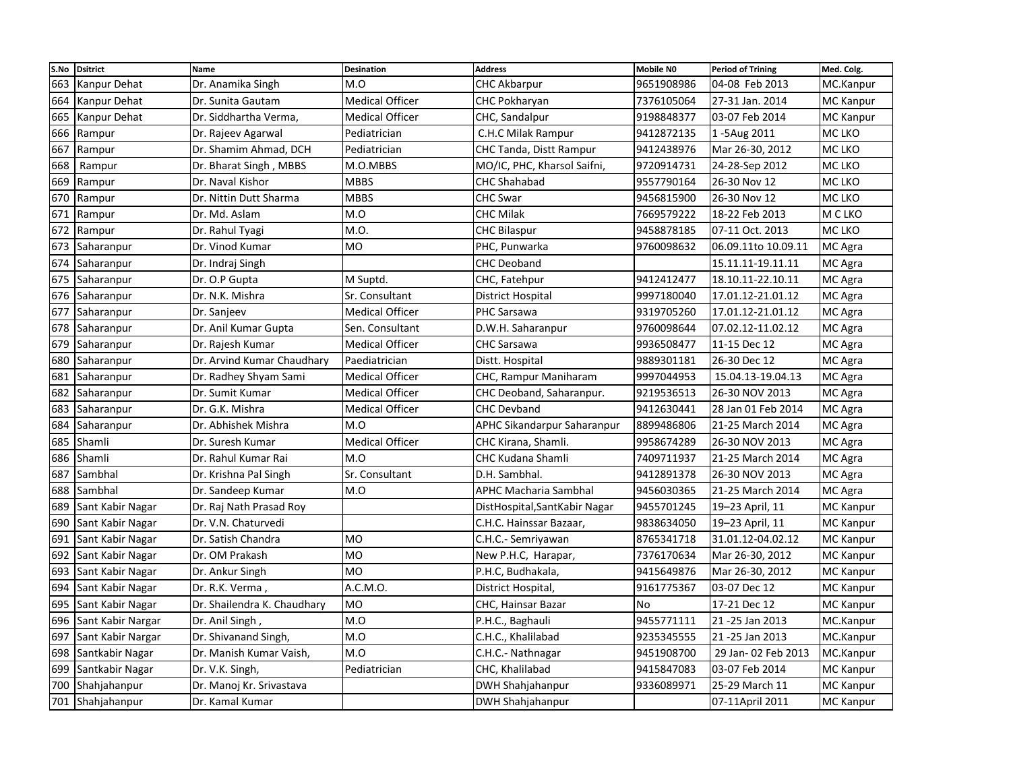|     | S.No Dsitrict        | <b>Name</b>                 | <b>Desination</b>      | <b>Address</b>                | <b>Mobile NO</b> | <b>Period of Trining</b> | Med. Colg.       |
|-----|----------------------|-----------------------------|------------------------|-------------------------------|------------------|--------------------------|------------------|
| 663 | Kanpur Dehat         | Dr. Anamika Singh           | M.O                    | <b>CHC Akbarpur</b>           | 9651908986       | 04-08 Feb 2013           | MC.Kanpur        |
| 664 | Kanpur Dehat         | Dr. Sunita Gautam           | <b>Medical Officer</b> | CHC Pokharyan                 | 7376105064       | 27-31 Jan. 2014          | <b>MC Kanpur</b> |
| 665 | Kanpur Dehat         | Dr. Siddhartha Verma,       | <b>Medical Officer</b> | CHC, Sandalpur                | 9198848377       | 03-07 Feb 2014           | <b>MC Kanpur</b> |
| 666 | Rampur               | Dr. Rajeev Agarwal          | Pediatrician           | C.H.C Milak Rampur            | 9412872135       | 1 -5Aug 2011             | MC LKO           |
| 667 | Rampur               | Dr. Shamim Ahmad, DCH       | Pediatrician           | CHC Tanda, Distt Rampur       | 9412438976       | Mar 26-30, 2012          | MC LKO           |
| 668 | Rampur               | Dr. Bharat Singh, MBBS      | M.O.MBBS               | MO/IC, PHC, Kharsol Saifni,   | 9720914731       | 24-28-Sep 2012           | MC LKO           |
|     | 669 Rampur           | Dr. Naval Kishor            | <b>MBBS</b>            | <b>CHC Shahabad</b>           | 9557790164       | 26-30 Nov 12             | <b>MC LKO</b>    |
| 670 | Rampur               | Dr. Nittin Dutt Sharma      | <b>MBBS</b>            | <b>CHC Swar</b>               | 9456815900       | 26-30 Nov 12             | MC LKO           |
| 671 | Rampur               | Dr. Md. Aslam               | M.O                    | <b>CHC Milak</b>              | 7669579222       | 18-22 Feb 2013           | M C LKO          |
| 672 | Rampur               | Dr. Rahul Tyagi             | M.O.                   | <b>CHC Bilaspur</b>           | 9458878185       | 07-11 Oct. 2013          | MC LKO           |
| 673 | Saharanpur           | Dr. Vinod Kumar             | <b>MO</b>              | PHC, Punwarka                 | 9760098632       | 06.09.11to 10.09.11      | MC Agra          |
|     | 674 Saharanpur       | Dr. Indraj Singh            |                        | <b>CHC Deoband</b>            |                  | 15.11.11-19.11.11        | MC Agra          |
|     | 675 Saharanpur       | Dr. O.P Gupta               | M Suptd.               | CHC, Fatehpur                 | 9412412477       | 18.10.11-22.10.11        | MC Agra          |
|     | 676 Saharanpur       | Dr. N.K. Mishra             | Sr. Consultant         | District Hospital             | 9997180040       | 17.01.12-21.01.12        | MC Agra          |
|     | 677 Saharanpur       | Dr. Sanjeev                 | <b>Medical Officer</b> | PHC Sarsawa                   | 9319705260       | 17.01.12-21.01.12        | MC Agra          |
|     | 678 Saharanpur       | Dr. Anil Kumar Gupta        | Sen. Consultant        | D.W.H. Saharanpur             | 9760098644       | 07.02.12-11.02.12        | MC Agra          |
| 679 | Saharanpur           | Dr. Rajesh Kumar            | <b>Medical Officer</b> | <b>CHC Sarsawa</b>            | 9936508477       | 11-15 Dec 12             | MC Agra          |
| 680 | Saharanpur           | Dr. Arvind Kumar Chaudhary  | Paediatrician          | Distt. Hospital               | 9889301181       | 26-30 Dec 12             | MC Agra          |
| 681 | Saharanpur           | Dr. Radhey Shyam Sami       | <b>Medical Officer</b> | CHC, Rampur Maniharam         | 9997044953       | 15.04.13-19.04.13        | MC Agra          |
| 682 | Saharanpur           | Dr. Sumit Kumar             | <b>Medical Officer</b> | CHC Deoband, Saharanpur.      | 9219536513       | 26-30 NOV 2013           | MC Agra          |
| 683 | Saharanpur           | Dr. G.K. Mishra             | <b>Medical Officer</b> | CHC Devband                   | 9412630441       | 28 Jan 01 Feb 2014       | MC Agra          |
|     | 684 Saharanpur       | Dr. Abhishek Mishra         | M.O                    | APHC Sikandarpur Saharanpur   | 8899486806       | 21-25 March 2014         | MC Agra          |
|     | 685 Shamli           | Dr. Suresh Kumar            | <b>Medical Officer</b> | CHC Kirana, Shamli.           | 9958674289       | 26-30 NOV 2013           | MC Agra          |
|     | 686 Shamli           | Dr. Rahul Kumar Rai         | M.O                    | <b>CHC Kudana Shamli</b>      | 7409711937       | 21-25 March 2014         | MC Agra          |
| 687 | Sambhal              | Dr. Krishna Pal Singh       | Sr. Consultant         | D.H. Sambhal.                 | 9412891378       | 26-30 NOV 2013           | MC Agra          |
| 688 | Sambhal              | Dr. Sandeep Kumar           | M.O                    | <b>APHC Macharia Sambhal</b>  | 9456030365       | 21-25 March 2014         | MC Agra          |
| 689 | Sant Kabir Nagar     | Dr. Raj Nath Prasad Roy     |                        | DistHospital, SantKabir Nagar | 9455701245       | 19-23 April, 11          | <b>MC Kanpur</b> |
| 690 | Sant Kabir Nagar     | Dr. V.N. Chaturvedi         |                        | C.H.C. Hainssar Bazaar,       | 9838634050       | 19-23 April, 11          | <b>MC Kanpur</b> |
| 691 | Sant Kabir Nagar     | Dr. Satish Chandra          | <b>MO</b>              | C.H.C.- Semriyawan            | 8765341718       | 31.01.12-04.02.12        | <b>MC Kanpur</b> |
|     | 692 Sant Kabir Nagar | Dr. OM Prakash              | <b>MO</b>              | New P.H.C, Harapar,           | 7376170634       | Mar 26-30, 2012          | <b>MC Kanpur</b> |
|     | 693 Sant Kabir Nagar | Dr. Ankur Singh             | <b>MO</b>              | P.H.C, Budhakala,             | 9415649876       | Mar 26-30, 2012          | <b>MC Kanpur</b> |
|     | 694 Sant Kabir Nagar | Dr. R.K. Verma,             | A.C.M.O.               | District Hospital,            | 9161775367       | 03-07 Dec 12             | MC Kanpur        |
|     | 695 Sant Kabir Nagar | Dr. Shailendra K. Chaudhary | <b>MO</b>              | CHC, Hainsar Bazar            | <b>No</b>        | 17-21 Dec 12             | <b>MC Kanpur</b> |
| 696 | Sant Kabir Nargar    | Dr. Anil Singh,             | M.O                    | P.H.C., Baghauli              | 9455771111       | 21-25 Jan 2013           | MC.Kanpur        |
| 697 | Sant Kabir Nargar    | Dr. Shivanand Singh,        | M.O                    | C.H.C., Khalilabad            | 9235345555       | 21-25 Jan 2013           | MC.Kanpur        |
| 698 | Santkabir Nagar      | Dr. Manish Kumar Vaish,     | M.O                    | C.H.C.- Nathnagar             | 9451908700       | 29 Jan- 02 Feb 2013      | MC.Kanpur        |
| 699 | Santkabir Nagar      | Dr. V.K. Singh,             | Pediatrician           | CHC, Khalilabad               | 9415847083       | 03-07 Feb 2014           | MC Kanpur        |
| 700 | Shahjahanpur         | Dr. Manoj Kr. Srivastava    |                        | DWH Shahjahanpur              | 9336089971       | 25-29 March 11           | <b>MC Kanpur</b> |
|     | 701 Shahjahanpur     | Dr. Kamal Kumar             |                        | DWH Shahjahanpur              |                  | 07-11April 2011          | <b>MC Kanpur</b> |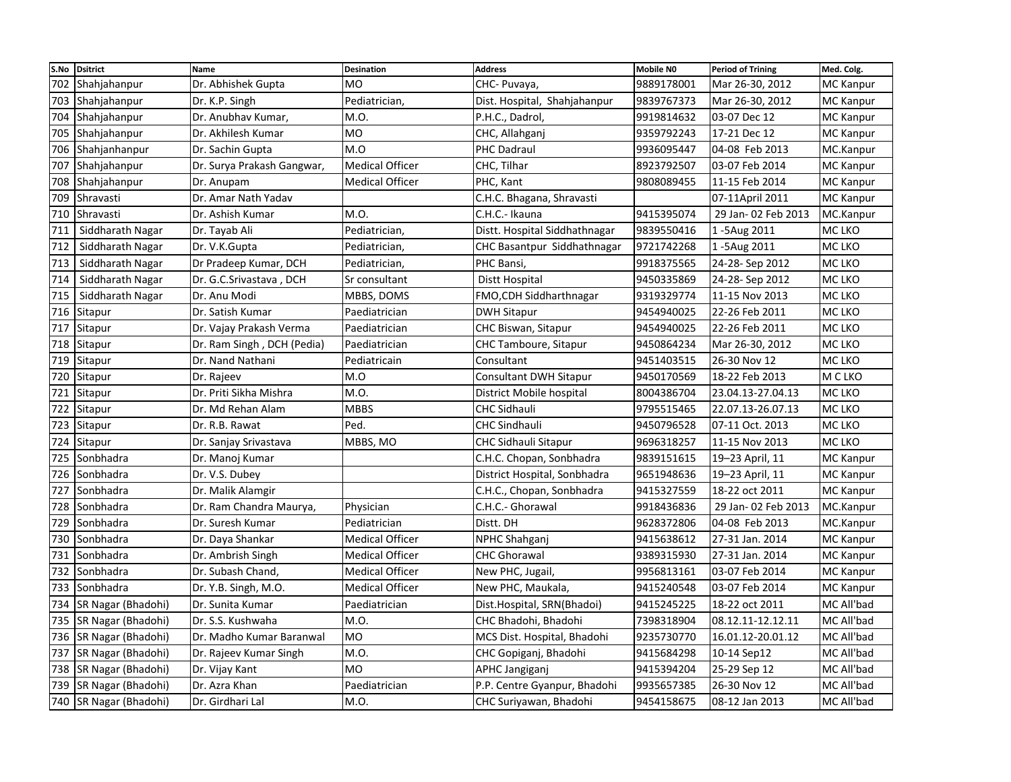|     | S.No Dsitrict          | Name                       | <b>Desination</b>      | <b>Address</b>                | <b>Mobile NO</b> | <b>Period of Trining</b> | Med. Colg.       |
|-----|------------------------|----------------------------|------------------------|-------------------------------|------------------|--------------------------|------------------|
| 702 | Shahjahanpur           | Dr. Abhishek Gupta         | <b>MO</b>              | CHC- Puvaya,                  | 9889178001       | Mar 26-30, 2012          | <b>MC Kanpur</b> |
| 703 | Shahjahanpur           | Dr. K.P. Singh             | Pediatrician,          | Dist. Hospital, Shahjahanpur  | 9839767373       | Mar 26-30, 2012          | <b>MC Kanpur</b> |
| 704 | Shahjahanpur           | Dr. Anubhav Kumar,         | M.O.                   | P.H.C., Dadrol,               | 9919814632       | 03-07 Dec 12             | <b>MC Kanpur</b> |
| 705 | Shahjahanpur           | Dr. Akhilesh Kumar         | <b>MO</b>              | CHC, Allahganj                | 9359792243       | 17-21 Dec 12             | <b>MC Kanpur</b> |
| 706 | Shahjanhanpur          | Dr. Sachin Gupta           | M.O                    | <b>PHC Dadraul</b>            | 9936095447       | 04-08 Feb 2013           | MC.Kanpur        |
| 707 | Shahjahanpur           | Dr. Surya Prakash Gangwar, | <b>Medical Officer</b> | CHC, Tilhar                   | 8923792507       | 03-07 Feb 2014           | <b>MC Kanpur</b> |
| 708 | Shahjahanpur           | Dr. Anupam                 | <b>Medical Officer</b> | PHC, Kant                     | 9808089455       | 11-15 Feb 2014           | MC Kanpur        |
| 709 | Shravasti              | Dr. Amar Nath Yadav        |                        | C.H.C. Bhagana, Shravasti     |                  | 07-11April 2011          | <b>MC Kanpur</b> |
| 710 | Shravasti              | Dr. Ashish Kumar           | M.O.                   | C.H.C.- Ikauna                | 9415395074       | 29 Jan- 02 Feb 2013      | MC.Kanpur        |
| 711 | Siddharath Nagar       | Dr. Tayab Ali              | Pediatrician,          | Distt. Hospital Siddhathnagar | 9839550416       | 1-5Aug 2011              | MC LKO           |
| 712 | Siddharath Nagar       | Dr. V.K.Gupta              | Pediatrician,          | CHC Basantpur Siddhathnagar   | 9721742268       | 1-5Aug 2011              | MC LKO           |
| 713 | Siddharath Nagar       | Dr Pradeep Kumar, DCH      | Pediatrician,          | PHC Bansi,                    | 9918375565       | 24-28-Sep 2012           | MC LKO           |
| 714 | Siddharath Nagar       | Dr. G.C.Srivastava, DCH    | Sr consultant          | Distt Hospital                | 9450335869       | 24-28- Sep 2012          | MC LKO           |
| 715 | Siddharath Nagar       | Dr. Anu Modi               | MBBS, DOMS             | FMO, CDH Siddharthnagar       | 9319329774       | 11-15 Nov 2013           | MC LKO           |
| 716 | Sitapur                | Dr. Satish Kumar           | Paediatrician          | <b>DWH Sitapur</b>            | 9454940025       | 22-26 Feb 2011           | <b>MC LKO</b>    |
| 717 | Sitapur                | Dr. Vajay Prakash Verma    | Paediatrician          | CHC Biswan, Sitapur           | 9454940025       | 22-26 Feb 2011           | <b>MC LKO</b>    |
| 718 | Sitapur                | Dr. Ram Singh, DCH (Pedia) | Paediatrician          | <b>CHC Tamboure, Sitapur</b>  | 9450864234       | Mar 26-30, 2012          | <b>MC LKO</b>    |
| 719 | Sitapur                | Dr. Nand Nathani           | Pediatricain           | Consultant                    | 9451403515       | 26-30 Nov 12             | MC LKO           |
| 720 | Sitapur                | Dr. Rajeev                 | M.O                    | <b>Consultant DWH Sitapur</b> | 9450170569       | 18-22 Feb 2013           | M C LKO          |
| 721 | Sitapur                | Dr. Priti Sikha Mishra     | M.O.                   | District Mobile hospital      | 8004386704       | 23.04.13-27.04.13        | MC LKO           |
| 722 | Sitapur                | Dr. Md Rehan Alam          | <b>MBBS</b>            | <b>CHC Sidhauli</b>           | 9795515465       | 22.07.13-26.07.13        | MC LKO           |
| 723 | Sitapur                | Dr. R.B. Rawat             | Ped.                   | <b>CHC Sindhauli</b>          | 9450796528       | 07-11 Oct. 2013          | MC LKO           |
|     | 724 Sitapur            | Dr. Sanjay Srivastava      | MBBS, MO               | CHC Sidhauli Sitapur          | 9696318257       | 11-15 Nov 2013           | MC LKO           |
| 725 | Sonbhadra              | Dr. Manoj Kumar            |                        | C.H.C. Chopan, Sonbhadra      | 9839151615       | 19-23 April, 11          | <b>MC Kanpur</b> |
| 726 | Sonbhadra              | Dr. V.S. Dubey             |                        | District Hospital, Sonbhadra  | 9651948636       | 19-23 April, 11          | <b>MC Kanpur</b> |
| 727 | Sonbhadra              | Dr. Malik Alamgir          |                        | C.H.C., Chopan, Sonbhadra     | 9415327559       | 18-22 oct 2011           | <b>MC Kanpur</b> |
| 728 | Sonbhadra              | Dr. Ram Chandra Maurya,    | Physician              | C.H.C.- Ghorawal              | 9918436836       | 29 Jan- 02 Feb 2013      | MC.Kanpur        |
| 729 | Sonbhadra              | Dr. Suresh Kumar           | Pediatrician           | Distt. DH                     | 9628372806       | 04-08 Feb 2013           | MC.Kanpur        |
| 730 | Sonbhadra              | Dr. Daya Shankar           | <b>Medical Officer</b> | NPHC Shahganj                 | 9415638612       | 27-31 Jan. 2014          | <b>MC Kanpur</b> |
| 731 | Sonbhadra              | Dr. Ambrish Singh          | <b>Medical Officer</b> | <b>CHC Ghorawal</b>           | 9389315930       | 27-31 Jan. 2014          | <b>MC Kanpur</b> |
| 732 | Sonbhadra              | Dr. Subash Chand,          | <b>Medical Officer</b> | New PHC, Jugail,              | 9956813161       | 03-07 Feb 2014           | <b>MC Kanpur</b> |
|     | 733 Sonbhadra          | Dr. Y.B. Singh, M.O.       | <b>Medical Officer</b> | New PHC, Maukala,             | 9415240548       | 03-07 Feb 2014           | <b>MC Kanpur</b> |
| 734 | SR Nagar (Bhadohi)     | Dr. Sunita Kumar           | Paediatrician          | Dist.Hospital, SRN(Bhadoi)    | 9415245225       | 18-22 oct 2011           | MC All'bad       |
| 735 | SR Nagar (Bhadohi)     | Dr. S.S. Kushwaha          | M.O.                   | CHC Bhadohi, Bhadohi          | 7398318904       | 08.12.11-12.12.11        | MC All'bad       |
| 736 | SR Nagar (Bhadohi)     | Dr. Madho Kumar Baranwal   | <b>MO</b>              | MCS Dist. Hospital, Bhadohi   | 9235730770       | 16.01.12-20.01.12        | MC All'bad       |
| 737 | SR Nagar (Bhadohi)     | Dr. Rajeev Kumar Singh     | M.O.                   | CHC Gopiganj, Bhadohi         | 9415684298       | 10-14 Sep12              | MC All'bad       |
| 738 | SR Nagar (Bhadohi)     | Dr. Vijay Kant             | <b>MO</b>              | APHC Jangiganj                | 9415394204       | 25-29 Sep 12             | MC All'bad       |
| 739 | SR Nagar (Bhadohi)     | Dr. Azra Khan              | Paediatrician          | P.P. Centre Gyanpur, Bhadohi  | 9935657385       | 26-30 Nov 12             | MC All'bad       |
|     | 740 SR Nagar (Bhadohi) | Dr. Girdhari Lal           | M.O.                   | CHC Suriyawan, Bhadohi        | 9454158675       | 08-12 Jan 2013           | MC All'bad       |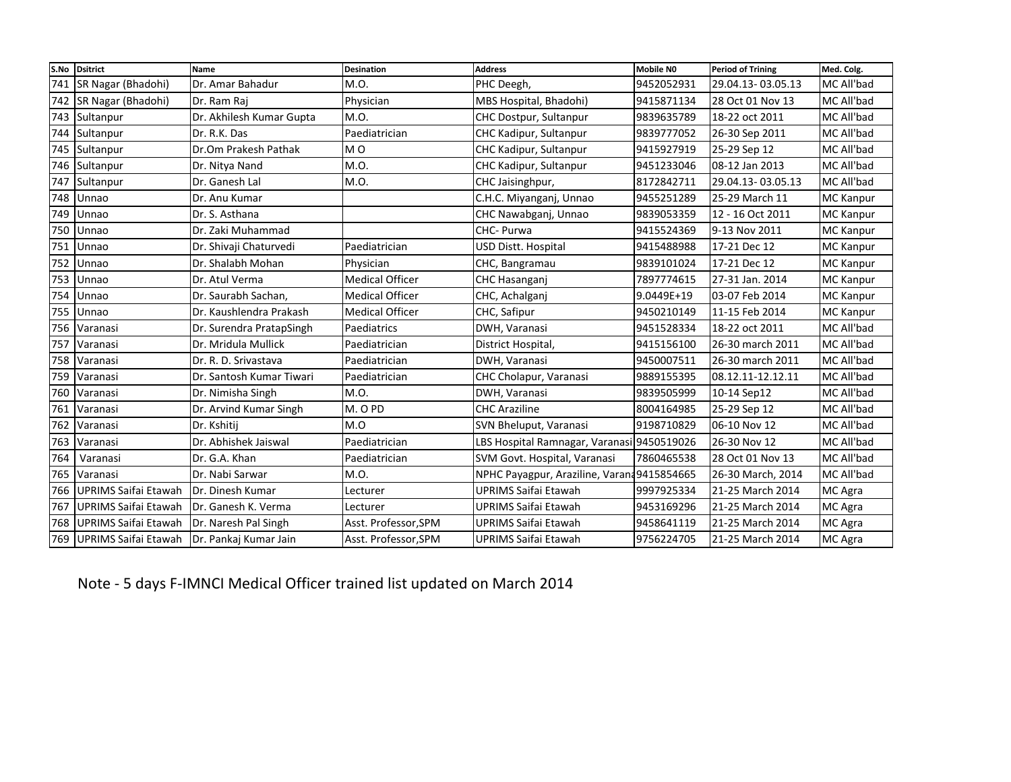|     | S.No Dsitrict                                  | <b>Name</b>              | <b>Desination</b>      | <b>Address</b>                             | Mobile NO  | <b>Period of Trining</b> | Med. Colg.       |
|-----|------------------------------------------------|--------------------------|------------------------|--------------------------------------------|------------|--------------------------|------------------|
|     | 741 SR Nagar (Bhadohi)                         | Dr. Amar Bahadur         | M.O.                   | PHC Deegh,                                 | 9452052931 | 29.04.13-03.05.13        | MC All'bad       |
|     | 742 SR Nagar (Bhadohi)                         | Dr. Ram Raj              | Physician              | MBS Hospital, Bhadohi)                     | 9415871134 | 28 Oct 01 Nov 13         | MC All'bad       |
| 743 | Sultanpur                                      | Dr. Akhilesh Kumar Gupta | M.O.                   | <b>CHC Dostpur, Sultanpur</b>              | 9839635789 | 18-22 oct 2011           | MC All'bad       |
| 744 | Sultanpur                                      | Dr. R.K. Das             | Paediatrician          | CHC Kadipur, Sultanpur                     | 9839777052 | 26-30 Sep 2011           | MC All'bad       |
|     | 745 Sultanpur                                  | Dr.Om Prakesh Pathak     | M <sub>O</sub>         | CHC Kadipur, Sultanpur                     | 9415927919 | 25-29 Sep 12             | MC All'bad       |
| 746 | Sultanpur                                      | Dr. Nitya Nand           | M.O.                   | CHC Kadipur, Sultanpur                     | 9451233046 | 08-12 Jan 2013           | MC All'bad       |
| 747 | Sultanpur                                      | Dr. Ganesh Lal           | M.O.                   | CHC Jaisinghpur,                           | 8172842711 | 29.04.13-03.05.13        | MC All'bad       |
| 748 | Unnao                                          | Dr. Anu Kumar            |                        | C.H.C. Miyanganj, Unnao                    | 9455251289 | 25-29 March 11           | <b>MC Kanpur</b> |
|     | 749 Unnao                                      | Dr. S. Asthana           |                        | CHC Nawabganj, Unnao                       | 9839053359 | 12 - 16 Oct 2011         | MC Kanpur        |
| 750 | Unnao                                          | Dr. Zaki Muhammad        |                        | CHC-Purwa                                  | 9415524369 | 9-13 Nov 2011            | <b>MC Kanpur</b> |
| 751 | Unnao                                          | Dr. Shivaji Chaturvedi   | Paediatrician          | USD Distt. Hospital                        | 9415488988 | 17-21 Dec 12             | MC Kanpur        |
| 752 | Unnao                                          | Dr. Shalabh Mohan        | Physician              | CHC, Bangramau                             | 9839101024 | 17-21 Dec 12             | <b>MC Kanpur</b> |
| 753 | Unnao                                          | Dr. Atul Verma           | <b>Medical Officer</b> | CHC Hasanganj                              | 7897774615 | 27-31 Jan. 2014          | MC Kanpur        |
| 754 | Unnao                                          | Dr. Saurabh Sachan,      | <b>Medical Officer</b> | CHC, Achalganj                             | 9.0449E+19 | 03-07 Feb 2014           | <b>MC Kanpur</b> |
| 755 | Unnao                                          | Dr. Kaushlendra Prakash  | <b>Medical Officer</b> | CHC, Safipur                               | 9450210149 | 11-15 Feb 2014           | <b>MC Kanpur</b> |
| 756 | Varanasi                                       | Dr. Surendra PratapSingh | Paediatrics            | DWH, Varanasi                              | 9451528334 | 18-22 oct 2011           | MC All'bad       |
| 757 | Varanasi                                       | Dr. Mridula Mullick      | Paediatrician          | District Hospital,                         | 9415156100 | 26-30 march 2011         | MC All'bad       |
| 758 | Varanasi                                       | Dr. R. D. Srivastava     | Paediatrician          | DWH, Varanasi                              | 9450007511 | 26-30 march 2011         | MC All'bad       |
| 759 | Varanasi                                       | Dr. Santosh Kumar Tiwari | Paediatrician          | CHC Cholapur, Varanasi                     | 9889155395 | 08.12.11-12.12.11        | MC All'bad       |
| 760 | Varanasi                                       | Dr. Nimisha Singh        | M.O.                   | DWH, Varanasi                              | 9839505999 | 10-14 Sep12              | MC All'bad       |
| 761 | Varanasi                                       | Dr. Arvind Kumar Singh   | M. O PD                | <b>CHC Araziline</b>                       | 8004164985 | 25-29 Sep 12             | MC All'bad       |
| 762 | Varanasi                                       | Dr. Kshitij              | M.O                    | SVN Bheluput, Varanasi                     | 9198710829 | 06-10 Nov 12             | MC All'bad       |
| 763 | Varanasi                                       | Dr. Abhishek Jaiswal     | Paediatrician          | LBS Hospital Ramnagar, Varanasi 9450519026 |            | 26-30 Nov 12             | MC All'bad       |
| 764 | Varanasi                                       | Dr. G.A. Khan            | Paediatrician          | SVM Govt. Hospital, Varanasi               | 7860465538 | 28 Oct 01 Nov 13         | MC All'bad       |
| 765 | Varanasi                                       | Dr. Nabi Sarwar          | M.O.                   | NPHC Payagpur, Araziline, Varana9415854665 |            | 26-30 March, 2014        | MC All'bad       |
| 766 | UPRIMS Saifai Etawah                           | Dr. Dinesh Kumar         | Lecturer               | UPRIMS Saifai Etawah                       | 9997925334 | 21-25 March 2014         | MC Agra          |
| 767 | UPRIMS Saifai Etawah                           | Dr. Ganesh K. Verma      | Lecturer               | UPRIMS Saifai Etawah                       | 9453169296 | 21-25 March 2014         | MC Agra          |
|     | 768 UPRIMS Saifai Etawah                       | Dr. Naresh Pal Singh     | Asst. Professor, SPM   | UPRIMS Saifai Etawah                       | 9458641119 | 21-25 March 2014         | MC Agra          |
|     | 769 UPRIMS Saifai Etawah Dr. Pankaj Kumar Jain |                          | Asst. Professor, SPM   | UPRIMS Saifai Etawah                       | 9756224705 | 21-25 March 2014         | MC Agra          |

Note - 5 days F-IMNCI Medical Officer trained list updated on March 2014